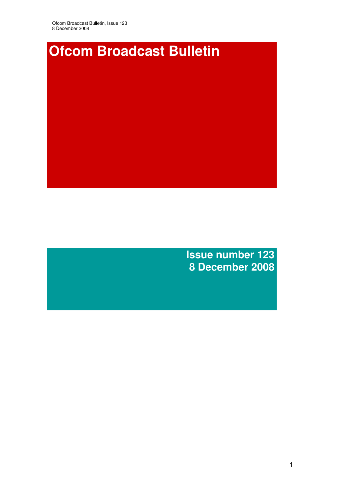

**Issue number 123 8 December 2008**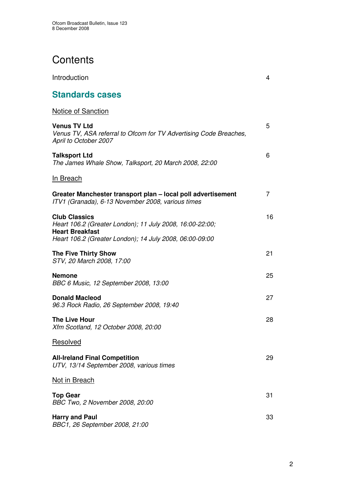# **Contents**

Introduction 4

# **Standards cases**

| Notice of Sanction                                                                                                                                                    |    |
|-----------------------------------------------------------------------------------------------------------------------------------------------------------------------|----|
| <b>Venus TV Ltd</b><br>Venus TV, ASA referral to Ofcom for TV Advertising Code Breaches,<br>April to October 2007                                                     | 5  |
| <b>Talksport Ltd</b><br>The James Whale Show, Talksport, 20 March 2008, 22:00                                                                                         | 6  |
| <b>In Breach</b>                                                                                                                                                      |    |
| Greater Manchester transport plan - local poll advertisement<br>ITV1 (Granada), 6-13 November 2008, various times                                                     | 7  |
| <b>Club Classics</b><br>Heart 106.2 (Greater London); 11 July 2008, 16:00-22:00;<br><b>Heart Breakfast</b><br>Heart 106.2 (Greater London); 14 July 2008, 06:00-09:00 | 16 |
| <b>The Five Thirty Show</b><br>STV, 20 March 2008, 17:00                                                                                                              | 21 |
| <b>Nemone</b><br>BBC 6 Music, 12 September 2008, 13:00                                                                                                                | 25 |
| <b>Donald Macleod</b><br>96.3 Rock Radio, 26 September 2008, 19:40                                                                                                    | 27 |
| <b>The Live Hour</b><br>Xfm Scotland, 12 October 2008, 20:00                                                                                                          | 28 |
| Resolved                                                                                                                                                              |    |
| <b>All-Ireland Final Competition</b><br>UTV, 13/14 September 2008, various times                                                                                      | 29 |
| Not in Breach                                                                                                                                                         |    |
| <b>Top Gear</b><br>BBC Two, 2 November 2008, 20:00                                                                                                                    | 31 |
| <b>Harry and Paul</b><br>BBC1, 26 September 2008, 21:00                                                                                                               | 33 |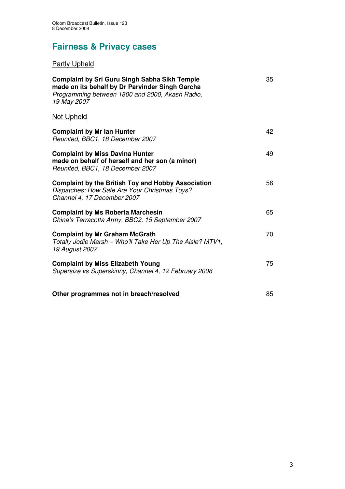# **Fairness & Privacy cases**

## Partly Upheld

| <b>Complaint by Sri Guru Singh Sabha Sikh Temple</b><br>made on its behalf by Dr Parvinder Singh Garcha<br>Programming between 1800 and 2000, Akash Radio,<br>19 May 2007 | 35 |
|---------------------------------------------------------------------------------------------------------------------------------------------------------------------------|----|
| <b>Not Upheld</b>                                                                                                                                                         |    |
| <b>Complaint by Mr Ian Hunter</b><br>Reunited, BBC1, 18 December 2007                                                                                                     | 42 |
| <b>Complaint by Miss Davina Hunter</b><br>made on behalf of herself and her son (a minor)<br>Reunited, BBC1, 18 December 2007                                             | 49 |
| <b>Complaint by the British Toy and Hobby Association</b><br>Dispatches: How Safe Are Your Christmas Toys?<br>Channel 4, 17 December 2007                                 | 56 |
| <b>Complaint by Ms Roberta Marchesin</b><br>China's Terracotta Army, BBC2, 15 September 2007                                                                              | 65 |
| <b>Complaint by Mr Graham McGrath</b><br>Totally Jodie Marsh - Who'll Take Her Up The Aisle? MTV1,<br>19 August 2007                                                      | 70 |
| <b>Complaint by Miss Elizabeth Young</b><br>Supersize vs Superskinny, Channel 4, 12 February 2008                                                                         | 75 |
| Other programmes not in breach/resolved                                                                                                                                   | 85 |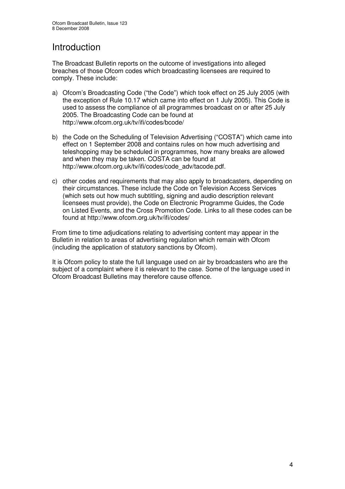## Introduction

The Broadcast Bulletin reports on the outcome of investigations into alleged breaches of those Ofcom codes which broadcasting licensees are required to comply. These include:

- a) Ofcom's Broadcasting Code ("the Code") which took effect on 25 July 2005 (with the exception of Rule 10.17 which came into effect on 1 July 2005). This Code is used to assess the compliance of all programmes broadcast on or after 25 July 2005. The Broadcasting Code can be found at http://www.ofcom.org.uk/tv/ifi/codes/bcode/
- b) the Code on the Scheduling of Television Advertising ("COSTA") which came into effect on 1 September 2008 and contains rules on how much advertising and teleshopping may be scheduled in programmes, how many breaks are allowed and when they may be taken. COSTA can be found at http://www.ofcom.org.uk/tv/ifi/codes/code\_adv/tacode.pdf.
- c) other codes and requirements that may also apply to broadcasters, depending on their circumstances. These include the Code on Television Access Services (which sets out how much subtitling, signing and audio description relevant licensees must provide), the Code on Electronic Programme Guides, the Code on Listed Events, and the Cross Promotion Code. Links to all these codes can be found at http://www.ofcom.org.uk/tv/ifi/codes/

From time to time adjudications relating to advertising content may appear in the Bulletin in relation to areas of advertising regulation which remain with Ofcom (including the application of statutory sanctions by Ofcom).

It is Ofcom policy to state the full language used on air by broadcasters who are the subject of a complaint where it is relevant to the case. Some of the language used in Ofcom Broadcast Bulletins may therefore cause offence.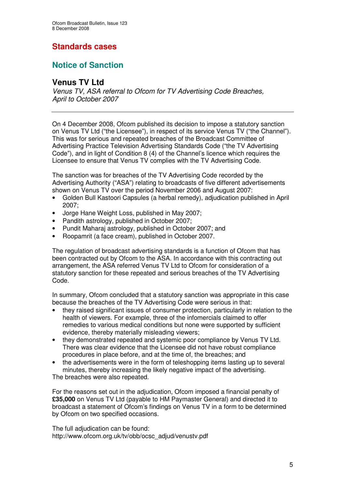## **Standards cases**

## **Notice of Sanction**

### **Venus TV Ltd**

*Venus TV, ASA referral to Ofcom for TV Advertising Code Breaches, April to October 2007*

On 4 December 2008, Ofcom published its decision to impose a statutory sanction on Venus TV Ltd ("the Licensee"), in respect of its service Venus TV ("the Channel"). This was for serious and repeated breaches of the Broadcast Committee of Advertising Practice Television Advertising Standards Code ("the TV Advertising Code"), and in light of Condition 8 (4) of the Channel's licence which requires the Licensee to ensure that Venus TV complies with the TV Advertising Code.

The sanction was for breaches of the TV Advertising Code recorded by the Advertising Authority ("ASA") relating to broadcasts of five different advertisements shown on Venus TV over the period November 2006 and August 2007:

- Golden Bull Kastoori Capsules (a herbal remedy), adjudication published in April 2007;
- Jorge Hane Weight Loss, published in May 2007;
- Pandith astrology, published in October 2007;
- Pundit Maharaj astrology, published in October 2007; and
- Roopamrit (a face cream), published in October 2007.

The regulation of broadcast advertising standards is a function of Ofcom that has been contracted out by Ofcom to the ASA. In accordance with this contracting out arrangement, the ASA referred Venus TV Ltd to Ofcom for consideration of a statutory sanction for these repeated and serious breaches of the TV Advertising Code.

In summary, Ofcom concluded that a statutory sanction was appropriate in this case because the breaches of the TV Advertising Code were serious in that:

- they raised significant issues of consumer protection, particularly in relation to the health of viewers. For example, three of the infomercials claimed to offer remedies to various medical conditions but none were supported by sufficient evidence, thereby materially misleading viewers;
- they demonstrated repeated and systemic poor compliance by Venus TV Ltd. There was clear evidence that the Licensee did not have robust compliance procedures in place before, and at the time of, the breaches; and
- the advertisements were in the form of teleshopping items lasting up to several minutes, thereby increasing the likely negative impact of the advertising.

The breaches were also repeated.

For the reasons set out in the adjudication, Ofcom imposed a financial penalty of **£35,000** on Venus TV Ltd (payable to HM Paymaster General) and directed it to broadcast a statement of Ofcom's findings on Venus TV in a form to be determined by Ofcom on two specified occasions.

The full adjudication can be found: http://www.ofcom.org.uk/tv/obb/ocsc\_adjud/venustv.pdf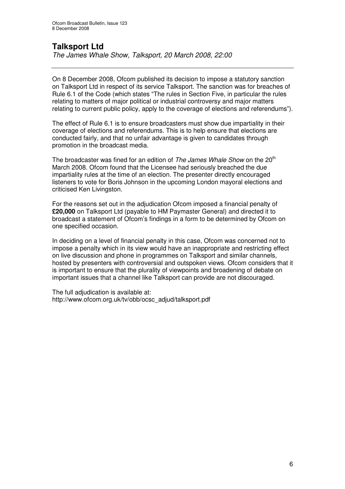## **Talksport Ltd**

*The James Whale Show, Talksport, 20 March 2008, 22:00*

On 8 December 2008, Ofcom published its decision to impose a statutory sanction on Talksport Ltd in respect of its service Talksport. The sanction was for breaches of Rule 6.1 of the Code (which states "The rules in Section Five, in particular the rules relating to matters of major political or industrial controversy and major matters relating to current public policy, apply to the coverage of elections and referendums").

The effect of Rule 6.1 is to ensure broadcasters must show due impartiality in their coverage of elections and referendums. This is to help ensure that elections are conducted fairly, and that no unfair advantage is given to candidates through promotion in the broadcast media.

The broadcaster was fined for an edition of *The James Whale Show* on the 20 th March 2008. Ofcom found that the Licensee had seriously breached the due impartiality rules at the time of an election. The presenter directly encouraged listeners to vote for Boris Johnson in the upcoming London mayoral elections and criticised Ken Livingston.

For the reasons set out in the adjudication Ofcom imposed a financial penalty of **£20,000** on Talksport Ltd (payable to HM Paymaster General) and directed it to broadcast a statement of Ofcom's findings in a form to be determined by Ofcom on one specified occasion.

In deciding on a level of financial penalty in this case, Ofcom was concerned not to impose a penalty which in its view would have an inappropriate and restricting effect on live discussion and phone in programmes on Talksport and similar channels, hosted by presenters with controversial and outspoken views. Ofcom considers that it is important to ensure that the plurality of viewpoints and broadening of debate on important issues that a channel like Talksport can provide are not discouraged.

The full adjudication is available at: http://www.ofcom.org.uk/tv/obb/ocsc\_adjud/talksport.pdf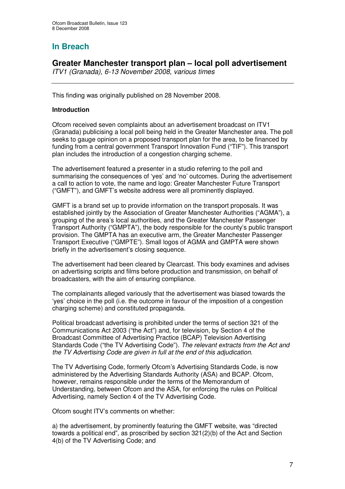## **In Breach**

### **Greater Manchester transport plan – local poll advertisement**

*ITV1 (Granada), 6-13 November 2008, various times*

This finding was originally published on 28 November 2008.

#### **Introduction**

Ofcom received seven complaints about an advertisement broadcast on ITV1 (Granada) publicising a local poll being held in the Greater Manchester area. The poll seeks to gauge opinion on a proposed transport plan for the area, to be financed by funding from a central government Transport Innovation Fund ("TIF"). This transport plan includes the introduction of a congestion charging scheme.

The advertisement featured a presenter in a studio referring to the poll and summarising the consequences of 'yes' and 'no' outcomes. During the advertisement a call to action to vote, the name and logo: Greater Manchester Future Transport ("GMFT"), and GMFT's website address were all prominently displayed.

GMFT is a brand set up to provide information on the transport proposals. It was established jointly by the Association of Greater Manchester Authorities ("AGMA"), a grouping of the area's local authorities, and the Greater Manchester Passenger Transport Authority ("GMPTA"), the body responsible for the county's public transport provision. The GMPTA has an executive arm, the Greater Manchester Passenger Transport Executive ("GMPTE"). Small logos of AGMA and GMPTA were shown briefly in the advertisement's closing sequence.

The advertisement had been cleared by Clearcast. This body examines and advises on advertising scripts and films before production and transmission, on behalf of broadcasters, with the aim of ensuring compliance.

The complainants alleged variously that the advertisement was biased towards the 'yes' choice in the poll (i.e. the outcome in favour of the imposition of a congestion charging scheme) and constituted propaganda.

Political broadcast advertising is prohibited under the terms of section 321 of the Communications Act 2003 ("the Act") and, for television, by Section 4 of the Broadcast Committee of Advertising Practice (BCAP) Television Advertising Standards Code ("the TV Advertising Code"). *The relevant extracts from the Act and the TV Advertising Code are given in full at the end of this adjudication.*

The TV Advertising Code, formerly Ofcom's Advertising Standards Code, is now administered by the Advertising Standards Authority (ASA) and BCAP. Ofcom, however, remains responsible under the terms of the Memorandum of Understanding, between Ofcom and the ASA, for enforcing the rules on Political Advertising, namely Section 4 of the TV Advertising Code.

Ofcom sought ITV's comments on whether:

a) the advertisement, by prominently featuring the GMFT website, was "directed towards a political end", as proscribed by section 321(2)(b) of the Act and Section 4(b) of the TV Advertising Code; and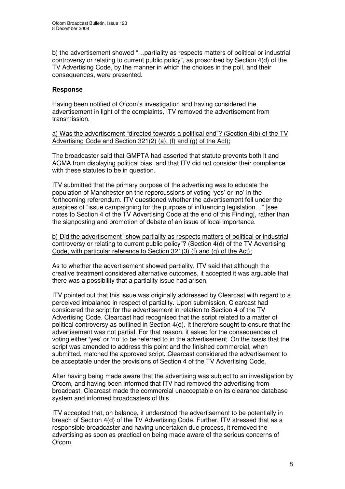b) the advertisement showed "…partiality as respects matters of political or industrial controversy or relating to current public policy", as proscribed by Section 4(d) of the TV Advertising Code, by the manner in which the choices in the poll, and their consequences, were presented.

#### **Response**

Having been notified of Ofcom's investigation and having considered the advertisement in light of the complaints, ITV removed the advertisement from transmission.

a) Was the advertisement "directed towards a political end"? (Section 4(b) of the TV Advertising Code and Section 321(2) (a), (f) and (g) of the Act);

The broadcaster said that GMPTA had asserted that statute prevents both it and AGMA from displaying political bias, and that ITV did not consider their compliance with these statutes to be in question.

ITV submitted that the primary purpose of the advertising was to educate the population of Manchester on the repercussions of voting 'yes' or 'no' in the forthcoming referendum. ITV questioned whether the advertisement fell under the auspices of "issue campaigning for the purpose of influencing legislation…" [see notes to Section 4 of the TV Advertising Code at the end of this Finding], rather than the signposting and promotion of debate of an issue of local importance.

b) Did the advertisement "show partiality as respects matters of political or industrial controversy or relating to current public policy"? (Section 4(d) of the TV Advertising Code, with particular reference to Section 321(3) (f) and (g) of the Act);

As to whether the advertisement showed partiality, ITV said that although the creative treatment considered alternative outcomes, it accepted it was arguable that there was a possibility that a partiality issue had arisen.

ITV pointed out that this issue was originally addressed by Clearcast with regard to a perceived imbalance in respect of partiality. Upon submission, Clearcast had considered the script for the advertisement in relation to Section 4 of the TV Advertising Code. Clearcast had recognised that the script related to a matter of political controversy as outlined in Section 4(d). It therefore sought to ensure that the advertisement was not partial. For that reason, it asked for the consequences of voting either 'yes' or 'no' to be referred to in the advertisement. On the basis that the script was amended to address this point and the finished commercial, when submitted, matched the approved script, Clearcast considered the advertisement to be acceptable under the provisions of Section 4 of the TV Advertising Code.

After having being made aware that the advertising was subject to an investigation by Ofcom, and having been informed that ITV had removed the advertising from broadcast, Clearcast made the commercial unacceptable on its clearance database system and informed broadcasters of this.

ITV accepted that, on balance, it understood the advertisement to be potentially in breach of Section 4(d) of the TV Advertising Code. Further, ITV stressed that as a responsible broadcaster and having undertaken due process, it removed the advertising as soon as practical on being made aware of the serious concerns of Ofcom.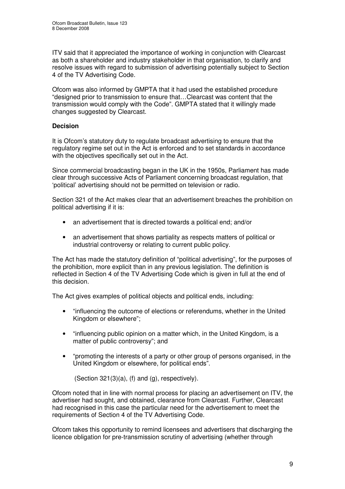ITV said that it appreciated the importance of working in conjunction with Clearcast as both a shareholder and industry stakeholder in that organisation, to clarify and resolve issues with regard to submission of advertising potentially subject to Section 4 of the TV Advertising Code.

Ofcom was also informed by GMPTA that it had used the established procedure "designed prior to transmission to ensure that…Clearcast was content that the transmission would comply with the Code". GMPTA stated that it willingly made changes suggested by Clearcast.

#### **Decision**

It is Ofcom's statutory duty to regulate broadcast advertising to ensure that the regulatory regime set out in the Act is enforced and to set standards in accordance with the objectives specifically set out in the Act.

Since commercial broadcasting began in the UK in the 1950s, Parliament has made clear through successive Acts of Parliament concerning broadcast regulation, that 'political' advertising should not be permitted on television or radio.

Section 321 of the Act makes clear that an advertisement breaches the prohibition on political advertising if it is:

- an advertisement that is directed towards a political end; and/or
- an advertisement that shows partiality as respects matters of political or industrial controversy or relating to current public policy.

The Act has made the statutory definition of "political advertising", for the purposes of the prohibition, more explicit than in any previous legislation. The definition is reflected in Section 4 of the TV Advertising Code which is given in full at the end of this decision.

The Act gives examples of political objects and political ends, including:

- "influencing the outcome of elections or referendums, whether in the United Kingdom or elsewhere";
- "influencing public opinion on a matter which, in the United Kingdom, is a matter of public controversy"; and
- "promoting the interests of a party or other group of persons organised, in the United Kingdom or elsewhere, for political ends".

(Section 321(3)(a), (f) and (g), respectively).

Ofcom noted that in line with normal process for placing an advertisement on ITV, the advertiser had sought, and obtained, clearance from Clearcast. Further, Clearcast had recognised in this case the particular need for the advertisement to meet the requirements of Section 4 of the TV Advertising Code.

Ofcom takes this opportunity to remind licensees and advertisers that discharging the licence obligation for pre-transmission scrutiny of advertising (whether through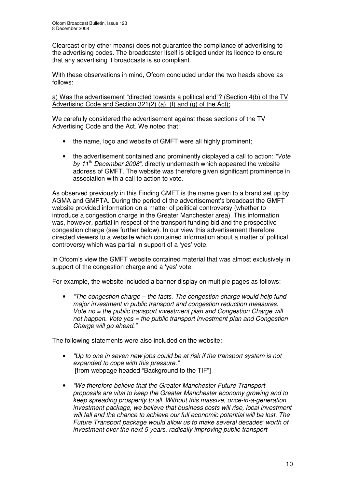Clearcast or by other means) does not guarantee the compliance of advertising to the advertising codes. The broadcaster itself is obliged under its licence to ensure that any advertising it broadcasts is so compliant.

With these observations in mind, Ofcom concluded under the two heads above as follows:

a) Was the advertisement "directed towards a political end"? (Section 4(b) of the TV Advertising Code and Section 321(2) (a), (f) and (g) of the Act);

We carefully considered the advertisement against these sections of the TV Advertising Code and the Act. We noted that:

- the name, logo and website of GMFT were all highly prominent;
- the advertisement contained and prominently displayed a call to action: *"Vote by 11 th December 2008",* directly underneath which appeared the website address of GMFT. The website was therefore given significant prominence in association with a call to action to vote.

As observed previously in this Finding GMFT is the name given to a brand set up by AGMA and GMPTA. During the period of the advertisement's broadcast the GMFT website provided information on a matter of political controversy (whether to introduce a congestion charge in the Greater Manchester area). This information was, however, partial in respect of the transport funding bid and the prospective congestion charge (see further below). In our view this advertisement therefore directed viewers to a website which contained information about a matter of political controversy which was partial in support of a 'yes' vote.

In Ofcom's view the GMFT website contained material that was almost exclusively in support of the congestion charge and a 'yes' vote.

For example, the website included a banner display on multiple pages as follows:

• *"The congestion charge – the facts. The congestion charge would help fund major investment in public transport and congestion reduction measures. Vote no = the public transport investment plan and Congestion Charge will not happen. Vote yes = the public transport investment plan and Congestion Charge will go ahead."*

The following statements were also included on the website:

- *"Up to one in seven new jobs could be at risk if the transport system is not expanded to cope with this pressure."* [from webpage headed "Background to the TIF"]
- *"We therefore believe that the Greater Manchester Future Transport proposals are vital to keep the Greater Manchester economy growing and to keep spreading prosperity to all. Without this massive, once-in-a-generation investment package, we believe that business costs will rise, local investment will fall and the chance to achieve our full economic potential will be lost. The Future Transport package would allow us to make several decades' worth of investment over the next 5 years, radically improving public transport*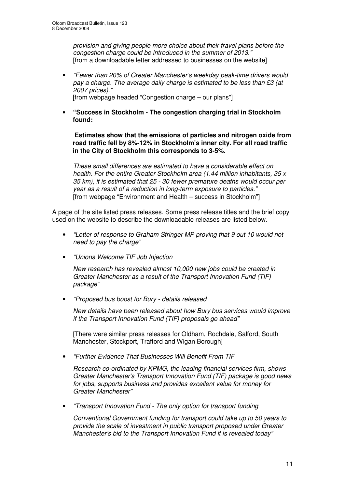*provision and giving people more choice about their travel plans before the congestion charge could be introduced in the summer of 2013."* [from a downloadable letter addressed to businesses on the website]

- *"Fewer than 20% of Greater Manchester's weekday peak-time drivers would pay a charge. The average daily charge is estimated to be less than £3 (at 2007 prices)."* [from webpage headed "Congestion charge – our plans"]
- **"Success in Stockholm - The congestion charging trial in Stockholm found:**

**Estimates show that the emissions of particles and nitrogen oxide from road traffic fell by 8%-12% in Stockholm's inner city. For all road traffic in the City of Stockholm this corresponds to 3-5%.**

*These small differences are estimated to have a considerable effect on health. For the entire Greater Stockholm area (1.44 million inhabitants, 35 x 35 km), it is estimated that 25 - 30 fewer premature deaths would occur per year as a result of a reduction in long-term exposure to particles."* [from webpage "Environment and Health – success in Stockholm"]

A page of the site listed press releases. Some press release titles and the brief copy used on the website to describe the downloadable releases are listed below.

- *"Letter of response to Graham Stringer MP proving that 9 out 10 would not need to pay the charge"*
- *"Unions Welcome TIF Job Injection*

*New research has revealed almost 10,000 new jobs could be created in Greater Manchester as a result of the Transport Innovation Fund (TIF) package"*

• *"Proposed bus boost for Bury - details released*

*New details have been released about how Bury bus services would improve if the Transport Innovation Fund (TIF) proposals go ahead"*

[There were similar press releases for Oldham, Rochdale, Salford, South Manchester, Stockport, Trafford and Wigan Borough]

• *"Further Evidence That Businesses Will Benefit From TIF*

*Research co-ordinated by KPMG, the leading financial services firm, shows Greater Manchester's Transport Innovation Fund (TIF) package is good news for jobs, supports business and provides excellent value for money for Greater Manchester"*

• *"Transport Innovation Fund - The only option for transport funding*

*Conventional Government funding for transport could take up to 50 years to provide the scale of investment in public transport proposed under Greater Manchester's bid to the Transport Innovation Fund it is revealed today"*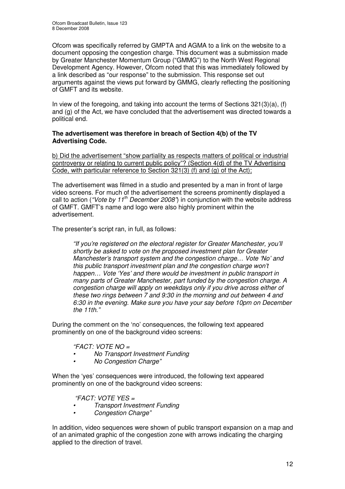Ofcom was specifically referred by GMPTA and AGMA to a link on the website to a document opposing the congestion charge. This document was a submission made by Greater Manchester Momentum Group ("GMMG") to the North West Regional Development Agency. However, Ofcom noted that this was immediately followed by a link described as "our response" to the submission. This response set out arguments against the views put forward by GMMG, clearly reflecting the positioning of GMFT and its website.

In view of the foregoing, and taking into account the terms of Sections  $321(3)(a)$ , (f) and (g) of the Act, we have concluded that the advertisement was directed towards a political end.

#### **The advertisement was therefore in breach of Section 4(b) of the TV Advertising Code.**

b) Did the advertisement "show partiality as respects matters of political or industrial controversy or relating to current public policy"? (Section 4(d) of the TV Advertising Code, with particular reference to Section 321(3) (f) and (g) of the Act);

The advertisement was filmed in a studio and presented by a man in front of large video screens. For much of the advertisement the screens prominently displayed a call to action (*"Vote by 11 th December 2008"*) in conjunction with the website address of GMFT. GMFT's name and logo were also highly prominent within the advertisement.

The presenter's script ran, in full, as follows:

*"If you're registered on the electoral register for Greater Manchester, you'll shortly be asked to vote on the proposed investment plan for Greater Manchester's transport system and the congestion charge… Vote 'No' and this public transport investment plan and the congestion charge won't happen… Vote 'Yes' and there would be investment in public transport in many parts of Greater Manchester, part funded by the congestion charge. A congestion charge will apply on weekdays only if you drive across either of these two rings between 7 and 9:30 in the morning and out between 4 and 6:30 in the evening. Make sure you have your say before 10pm on December the 11th."*

During the comment on the 'no' consequences, the following text appeared prominently on one of the background video screens:

#### *"FACT: VOTE NO =*

- *• No Transport Investment Funding*
- *• No Congestion Charge"*

When the 'yes' consequences were introduced, the following text appeared prominently on one of the background video screens:

#### *"FACT: VOTE YES =*

- *• Transport Investment Funding*
- *• Congestion Charge"*

In addition, video sequences were shown of public transport expansion on a map and of an animated graphic of the congestion zone with arrows indicating the charging applied to the direction of travel.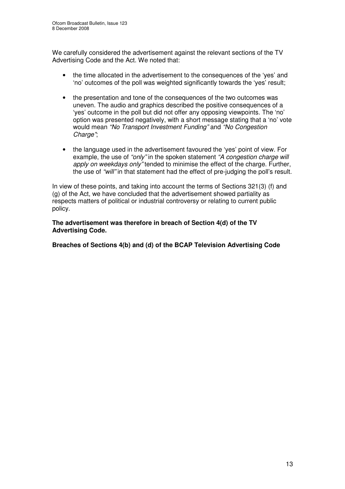We carefully considered the advertisement against the relevant sections of the TV Advertising Code and the Act. We noted that:

- the time allocated in the advertisement to the consequences of the 'yes' and 'no' outcomes of the poll was weighted significantly towards the 'yes' result;
- the presentation and tone of the consequences of the two outcomes was uneven. The audio and graphics described the positive consequences of a 'yes' outcome in the poll but did not offer any opposing viewpoints. The 'no' option was presented negatively, with a short message stating that a 'no' vote would mean *"No Transport Investment Funding"* and *"No Congestion Charge"*;
- the language used in the advertisement favoured the 'yes' point of view. For example, the use of *"only"* in the spoken statement *"A congestion charge will apply on weekdays only"* tended to minimise the effect of the charge. Further, the use of *"will"* in that statement had the effect of pre-judging the poll's result.

In view of these points, and taking into account the terms of Sections 321(3) (f) and (g) of the Act, we have concluded that the advertisement showed partiality as respects matters of political or industrial controversy or relating to current public policy.

**The advertisement was therefore in breach of Section 4(d) of the TV Advertising Code.**

**Breaches of Sections 4(b) and (d) of the BCAP Television Advertising Code**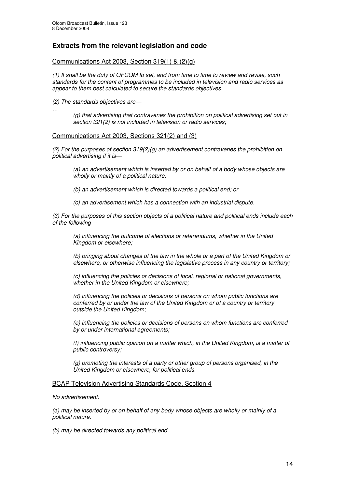#### **Extracts from the relevant legislation and code**

#### Communications Act 2003, Section 319(1) & (2)(g)

(1) It shall be the duty of OFCOM to set, and from time to time to review and revise, such *standards for the content of programmes to be included in television and radio services as appear to them best calculated to secure the standards objectives.*

*(2) The standards objectives are—*

*…*

*(g) that advertising that contravenes the prohibition on political advertising set out in section 321(2) is not included in television or radio services;*

#### Communications Act 2003, Sections 321(2) and (3)

*(2) For the purposes of section 319(2)(g) an advertisement contravenes the prohibition on political advertising if it is—*

*(a) an advertisement which is inserted by or on behalf of a body whose objects are wholly or mainly of a political nature;*

*(b) an advertisement which is directed towards a political end; or*

*(c) an advertisement which has a connection with an industrial dispute.*

*(3) For the purposes of this section objects of a political nature and political ends include each of the following—*

*(a) influencing the outcome of elections or referendums, whether in the United Kingdom or elsewhere;*

*(b) bringing about changes of the law in the whole or a part of the United Kingdom or elsewhere, or otherwise influencing the legislative process in any country or territory;*

*(c) influencing the policies or decisions of local, regional or national governments, whether in the United Kingdom or elsewhere;*

*(d) influencing the policies or decisions of persons on whom public functions are conferred by or under the law of the United Kingdom or of a country or territory outside the United Kingdom;*

*(e) influencing the policies or decisions of persons on whom functions are conferred by or under international agreements;*

*(f) influencing public opinion on a matter which, in the United Kingdom, is a matter of public controversy;*

*(g) promoting the interests of a party or other group of persons organised, in the United Kingdom or elsewhere, for political ends.*

#### BCAP Television Advertising Standards Code, Section 4

*No advertisement:*

*(a) may be inserted by or on behalf of any body whose objects are wholly or mainly of a political nature.*

*(b) may be directed towards any political end.*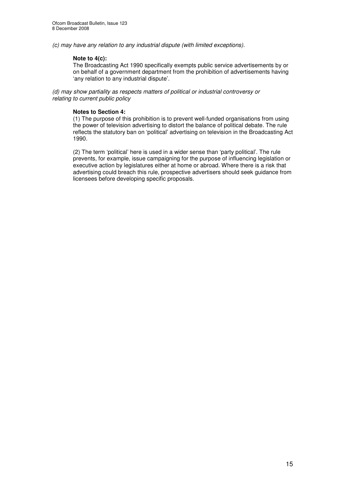*(c) may have any relation to any industrial dispute (with limited exceptions).*

#### **Note to 4(c):**

The Broadcasting Act 1990 specifically exempts public service advertisements by or on behalf of a government department from the prohibition of advertisements having 'any relation to any industrial dispute'.

*(d) may show partiality as respects matters of political or industrial controversy or relating to current public policy*

#### **Notes to Section 4:**

(1) The purpose of this prohibition is to prevent well-funded organisations from using the power of television advertising to distort the balance of political debate. The rule reflects the statutory ban on 'political' advertising on television in the Broadcasting Act 1990.

(2) The term 'political' here is used in a wider sense than 'party political'. The rule prevents, for example, issue campaigning for the purpose of influencing legislation or executive action by legislatures either at home or abroad. Where there is a risk that advertising could breach this rule, prospective advertisers should seek guidance from licensees before developing specific proposals.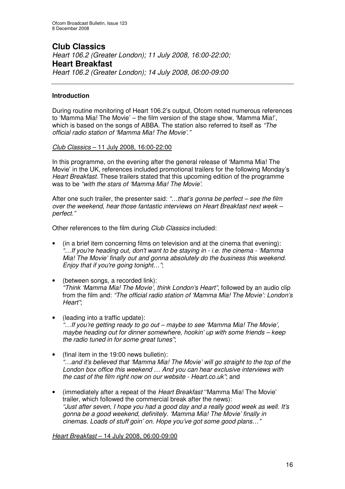# **Club Classics**

*Heart 106.2 (Greater London); 11 July 2008, 16:00-22:00;* **Heart Breakfast** *Heart 106.2 (Greater London); 14 July 2008, 06:00-09:00*

#### **Introduction**

During routine monitoring of Heart 106.2's output, Ofcom noted numerous references to 'Mamma Mia! The Movie' – the film version of the stage show, 'Mamma Mia!', which is based on the songs of ABBA. The station also referred to itself as *"The official radio station of 'Mamma Mia! The Movie'*.*"*

*Club Classics* – 11 July 2008, 16:00-22:00

In this programme, on the evening after the general release of 'Mamma Mia! The Movie' in the UK, references included promotional trailers for the following Monday's *Heart Breakfast*. These trailers stated that this upcoming edition of the programme was to be *"with the stars of 'Mamma Mia! The Movie'*.

After one such trailer, the presenter said: *"…that's gonna be perfect – see the film over the weekend, hear those fantastic interviews on Heart Breakfast next week – perfect."*

Other references to the film during *Club Classics* included:

- (in a brief item concerning films on television and at the cinema that evening): *"…If you're heading out, don't want to be staying in - i.e. the cinema - 'Mamma Mia! The Movie' finally out and gonna absolutely do the business this weekend. Enjoy that if you're going tonight…"*;
- (between songs, a recorded link): *"Think 'Mamma Mia! The Movie', think London's Heart"*, followed by an audio clip from the film and: *"The official radio station of 'Mamma Mia! The Movie': London's Heart"*;
- (leading into a traffic update): *"…If you're getting ready to go out – maybe to see 'Mamma Mia! The Movie', maybe heading out for dinner somewhere, hookin' up with some friends – keep the radio tuned in for some great tunes"*;
- (final item in the 19:00 news bulletin): *"*…*and it's believed that 'Mamma Mia! The Movie' will go straight to the top of the London box office this weekend … And you can hear exclusive interviews with the cast of the film right now on our website - Heart.co.uk"*; and
- (immediately after a repeat of the *Heart Breakfast* ''Mamma Mia! The Movie' trailer, which followed the commercial break after the news): *"Just after seven, I hope you had a good day and a really good week as well. It's gonna be a good weekend, definitely. 'Mamma Mia! The Movie' finally in cinemas. Loads of stuff goin' on. Hope you've got some good plans…"*

*Heart Breakfast* – 14 July 2008, 06:00-09:00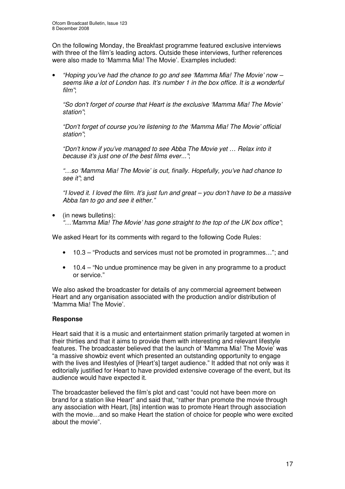On the following Monday, the Breakfast programme featured exclusive interviews with three of the film's leading actors. Outside these interviews, further references were also made to 'Mamma Mia! The Movie'. Examples included:

• *"Hoping you've had the chance to go and see 'Mamma Mia! The Movie' now – seems like a lot of London has. It's number 1 in the box office. It is a wonderful film"*;

*"So don't forget of course that Heart is the exclusive 'Mamma Mia! The Movie' station"*;

*"Don't forget of course you're listening to the 'Mamma Mia! The Movie' official station"*;

*"Don't know if you've managed to see Abba The Movie yet … Relax into it because it's just one of the best films ever..."*;

*"…so 'Mamma Mia! The Movie' is out, finally. Hopefully, you've had chance to see it"*; and

"I loved it. I loved the film. It's just fun and great – you don't have to be a massive *Abba fan to go and see it either."*

• (in news bulletins): *"…'Mamma Mia! The Movie' has gone straight to the top of the UK box office"*;

We asked Heart for its comments with regard to the following Code Rules:

- 10.3 "Products and services must not be promoted in programmes…"; and
- 10.4 "No undue prominence may be given in any programme to a product or service."

We also asked the broadcaster for details of any commercial agreement between Heart and any organisation associated with the production and/or distribution of 'Mamma Mia! The Movie'.

#### **Response**

Heart said that it is a music and entertainment station primarily targeted at women in their thirties and that it aims to provide them with interesting and relevant lifestyle features. The broadcaster believed that the launch of 'Mamma Mia! The Movie' was "a massive showbiz event which presented an outstanding opportunity to engage with the lives and lifestyles of [Heart's] target audience." It added that not only was it editorially justified for Heart to have provided extensive coverage of the event, but its audience would have expected it.

The broadcaster believed the film's plot and cast "could not have been more on brand for a station like Heart" and said that, "rather than promote the movie through any association with Heart, [its] intention was to promote Heart through association with the movie…and so make Heart the station of choice for people who were excited about the movie".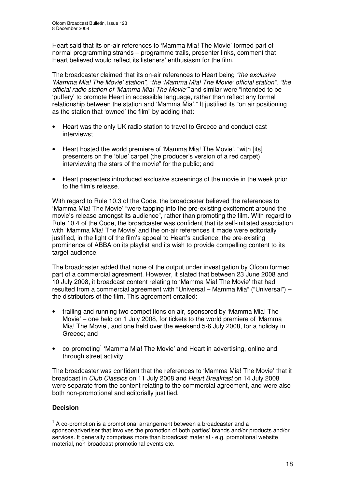Heart said that its on-air references to 'Mamma Mia! The Movie' formed part of normal programming strands – programme trails, presenter links, comment that Heart believed would reflect its listeners' enthusiasm for the film.

The broadcaster claimed that its on-air references to Heart being *"the exclusive 'Mamma Mia! The Movie' station"*, *"the 'Mamma Mia! The Movie' official station"*, *"the official radio station of 'Mamma Mia! The Movie'"* and similar were "intended to be 'puffery' to promote Heart in accessible language, rather than reflect any formal relationship between the station and 'Mamma Mia'." It justified its "on air positioning as the station that 'owned' the film" by adding that:

- Heart was the only UK radio station to travel to Greece and conduct cast interviews;
- Heart hosted the world premiere of 'Mamma Mia! The Movie', "with [its] presenters on the 'blue' carpet (the producer's version of a red carpet) interviewing the stars of the movie" for the public; and
- Heart presenters introduced exclusive screenings of the movie in the week prior to the film's release.

With regard to Rule 10.3 of the Code, the broadcaster believed the references to 'Mamma Mia! The Movie' "were tapping into the pre-existing excitement around the movie's release amongst its audience", rather than promoting the film. With regard to Rule 10.4 of the Code, the broadcaster was confident that its self-initiated association with 'Mamma Mia! The Movie' and the on-air references it made were editorially justified, in the light of the film's appeal to Heart's audience, the pre-existing prominence of ABBA on its playlist and its wish to provide compelling content to its target audience.

The broadcaster added that none of the output under investigation by Ofcom formed part of a commercial agreement. However, it stated that between 23 June 2008 and 10 July 2008, it broadcast content relating to 'Mamma Mia! The Movie' that had resulted from a commercial agreement with "Universal – Mamma Mia" ("Universal") – the distributors of the film. This agreement entailed:

- trailing and running two competitions on air, sponsored by 'Mamma Mia! The Movie' – one held on 1 July 2008, for tickets to the world premiere of 'Mamma Mia! The Movie', and one held over the weekend 5-6 July 2008, for a holiday in Greece; and
- co-promoting<sup>1</sup> 'Mamma Mia! The Movie' and Heart in advertising, online and through street activity.

The broadcaster was confident that the references to 'Mamma Mia! The Movie' that it broadcast in *Club Classics* on 11 July 2008 and *Heart Breakfast* on 14 July 2008 were separate from the content relating to the commercial agreement, and were also both non-promotional and editorially justified.

#### **Decision**

 $1$  A co-promotion is a promotional arrangement between a broadcaster and a sponsor/advertiser that involves the promotion of both parties' brands and/or products and/or services. It generally comprises more than broadcast material - e.g. promotional website material, non-broadcast promotional events etc.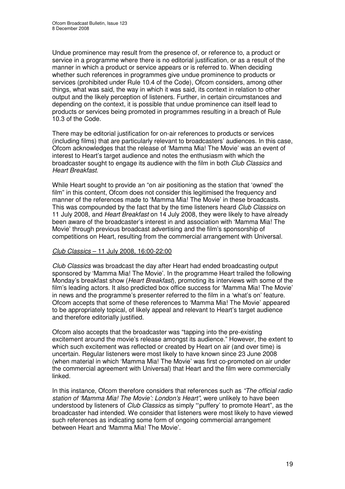Undue prominence may result from the presence of, or reference to, a product or service in a programme where there is no editorial justification, or as a result of the manner in which a product or service appears or is referred to. When deciding whether such references in programmes give undue prominence to products or services (prohibited under Rule 10.4 of the Code), Ofcom considers, among other things, what was said, the way in which it was said, its context in relation to other output and the likely perception of listeners. Further, in certain circumstances and depending on the context, it is possible that undue prominence can itself lead to products or services being promoted in programmes resulting in a breach of Rule 10.3 of the Code.

There may be editorial justification for on-air references to products or services (including films) that are particularly relevant to broadcasters' audiences. In this case, Ofcom acknowledges that the release of 'Mamma Mia! The Movie' was an event of interest to Heart's target audience and notes the enthusiasm with which the broadcaster sought to engage its audience with the film in both *Club Classics* and *Heart Breakfast*.

While Heart sought to provide an "on air positioning as the station that 'owned' the film" in this content, Ofcom does not consider this legitimised the frequency and manner of the references made to 'Mamma Mia! The Movie' in these broadcasts. This was compounded by the fact that by the time listeners heard *Club Classics* on 11 July 2008, and *Heart Breakfast* on 14 July 2008, they were likely to have already been aware of the broadcaster's interest in and association with 'Mamma Mia! The Movie' through previous broadcast advertising and the film's sponsorship of competitions on Heart, resulting from the commercial arrangement with Universal.

#### *Club Classics* – 11 July 2008, 16:00-22:00

*Club Classics* was broadcast the day after Heart had ended broadcasting output sponsored by 'Mamma Mia! The Movie'. In the programme Heart trailed the following Monday's breakfast show (*Heart Breakfast*), promoting its interviews with some of the film's leading actors. It also predicted box office success for 'Mamma Mia! The Movie' in news and the programme's presenter referred to the film in a 'what's on' feature. Ofcom accepts that some of these references to 'Mamma Mia! The Movie' appeared to be appropriately topical, of likely appeal and relevant to Heart's target audience and therefore editorially justified.

Ofcom also accepts that the broadcaster was "tapping into the pre-existing excitement around the movie's release amongst its audience." However, the extent to which such excitement was reflected or created by Heart on air (and over time) is uncertain. Regular listeners were most likely to have known since 23 June 2008 (when material in which 'Mamma Mia! The Movie' was first co-promoted on air under the commercial agreement with Universal) that Heart and the film were commercially linked.

In this instance, Ofcom therefore considers that references such as *"The official radio station of 'Mamma Mia! The Movie': London's Heart"*, were unlikely to have been understood by listeners of *Club Classics* as simply "'puffery' to promote Heart", as the broadcaster had intended. We consider that listeners were most likely to have viewed such references as indicating some form of ongoing commercial arrangement between Heart and 'Mamma Mia! The Movie'.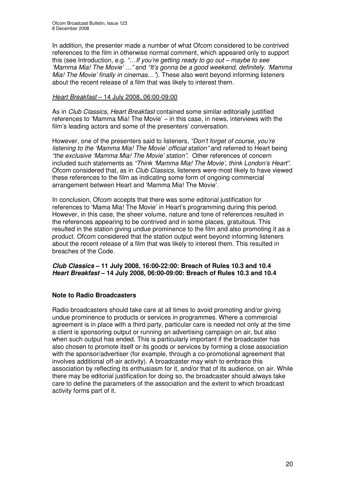In addition, the presenter made a number of what Ofcom considered to be contrived references to the film in otherwise normal comment, which appeared only to support this (see Introduction, e.g. *"…If you're getting ready to go out – maybe to see 'Mamma Mia! The Movie' …"* and *"It's gonna be a good weekend, definitely. 'Mamma Mia! The Movie' finally in cinemas…"*). These also went beyond informing listeners about the recent release of a film that was likely to interest them.

#### *Heart Breakfast* – 14 July 2008, 06:00-09:00

As in *Club Classics, Heart Breakfast* contained some similar editorially justified references to 'Mamma Mia! The Movie' – in this case, in news, interviews with the film's leading actors and some of the presenters' conversation.

However, one of the presenters said to listeners, *"Don't forget of course, you're listening to the 'Mamma Mia! The Movie' official station"* and referred to Heart being *"the exclusive 'Mamma Mia! The Movie' station"*. Other references of concern included such statements as *"Think 'Mamma Mia! The Movie', think London's Heart"*. Ofcom considered that, as in *Club Classics*, listeners were most likely to have viewed these references to the film as indicating some form of ongoing commercial arrangement between Heart and 'Mamma Mia! The Movie'.

In conclusion, Ofcom accepts that there was some editorial justification for references to 'Mama Mia! The Movie' in Heart's programming during this period. However, in this case, the sheer volume, nature and tone of references resulted in the references appearing to be contrived and in some places, gratuitous. This resulted in the station giving undue prominence to the film and also promoting it as a product. Ofcom considered that the station output went beyond informing listeners about the recent release of a film that was likely to interest them. This resulted in breaches of the Code.

#### *Club Classics* **– 11 July 2008, 16:00-22:00: Breach of Rules 10.3 and 10.4** *Heart Breakfast* **– 14 July 2008, 06:00-09:00: Breach of Rules 10.3 and 10.4**

#### **Note to Radio Broadcasters**

Radio broadcasters should take care at all times to avoid promoting and/or giving undue prominence to products or services in programmes. Where a commercial agreement is in place with a third party, particular care is needed not only at the time a client is sponsoring output or running an advertising campaign on air, but also when such output has ended. This is particularly important if the broadcaster has also chosen to promote itself or its goods or services by forming a close association with the sponsor/advertiser (for example, through a co-promotional agreement that involves additional off-air activity). A broadcaster may wish to embrace this association by reflecting its enthusiasm for it, and/or that of its audience, on air. While there may be editorial justification for doing so, the broadcaster should always take care to define the parameters of the association and the extent to which broadcast activity forms part of it.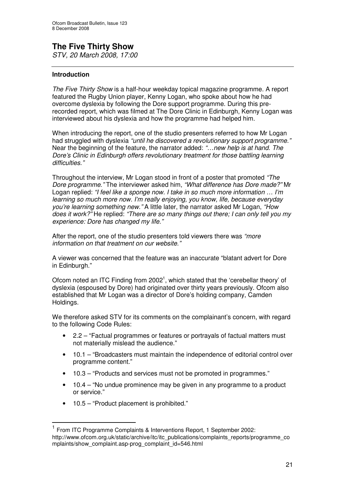# **The Five Thirty Show**

*STV, 20 March 2008, 17:00*

#### **Introduction**

*The Five Thirty Show* is a half-hour weekday topical magazine programme. A report featured the Rugby Union player, Kenny Logan, who spoke about how he had overcome dyslexia by following the Dore support programme. During this prerecorded report, which was filmed at The Dore Clinic in Edinburgh, Kenny Logan was interviewed about his dyslexia and how the programme had helped him.

When introducing the report, one of the studio presenters referred to how Mr Logan had struggled with dyslexia *"until he discovered a revolutionary support programme."* Near the beginning of the feature, the narrator added: *"…new help is at hand. The Dore's Clinic in Edinburgh offers revolutionary treatment for those battling learning difficulties."*

Throughout the interview, Mr Logan stood in front of a poster that promoted *"The Dore programme."* The interviewer asked him, *"What difference has Dore made?"* Mr Logan replied: *"I feel like a sponge now. I take in so much more information … I'm learning so much more now. I'm really enjoying, you know, life, because everyday you're learning something new."* A little later, the narrator asked Mr Logan, *"How does it work?"* He replied: *"There are so many things out there; I can only tell you my experience: Dore has changed my life."*

After the report, one of the studio presenters told viewers there was *"more information on that treatment on our website."*

A viewer was concerned that the feature was an inaccurate "blatant advert for Dore in Edinburgh."

Ofcom noted an ITC Finding from 2002<sup>1</sup>, which stated that the 'cerebellar theory' of dyslexia (espoused by Dore) had originated over thirty years previously. Ofcom also established that Mr Logan was a director of Dore's holding company, Camden Holdings.

We therefore asked STV for its comments on the complainant's concern, with regard to the following Code Rules:

- 2.2 "Factual programmes or features or portrayals of factual matters must not materially mislead the audience."
- 10.1 "Broadcasters must maintain the independence of editorial control over programme content."
- 10.3 "Products and services must not be promoted in programmes."
- 10.4 "No undue prominence may be given in any programme to a product or service."
- 10.5 "Product placement is prohibited."

<sup>&</sup>lt;sup>1</sup> From ITC Programme Complaints & Interventions Report, 1 September 2002: http://www.ofcom.org.uk/static/archive/itc/itc\_publications/complaints\_reports/programme\_co mplaints/show\_complaint.asp-prog\_complaint\_id=546.html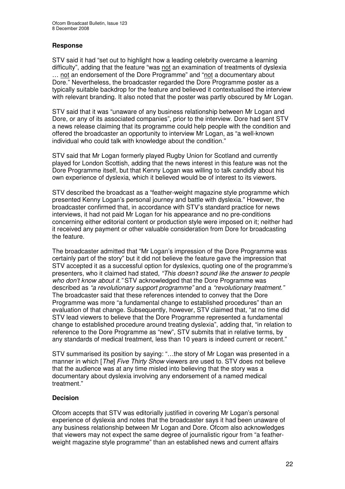#### **Response**

STV said it had "set out to highlight how a leading celebrity overcame a learning difficulty", adding that the feature "was not an examination of treatments of dyslexia … not an endorsement of the Dore Programme" and "not a documentary about Dore." Nevertheless, the broadcaster regarded the Dore Programme poster as a typically suitable backdrop for the feature and believed it contextualised the interview with relevant branding. It also noted that the poster was partly obscured by Mr Logan.

STV said that it was "unaware of any business relationship between Mr Logan and Dore, or any of its associated companies", prior to the interview. Dore had sent STV a news release claiming that its programme could help people with the condition and offered the broadcaster an opportunity to interview Mr Logan, as "a well-known individual who could talk with knowledge about the condition."

STV said that Mr Logan formerly played Rugby Union for Scotland and currently played for London Scottish, adding that the news interest in this feature was not the Dore Programme itself, but that Kenny Logan was willing to talk candidly about his own experience of dyslexia, which it believed would be of interest to its viewers.

STV described the broadcast as a "feather-weight magazine style programme which presented Kenny Logan's personal journey and battle with dyslexia." However, the broadcaster confirmed that, in accordance with STV's standard practice for news interviews, it had not paid Mr Logan for his appearance and no pre-conditions concerning either editorial content or production style were imposed on it; neither had it received any payment or other valuable consideration from Dore for broadcasting the feature.

The broadcaster admitted that "Mr Logan's impression of the Dore Programme was certainly part of the story" but it did not believe the feature gave the impression that STV accepted it as a successful option for dyslexics, quoting one of the programme's presenters, who it claimed had stated, *"This doesn't sound like the answer to people who don't know about it."* STV acknowledged that the Dore Programme was described as *"a revolutionary support programme"* and a *"revolutionary treatment."* The broadcaster said that these references intended to convey that the Dore Programme was more "a fundamental change to established procedures" than an evaluation of that change. Subsequently, however, STV claimed that, "at no time did STV lead viewers to believe that the Dore Programme represented a fundamental change to established procedure around treating dyslexia", adding that, "in relation to reference to the Dore Programme as "new", STV submits that in relative terms, by any standards of medical treatment, less than 10 years is indeed current or recent."

STV summarised its position by saying: "…the story of Mr Logan was presented in a manner in which [*The*] *Five Thirty Show* viewers are used to. STV does not believe that the audience was at any time misled into believing that the story was a documentary about dyslexia involving any endorsement of a named medical treatment."

#### **Decision**

Ofcom accepts that STV was editorially justified in covering Mr Logan's personal experience of dyslexia and notes that the broadcaster says it had been unaware of any business relationship between Mr Logan and Dore. Ofcom also acknowledges that viewers may not expect the same degree of journalistic rigour from "a featherweight magazine style programme" than an established news and current affairs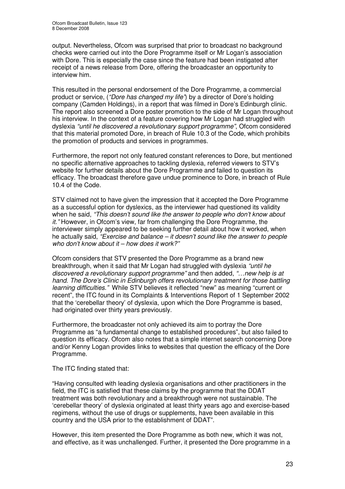output. Nevertheless, Ofcom was surprised that prior to broadcast no background checks were carried out into the Dore Programme itself or Mr Logan's association with Dore. This is especially the case since the feature had been instigated after receipt of a news release from Dore, offering the broadcaster an opportunity to interview him.

This resulted in the personal endorsement of the Dore Programme, a commercial product or service, (*"Dore has changed my life"*) by a director of Dore's holding company (Camden Holdings), in a report that was filmed in Dore's Edinburgh clinic. The report also screened a Dore poster promotion to the side of Mr Logan throughout his interview. In the context of a feature covering how Mr Logan had struggled with dyslexia *"until he discovered a revolutionary support programme"*, Ofcom considered that this material promoted Dore, in breach of Rule 10.3 of the Code, which prohibits the promotion of products and services in programmes.

Furthermore, the report not only featured constant references to Dore, but mentioned no specific alternative approaches to tackling dyslexia, referred viewers to STV's website for further details about the Dore Programme and failed to question its efficacy. The broadcast therefore gave undue prominence to Dore, in breach of Rule 10.4 of the Code.

STV claimed not to have given the impression that it accepted the Dore Programme as a successful option for dyslexics, as the interviewer had questioned its validity when he said, *"This doesn't sound like the answer to people who don't know about it."* However, in Ofcom's view, far from challenging the Dore Programme, the interviewer simply appeared to be seeking further detail about how it worked, when he actually said, *"Exercise and balance – it doesn't sound like the answer to people who don't know about it – how does it work?"*

Ofcom considers that STV presented the Dore Programme as a brand new breakthrough, when it said that Mr Logan had struggled with dyslexia *"until he discovered a revolutionary support programme"* and then added, *"…new help is at hand. The Dore's Clinic in Edinburgh offers revolutionary treatment for those battling learning difficulties."* While STV believes it reflected "new" as meaning "current or recent", the ITC found in its Complaints & Interventions Report of 1 September 2002 that the 'cerebellar theory' of dyslexia, upon which the Dore Programme is based, had originated over thirty years previously.

Furthermore, the broadcaster not only achieved its aim to portray the Dore Programme as "a fundamental change to established procedures", but also failed to question its efficacy. Ofcom also notes that a simple internet search concerning Dore and/or Kenny Logan provides links to websites that question the efficacy of the Dore Programme.

The ITC finding stated that:

"Having consulted with leading dyslexia organisations and other practitioners in the field, the ITC is satisfied that these claims by the programme that the DDAT treatment was both revolutionary and a breakthrough were not sustainable. The 'cerebellar theory' of dyslexia originated at least thirty years ago and exercise-based regimens, without the use of drugs or supplements, have been available in this country and the USA prior to the establishment of DDAT".

However, this item presented the Dore Programme as both new, which it was not, and effective, as it was unchallenged. Further, it presented the Dore programme in a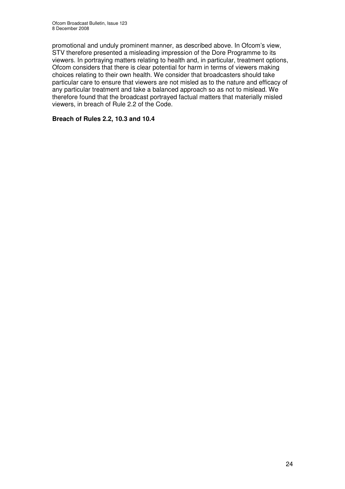promotional and unduly prominent manner, as described above. In Ofcom's view, STV therefore presented a misleading impression of the Dore Programme to its viewers. In portraying matters relating to health and, in particular, treatment options, Ofcom considers that there is clear potential for harm in terms of viewers making choices relating to their own health. We consider that broadcasters should take particular care to ensure that viewers are not misled as to the nature and efficacy of any particular treatment and take a balanced approach so as not to mislead. We therefore found that the broadcast portrayed factual matters that materially misled viewers, in breach of Rule 2.2 of the Code.

#### **Breach of Rules 2.2, 10.3 and 10.4**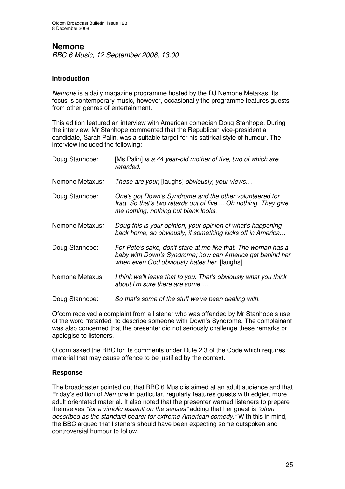### **Nemone**

*BBC 6 Music, 12 September 2008, 13:00*

#### **Introduction**

*Nemone* is a daily magazine programme hosted by the DJ Nemone Metaxas. Its focus is contemporary music, however, occasionally the programme features guests from other genres of entertainment.

This edition featured an interview with American comedian Doug Stanhope. During the interview, Mr Stanhope commented that the Republican vice-presidential candidate, Sarah Palin, was a suitable target for his satirical style of humour. The interview included the following:

| Doug Stanhope:         | [Ms Palin] is a 44 year-old mother of five, two of which are<br>retarded.                                                                                                 |
|------------------------|---------------------------------------------------------------------------------------------------------------------------------------------------------------------------|
| Nemone Metaxus:        | These are your, [laughs] obviously, your views                                                                                                                            |
| Doug Stanhope:         | One's got Down's Syndrome and the other volunteered for<br>Iraq. So that's two retards out of five Oh nothing. They give<br>me nothing, nothing but blank looks.          |
| Nemone Metaxus:        | Doug this is your opinion, your opinion of what's happening<br>back home, so obviously, if something kicks off in America                                                 |
| Doug Stanhope:         | For Pete's sake, don't stare at me like that. The woman has a<br>baby with Down's Syndrome; how can America get behind her<br>when even God obviously hates her. [laughs] |
| <b>Nemone Metaxus:</b> | I think we'll leave that to you. That's obviously what you think<br>about I'm sure there are some                                                                         |
| Doug Stanhope:         | So that's some of the stuff we've been dealing with.                                                                                                                      |

Ofcom received a complaint from a listener who was offended by Mr Stanhope's use of the word "retarded" to describe someone with Down's Syndrome. The complainant was also concerned that the presenter did not seriously challenge these remarks or apologise to listeners.

Ofcom asked the BBC for its comments under Rule 2.3 of the Code which requires material that may cause offence to be justified by the context.

#### **Response**

The broadcaster pointed out that BBC 6 Music is aimed at an adult audience and that Friday's edition of *Nemone* in particular, regularly features guests with edgier, more adult orientated material. It also noted that the presenter warned listeners to prepare themselves *"for a vitriolic assault on the senses"* adding that her guest is *"often described as the standard bearer for extreme American comedy."* With this in mind, the BBC argued that listeners should have been expecting some outspoken and controversial humour to follow.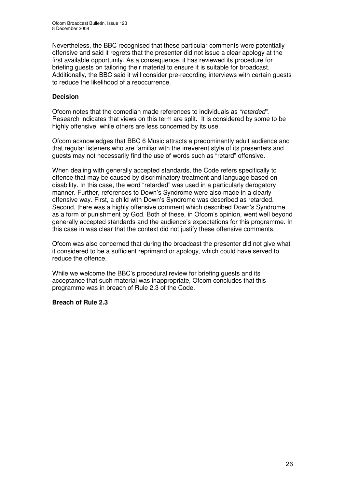Nevertheless, the BBC recognised that these particular comments were potentially offensive and said it regrets that the presenter did not issue a clear apology at the first available opportunity. As a consequence, it has reviewed its procedure for briefing guests on tailoring their material to ensure it is suitable for broadcast. Additionally, the BBC said it will consider pre-recording interviews with certain guests to reduce the likelihood of a reoccurrence.

#### **Decision**

Ofcom notes that the comedian made references to individuals as *"retarded"*. Research indicates that views on this term are split. It is considered by some to be highly offensive, while others are less concerned by its use.

Ofcom acknowledges that BBC 6 Music attracts a predominantly adult audience and that regular listeners who are familiar with the irreverent style of its presenters and guests may not necessarily find the use of words such as "retard" offensive.

When dealing with generally accepted standards, the Code refers specifically to offence that may be caused by discriminatory treatment and language based on disability. In this case, the word "retarded" was used in a particularly derogatory manner. Further, references to Down's Syndrome were also made in a clearly offensive way. First, a child with Down's Syndrome was described as retarded. Second, there was a highly offensive comment which described Down's Syndrome as a form of punishment by God. Both of these, in Ofcom's opinion, went well beyond generally accepted standards and the audience's expectations for this programme. In this case in was clear that the context did not justify these offensive comments.

Ofcom was also concerned that during the broadcast the presenter did not give what it considered to be a sufficient reprimand or apology, which could have served to reduce the offence.

While we welcome the BBC's procedural review for briefing guests and its acceptance that such material was inappropriate, Ofcom concludes that this programme was in breach of Rule 2.3 of the Code.

#### **Breach of Rule 2.3**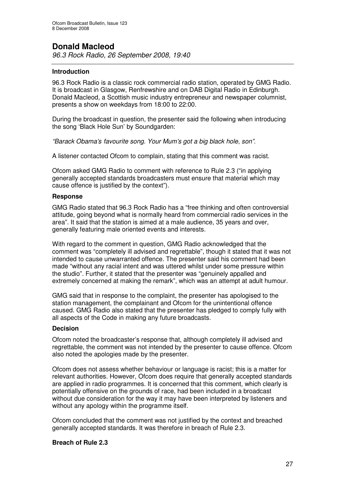## **Donald Macleod**

*96.3 Rock Radio, 26 September 2008, 19:40*

#### **Introduction**

96.3 Rock Radio is a classic rock commercial radio station, operated by GMG Radio. It is broadcast in Glasgow, Renfrewshire and on DAB Digital Radio in Edinburgh. Donald Macleod*,* a Scottish music industry entrepreneur and newspaper columnist, presents a show on weekdays from 18:00 to 22:00.

During the broadcast in question, the presenter said the following when introducing the song 'Black Hole Sun' by Soundgarden:

*"Barack Obama's favourite song. Your Mum's got a big black hole, son"*.

A listener contacted Ofcom to complain, stating that this comment was racist.

Ofcom asked GMG Radio to comment with reference to Rule 2.3 ("in applying generally accepted standards broadcasters must ensure that material which may cause offence is justified by the context").

#### **Response**

GMG Radio stated that 96.3 Rock Radio has a "free thinking and often controversial attitude, going beyond what is normally heard from commercial radio services in the area". It said that the station is aimed at a male audience, 35 years and over, generally featuring male oriented events and interests.

With regard to the comment in question, GMG Radio acknowledged that the comment was "completely ill advised and regrettable", though it stated that it was not intended to cause unwarranted offence. The presenter said his comment had been made "without any racial intent and was uttered whilst under some pressure within the studio". Further, it stated that the presenter was "genuinely appalled and extremely concerned at making the remark", which was an attempt at adult humour.

GMG said that in response to the complaint, the presenter has apologised to the station management, the complainant and Ofcom for the unintentional offence caused. GMG Radio also stated that the presenter has pledged to comply fully with all aspects of the Code in making any future broadcasts.

#### **Decision**

Ofcom noted the broadcaster's response that, although completely ill advised and regrettable, the comment was not intended by the presenter to cause offence. Ofcom also noted the apologies made by the presenter.

Ofcom does not assess whether behaviour or language is racist; this is a matter for relevant authorities. However, Ofcom does require that generally accepted standards are applied in radio programmes. It is concerned that this comment, which clearly is potentially offensive on the grounds of race, had been included in a broadcast without due consideration for the way it may have been interpreted by listeners and without any apology within the programme itself.

Ofcom concluded that the comment was not justified by the context and breached generally accepted standards. It was therefore in breach of Rule 2.3.

#### **Breach of Rule 2.3**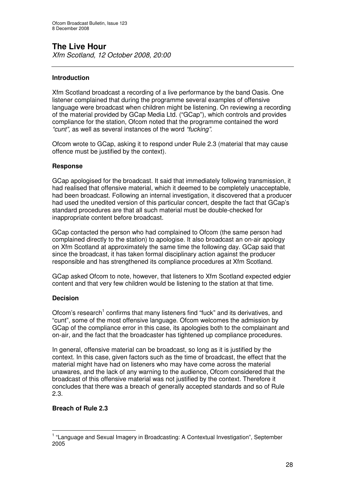# **The Live Hour**

*Xfm Scotland, 12 October 2008, 20:00*

#### **Introduction**

Xfm Scotland broadcast a recording of a live performance by the band Oasis. One listener complained that during the programme several examples of offensive language were broadcast when children might be listening. On reviewing a recording of the material provided by GCap Media Ltd. ("GCap"), which controls and provides compliance for the station, Ofcom noted that the programme contained the word *"cunt",* as well as several instances of the word *"fucking"*.

Ofcom wrote to GCap, asking it to respond under Rule 2.3 (material that may cause offence must be justified by the context).

#### **Response**

GCap apologised for the broadcast. It said that immediately following transmission, it had realised that offensive material, which it deemed to be completely unacceptable, had been broadcast. Following an internal investigation, it discovered that a producer had used the unedited version of this particular concert, despite the fact that GCap's standard procedures are that all such material must be double-checked for inappropriate content before broadcast.

GCap contacted the person who had complained to Ofcom (the same person had complained directly to the station) to apologise. It also broadcast an on-air apology on Xfm Scotland at approximately the same time the following day. GCap said that since the broadcast, it has taken formal disciplinary action against the producer responsible and has strengthened its compliance procedures at Xfm Scotland.

GCap asked Ofcom to note, however, that listeners to Xfm Scotland expected edgier content and that very few children would be listening to the station at that time.

#### **Decision**

Ofcom's research<sup>1</sup> confirms that many listeners find "fuck" and its derivatives, and "cunt", some of the most offensive language. Ofcom welcomes the admission by GCap of the compliance error in this case, its apologies both to the complainant and on-air, and the fact that the broadcaster has tightened up compliance procedures.

In general, offensive material can be broadcast, so long as it is justified by the context. In this case, given factors such as the time of broadcast, the effect that the material might have had on listeners who may have come across the material unawares, and the lack of any warning to the audience, Ofcom considered that the broadcast of this offensive material was not justified by the context. Therefore it concludes that there was a breach of generally accepted standards and so of Rule 2.3.

#### **Breach of Rule 2.3**

<sup>&</sup>lt;sup>1</sup> "Language and Sexual Imagery in Broadcasting: A Contextual Investigation", September 2005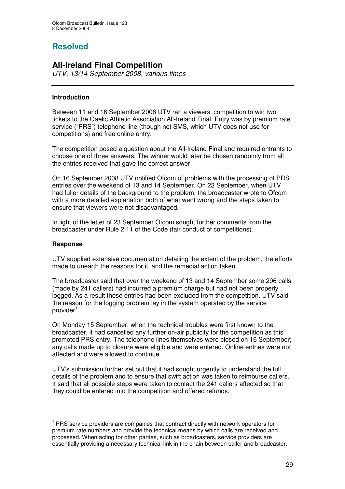## **Resolved**

### **All-Ireland Final Competition**

*UTV, 13/14 September 2008, various times*

#### **Introduction**

Between 11 and 16 September 2008 UTV ran a viewers' competition to win two tickets to the Gaelic Athletic Association All-Ireland Final. Entry was by premium rate service ("PRS") telephone line (though not SMS, which UTV does not use for competitions) and free online entry.

The competition posed a question about the All-Ireland Final and required entrants to choose one of three answers. The winner would later be chosen randomly from all the entries received that gave the correct answer.

On 16 September 2008 UTV notified Ofcom of problems with the processing of PRS entries over the weekend of 13 and 14 September. On 23 September, when UTV had fuller details of the background to the problem, the broadcaster wrote to Ofcom with a more detailed explanation both of what went wrong and the steps taken to ensure that viewers were not disadvantaged.

In light of the letter of 23 September Ofcom sought further comments from the broadcaster under Rule 2.11 of the Code (fair conduct of competitions).

#### **Response**

UTV supplied extensive documentation detailing the extent of the problem, the efforts made to unearth the reasons for it, and the remedial action taken.

The broadcaster said that over the weekend of 13 and 14 September some 296 calls (made by 241 callers) had incurred a premium charge but had not been properly logged. As a result these entries had been excluded from the competition. UTV said the reason for the logging problem lay in the system operated by the service provider<sup>1</sup>.

On Monday 15 September, when the technical troubles were first known to the broadcaster, it had cancelled any further on-air publicity for the competition as this promoted PRS entry. The telephone lines themselves were closed on 16 September; any calls made up to closure were eligible and were entered. Online entries were not affected and were allowed to continue.

UTV's submission further set out that it had sought urgently to understand the full details of the problem and to ensure that swift action was taken to reimburse callers. It said that all possible steps were taken to contact the 241 callers affected so that they could be entered into the competition and offered refunds.

<sup>&</sup>lt;sup>1</sup> PRS service providers are companies that contract directly with network operators for premium rate numbers and provide the technical means by which calls are received and processed. When acting for other parties, such as broadcasters, service providers are essentially providing a necessary technical link in the chain between caller and broadcaster.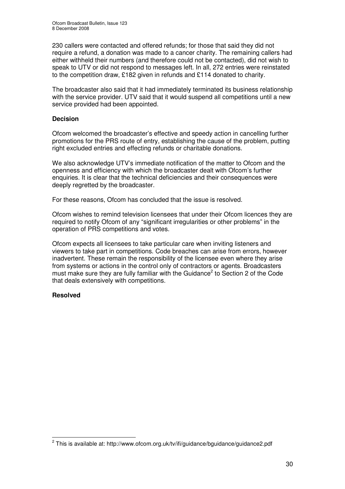230 callers were contacted and offered refunds; for those that said they did not require a refund, a donation was made to a cancer charity. The remaining callers had either withheld their numbers (and therefore could not be contacted), did not wish to speak to UTV or did not respond to messages left. In all, 272 entries were reinstated to the competition draw, £182 given in refunds and £114 donated to charity.

The broadcaster also said that it had immediately terminated its business relationship with the service provider. UTV said that it would suspend all competitions until a new service provided had been appointed.

#### **Decision**

Ofcom welcomed the broadcaster's effective and speedy action in cancelling further promotions for the PRS route of entry, establishing the cause of the problem, putting right excluded entries and effecting refunds or charitable donations.

We also acknowledge UTV's immediate notification of the matter to Ofcom and the openness and efficiency with which the broadcaster dealt with Ofcom's further enquiries. It is clear that the technical deficiencies and their consequences were deeply regretted by the broadcaster.

For these reasons, Ofcom has concluded that the issue is resolved.

Ofcom wishes to remind television licensees that under their Ofcom licences they are required to notify Ofcom of any "significant irregularities or other problems" in the operation of PRS competitions and votes.

Ofcom expects all licensees to take particular care when inviting listeners and viewers to take part in competitions. Code breaches can arise from errors, however inadvertent. These remain the responsibility of the licensee even where they arise from systems or actions in the control only of contractors or agents. Broadcasters must make sure they are fully familiar with the Guidance<sup>2</sup> to Section 2 of the Code that deals extensively with competitions.

#### **Resolved**

 $^{\text{2}}$  This is available at: http://www.ofcom.org.uk/tv/ifi/guidance/bguidance/guidance2.pdf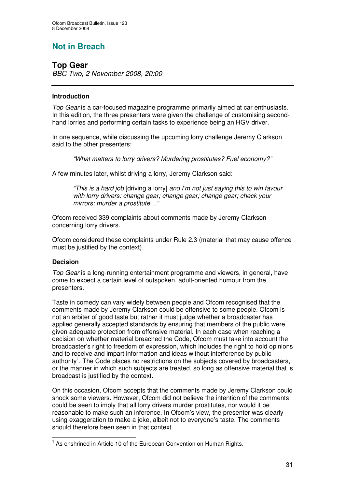## **Not in Breach**

### **Top Gear**

*BBC Two, 2 November 2008, 20:00*

#### **Introduction**

*Top Gear* is a car-focused magazine programme primarily aimed at car enthusiasts. In this edition, the three presenters were given the challenge of customising secondhand lorries and performing certain tasks to experience being an HGV driver.

In one sequence, while discussing the upcoming lorry challenge Jeremy Clarkson said to the other presenters:

*"What matters to lorry drivers? Murdering prostitutes? Fuel economy?"*

A few minutes later, whilst driving a lorry, Jeremy Clarkson said:

*"This is a hard job* [driving a lorry] *and I'm not just saying this to win favour with lorry drivers: change gear; change gear; change gear; check your mirrors; murder a prostitute…"*

Ofcom received 339 complaints about comments made by Jeremy Clarkson concerning lorry drivers.

Ofcom considered these complaints under Rule 2.3 (material that may cause offence must be justified by the context).

#### **Decision**

*Top Gear* is a long-running entertainment programme and viewers, in general, have come to expect a certain level of outspoken, adult-oriented humour from the presenters.

Taste in comedy can vary widely between people and Ofcom recognised that the comments made by Jeremy Clarkson could be offensive to some people. Ofcom is not an arbiter of good taste but rather it must judge whether a broadcaster has applied generally accepted standards by ensuring that members of the public were given adequate protection from offensive material. In each case when reaching a decision on whether material breached the Code, Ofcom must take into account the broadcaster's right to freedom of expression, which includes the right to hold opinions and to receive and impart information and ideas without interference by public authority<sup>1</sup>. The Code places no restrictions on the subjects covered by broadcasters, or the manner in which such subjects are treated, so long as offensive material that is broadcast is justified by the context.

On this occasion, Ofcom accepts that the comments made by Jeremy Clarkson could shock some viewers. However, Ofcom did not believe the intention of the comments could be seen to imply that all lorry drivers murder prostitutes, nor would it be reasonable to make such an inference. In Ofcom's view, the presenter was clearly using exaggeration to make a joke, albeit not to everyone's taste. The comments should therefore been seen in that context.

<sup>&</sup>lt;sup>1</sup> As enshrined in Article 10 of the European Convention on Human Rights.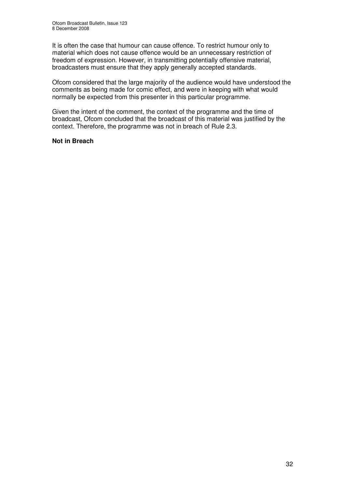It is often the case that humour can cause offence. To restrict humour only to material which does not cause offence would be an unnecessary restriction of freedom of expression. However, in transmitting potentially offensive material, broadcasters must ensure that they apply generally accepted standards.

Ofcom considered that the large majority of the audience would have understood the comments as being made for comic effect, and were in keeping with what would normally be expected from this presenter in this particular programme.

Given the intent of the comment, the context of the programme and the time of broadcast, Ofcom concluded that the broadcast of this material was justified by the context. Therefore, the programme was not in breach of Rule 2.3.

#### **Not in Breach**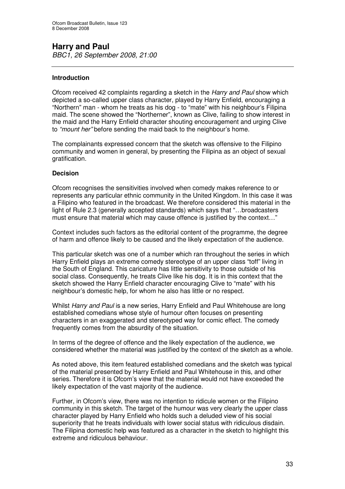#### **Harry and Paul** *BBC1, 26 September 2008, 21:00*

#### **Introduction**

Ofcom received 42 complaints regarding a sketch in the *Harry and Paul* show which depicted a so-called upper class character, played by Harry Enfield, encouraging a "Northern" man - whom he treats as his dog - to "mate" with his neighbour's Filipina maid. The scene showed the "Northerner", known as Clive, failing to show interest in the maid and the Harry Enfield character shouting encouragement and urging Clive to *"mount her"* before sending the maid back to the neighbour's home.

The complainants expressed concern that the sketch was offensive to the Filipino community and women in general, by presenting the Filipina as an object of sexual gratification.

#### **Decision**

Ofcom recognises the sensitivities involved when comedy makes reference to or represents any particular ethnic community in the United Kingdom. In this case it was a Filipino who featured in the broadcast. We therefore considered this material in the light of Rule 2.3 (generally accepted standards) which says that "…broadcasters must ensure that material which may cause offence is justified by the context…"

Context includes such factors as the editorial content of the programme, the degree of harm and offence likely to be caused and the likely expectation of the audience.

This particular sketch was one of a number which ran throughout the series in which Harry Enfield plays an extreme comedy stereotype of an upper class "toff" living in the South of England. This caricature has little sensitivity to those outside of his social class. Consequently, he treats Clive like his dog. It is in this context that the sketch showed the Harry Enfield character encouraging Clive to "mate" with his neighbour's domestic help, for whom he also has little or no respect.

Whilst *Harry and Paul* is a new series, Harry Enfield and Paul Whitehouse are long established comedians whose style of humour often focuses on presenting characters in an exaggerated and stereotyped way for comic effect. The comedy frequently comes from the absurdity of the situation.

In terms of the degree of offence and the likely expectation of the audience, we considered whether the material was justified by the context of the sketch as a whole.

As noted above, this item featured established comedians and the sketch was typical of the material presented by Harry Enfield and Paul Whitehouse in this, and other series. Therefore it is Ofcom's view that the material would not have exceeded the likely expectation of the vast majority of the audience.

Further, in Ofcom's view, there was no intention to ridicule women or the Filipino community in this sketch. The target of the humour was very clearly the upper class character played by Harry Enfield who holds such a deluded view of his social superiority that he treats individuals with lower social status with ridiculous disdain. The Filipina domestic help was featured as a character in the sketch to highlight this extreme and ridiculous behaviour.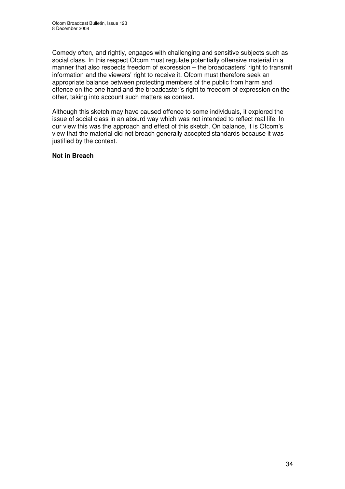Comedy often, and rightly, engages with challenging and sensitive subjects such as social class. In this respect Ofcom must regulate potentially offensive material in a manner that also respects freedom of expression – the broadcasters' right to transmit information and the viewers' right to receive it. Ofcom must therefore seek an appropriate balance between protecting members of the public from harm and offence on the one hand and the broadcaster's right to freedom of expression on the other, taking into account such matters as context.

Although this sketch may have caused offence to some individuals, it explored the issue of social class in an absurd way which was not intended to reflect real life. In our view this was the approach and effect of this sketch. On balance, it is Ofcom's view that the material did not breach generally accepted standards because it was justified by the context.

#### **Not in Breach**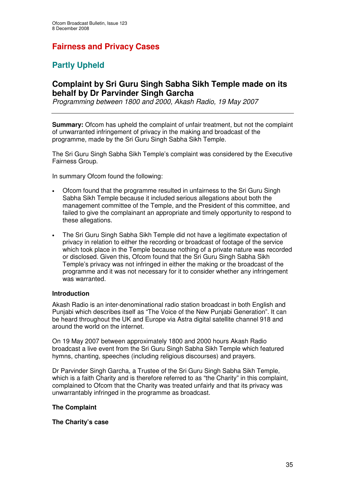## **Fairness and Privacy Cases**

## **Partly Upheld**

### **Complaint by Sri Guru Singh Sabha Sikh Temple made on its behalf by Dr Parvinder Singh Garcha**

*Programming between 1800 and 2000, Akash Radio, 19 May 2007*

**Summary:** Ofcom has upheld the complaint of unfair treatment, but not the complaint of unwarranted infringement of privacy in the making and broadcast of the programme, made by the Sri Guru Singh Sabha Sikh Temple.

The Sri Guru Singh Sabha Sikh Temple's complaint was considered by the Executive Fairness Group.

In summary Ofcom found the following:

- Ofcom found that the programme resulted in unfairness to the Sri Guru Singh Sabha Sikh Temple because it included serious allegations about both the management committee of the Temple, and the President of this committee, and failed to give the complainant an appropriate and timely opportunity to respond to these allegations.
- The Sri Guru Singh Sabha Sikh Temple did not have a legitimate expectation of privacy in relation to either the recording or broadcast of footage of the service which took place in the Temple because nothing of a private nature was recorded or disclosed. Given this, Ofcom found that the Sri Guru Singh Sabha Sikh Temple's privacy was not infringed in either the making or the broadcast of the programme and it was not necessary for it to consider whether any infringement was warranted.

#### **Introduction**

Akash Radio is an inter-denominational radio station broadcast in both English and Punjabi which describes itself as "The Voice of the New Punjabi Generation". It can be heard throughout the UK and Europe via Astra digital satellite channel 918 and around the world on the internet.

On 19 May 2007 between approximately 1800 and 2000 hours Akash Radio broadcast a live event from the Sri Guru Singh Sabha Sikh Temple which featured hymns, chanting, speeches (including religious discourses) and prayers.

Dr Parvinder Singh Garcha, a Trustee of the Sri Guru Singh Sabha Sikh Temple, which is a faith Charity and is therefore referred to as "the Charity" in this complaint, complained to Ofcom that the Charity was treated unfairly and that its privacy was unwarrantably infringed in the programme as broadcast.

#### **The Complaint**

#### **The Charity's case**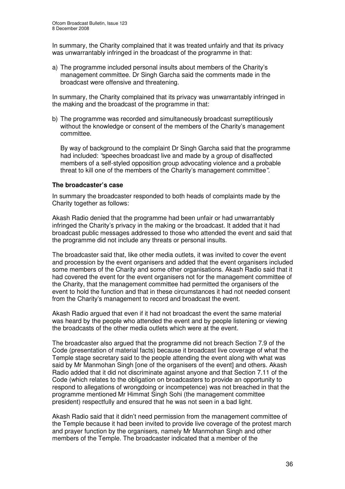In summary, the Charity complained that it was treated unfairly and that its privacy was unwarrantably infringed in the broadcast of the programme in that:

a) The programme included personal insults about members of the Charity's management committee. Dr Singh Garcha said the comments made in the broadcast were offensive and threatening.

In summary, the Charity complained that its privacy was unwarrantably infringed in the making and the broadcast of the programme in that:

b) The programme was recorded and simultaneously broadcast surreptitiously without the knowledge or consent of the members of the Charity's management committee.

By way of background to the complaint Dr Singh Garcha said that the programme had included: *"*speeches broadcast live and made by a group of disaffected members of a self-styled opposition group advocating violence and a probable threat to kill one of the members of the Charity's management committee*".*

#### **The broadcaster's case**

In summary the broadcaster responded to both heads of complaints made by the Charity together as follows:

Akash Radio denied that the programme had been unfair or had unwarrantably infringed the Charity's privacy in the making or the broadcast. It added that it had broadcast public messages addressed to those who attended the event and said that the programme did not include any threats or personal insults.

The broadcaster said that, like other media outlets, it was invited to cover the event and procession by the event organisers and added that the event organisers included some members of the Charity and some other organisations. Akash Radio said that it had covered the event for the event organisers not for the management committee of the Charity, that the management committee had permitted the organisers of the event to hold the function and that in these circumstances it had not needed consent from the Charity's management to record and broadcast the event.

Akash Radio argued that even if it had not broadcast the event the same material was heard by the people who attended the event and by people listening or viewing the broadcasts of the other media outlets which were at the event.

The broadcaster also argued that the programme did not breach Section 7.9 of the Code (presentation of material facts) because it broadcast live coverage of what the Temple stage secretary said to the people attending the event along with what was said by Mr Manmohan Singh [one of the organisers of the event] and others. Akash Radio added that it did not discriminate against anyone and that Section 7.11 of the Code (which relates to the obligation on broadcasters to provide an opportunity to respond to allegations of wrongdoing or incompetence) was not breached in that the programme mentioned Mr Himmat Singh Sohi (the management committee president) respectfully and ensured that he was not seen in a bad light.

Akash Radio said that it didn't need permission from the management committee of the Temple because it had been invited to provide live coverage of the protest march and prayer function by the organisers, namely Mr Manmohan Singh and other members of the Temple. The broadcaster indicated that a member of the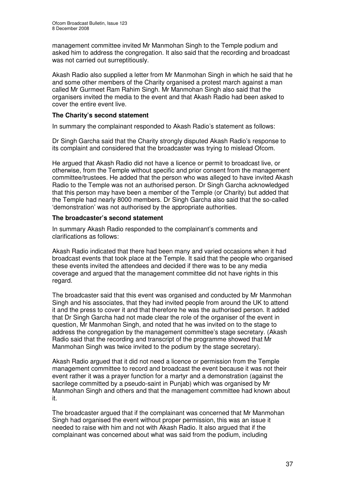management committee invited Mr Manmohan Singh to the Temple podium and asked him to address the congregation. It also said that the recording and broadcast was not carried out surreptitiously.

Akash Radio also supplied a letter from Mr Manmohan Singh in which he said that he and some other members of the Charity organised a protest march against a man called Mr Gurmeet Ram Rahim Singh. Mr Manmohan Singh also said that the organisers invited the media to the event and that Akash Radio had been asked to cover the entire event live.

### **The Charity's second statement**

In summary the complainant responded to Akash Radio's statement as follows:

Dr Singh Garcha said that the Charity strongly disputed Akash Radio's response to its complaint and considered that the broadcaster was trying to mislead Ofcom.

He argued that Akash Radio did not have a licence or permit to broadcast live, or otherwise, from the Temple without specific and prior consent from the management committee/trustees. He added that the person who was alleged to have invited Akash Radio to the Temple was not an authorised person. Dr Singh Garcha acknowledged that this person may have been a member of the Temple (or Charity) but added that the Temple had nearly 8000 members. Dr Singh Garcha also said that the so-called 'demonstration' was not authorised by the appropriate authorities.

### **The broadcaster's second statement**

In summary Akash Radio responded to the complainant's comments and clarifications as follows:

Akash Radio indicated that there had been many and varied occasions when it had broadcast events that took place at the Temple. It said that the people who organised these events invited the attendees and decided if there was to be any media coverage and argued that the management committee did not have rights in this regard.

The broadcaster said that this event was organised and conducted by Mr Manmohan Singh and his associates, that they had invited people from around the UK to attend it and the press to cover it and that therefore he was the authorised person. It added that Dr Singh Garcha had not made clear the role of the organiser of the event in question, Mr Manmohan Singh, and noted that he was invited on to the stage to address the congregation by the management committee's stage secretary. (Akash Radio said that the recording and transcript of the programme showed that Mr Manmohan Singh was twice invited to the podium by the stage secretary).

Akash Radio argued that it did not need a licence or permission from the Temple management committee to record and broadcast the event because it was not their event rather it was a prayer function for a martyr and a demonstration (against the sacrilege committed by a pseudo-saint in Punjab) which was organised by Mr Manmohan Singh and others and that the management committee had known about it.

The broadcaster argued that if the complainant was concerned that Mr Manmohan Singh had organised the event without proper permission, this was an issue it needed to raise with him and not with Akash Radio. It also argued that if the complainant was concerned about what was said from the podium, including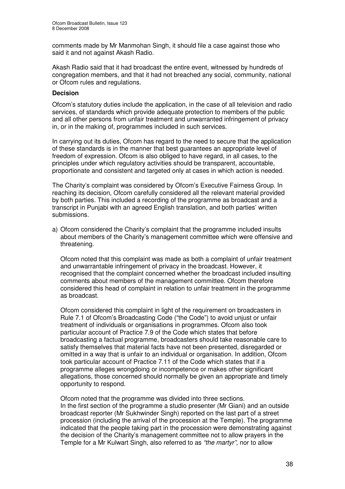comments made by Mr Manmohan Singh, it should file a case against those who said it and not against Akash Radio.

Akash Radio said that it had broadcast the entire event, witnessed by hundreds of congregation members, and that it had not breached any social, community, national or Ofcom rules and regulations.

#### **Decision**

Ofcom's statutory duties include the application, in the case of all television and radio services, of standards which provide adequate protection to members of the public and all other persons from unfair treatment and unwarranted infringement of privacy in, or in the making of, programmes included in such services.

In carrying out its duties, Ofcom has regard to the need to secure that the application of these standards is in the manner that best guarantees an appropriate level of freedom of expression. Ofcom is also obliged to have regard, in all cases, to the principles under which regulatory activities should be transparent, accountable, proportionate and consistent and targeted only at cases in which action is needed.

The Charity's complaint was considered by Ofcom's Executive Fairness Group. In reaching its decision, Ofcom carefully considered all the relevant material provided by both parties. This included a recording of the programme as broadcast and a transcript in Punjabi with an agreed English translation, and both parties' written submissions.

a) Ofcom considered the Charity's complaint that the programme included insults about members of the Charity's management committee which were offensive and threatening.

Ofcom noted that this complaint was made as both a complaint of unfair treatment and unwarrantable infringement of privacy in the broadcast. However, it recognised that the complaint concerned whether the broadcast included insulting comments about members of the management committee. Ofcom therefore considered this head of complaint in relation to unfair treatment in the programme as broadcast.

Ofcom considered this complaint in light of the requirement on broadcasters in Rule 7.1 of Ofcom's Broadcasting Code ("the Code") to avoid unjust or unfair treatment of individuals or organisations in programmes. Ofcom also took particular account of Practice 7.9 of the Code which states that before broadcasting a factual programme, broadcasters should take reasonable care to satisfy themselves that material facts have not been presented, disregarded or omitted in a way that is unfair to an individual or organisation. In addition, Ofcom took particular account of Practice 7.11 of the Code which states that if a programme alleges wrongdoing or incompetence or makes other significant allegations, those concerned should normally be given an appropriate and timely opportunity to respond.

Ofcom noted that the programme was divided into three sections. In the first section of the programme a studio presenter (Mr Giani) and an outside broadcast reporter (Mr Sukhwinder Singh) reported on the last part of a street procession (including the arrival of the procession at the Temple). The programme indicated that the people taking part in the procession were demonstrating against the decision of the Charity's management committee not to allow prayers in the Temple for a Mr Kulwart Singh, also referred to as *"the martyr"*, nor to allow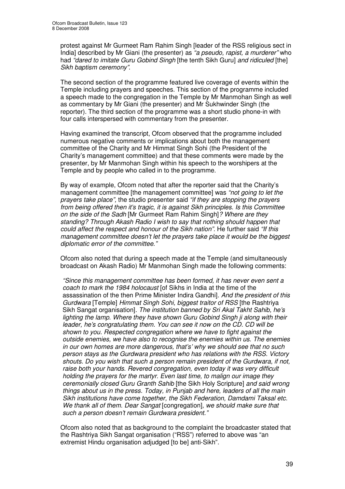protest against Mr Gurmeet Ram Rahim Singh [leader of the RSS religious sect in India] described by Mr Giani (the presenter) as *"a pseudo, rapist, a murderer"* who had *"dared to imitate Guru Gobind Singh* [the tenth Sikh Guru] *and ridiculed* [the] *Sikh baptism ceremony"*.

The second section of the programme featured live coverage of events within the Temple including prayers and speeches. This section of the programme included a speech made to the congregation in the Temple by Mr Manmohan Singh as well as commentary by Mr Giani (the presenter) and Mr Sukhwinder Singh (the reporter). The third section of the programme was a short studio phone-in with four calls interspersed with commentary from the presenter.

Having examined the transcript, Ofcom observed that the programme included numerous negative comments or implications about both the management committee of the Charity and Mr Himmat Singh Sohi (the President of the Charity's management committee) and that these comments were made by the presenter, by Mr Manmohan Singh within his speech to the worshipers at the Temple and by people who called in to the programme.

By way of example, Ofcom noted that after the reporter said that the Charity's management committee [the management committee] was *"not going to let the prayers take place",* the studio presenter said *"if they are stopping the prayers from being offered then it's tragic, it is against Sikh principles. Is this Committee on the side of the Sadh* [Mr Gurmeet Ram Rahim Singh]*? Where are they standing? Through Akash Radio I wish to say that nothing should happen that could affect the respect and honour of the Sikh nation".* He further said *"If this management committee doesn't let the prayers take place it would be the biggest diplomatic error of the committee."*

Ofcom also noted that during a speech made at the Temple (and simultaneously broadcast on Akash Radio) Mr Manmohan Singh made the following comments:

*"Since this management committee has been formed, it has never even sent a coach to mark the 1984 holocaust* [of Sikhs in India at the time of the assassination of the then Prime Minister Indira Gandhi]*. And the president of this Gurdwara* [Temple] *Himmat Singh Sohi, biggest traitor of RSS* [the Rashtriya Sikh Sangat organisation]*. The institution banned by Sri Akal Takht Sahib, he's lighting the lamp. Where they have shown Guru Gobind Singh ji along with their leader, he's congratulating them. You can see it now on the CD. CD will be shown to you. Respected congregation where we have to fight against the outside enemies, we have also to recognise the enemies within us. The enemies in our own homes are more dangerous, that's' why we should see that no such person stays as the Gurdwara president who has relations with the RSS. Victory shouts. Do you wish that such a person remain president of the Gurdwara, if not, raise both your hands. Revered congregation, even today it was very difficult holding the prayers for the martyr. Even last time, to malign our image they ceremonially closed Guru Granth Sahib* [the Sikh Holy Scripture] *and said wrong things about us in the press. Today, in Punjab and here, leaders of all the main Sikh institutions have come together, the Sikh Federation, Damdami Taksal etc. We thank all of them. Dear Sangat* [congregation]*, we should make sure that such a person doesn't remain Gurdwara president."*

Ofcom also noted that as background to the complaint the broadcaster stated that the Rashtriya Sikh Sangat organisation ("RSS") referred to above was "an extremist Hindu organisation adjudged [to be] anti-Sikh".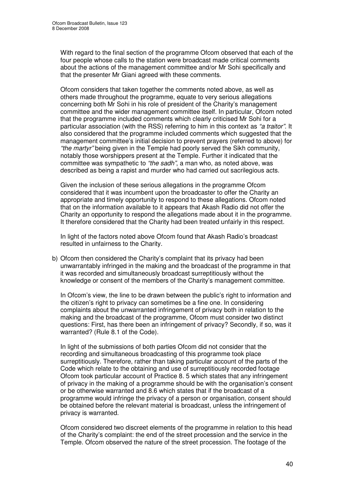With regard to the final section of the programme Ofcom observed that each of the four people whose calls to the station were broadcast made critical comments about the actions of the management committee and/or Mr Sohi specifically and that the presenter Mr Giani agreed with these comments.

Ofcom considers that taken together the comments noted above, as well as others made throughout the programme, equate to very serious allegations concerning both Mr Sohi in his role of president of the Charity's management committee and the wider management committee itself. In particular, Ofcom noted that the programme included comments which clearly criticised Mr Sohi for a particular association (with the RSS) referring to him in this context as *"a traitor"*. It also considered that the programme included comments which suggested that the management committee's initial decision to prevent prayers (referred to above) for *"the martyr"* being given in the Temple had poorly served the Sikh community, notably those worshippers present at the Temple. Further it indicated that the committee was sympathetic to *"the sadh"*, a man who, as noted above, was described as being a rapist and murder who had carried out sacrilegious acts.

Given the inclusion of these serious allegations in the programme Ofcom considered that it was incumbent upon the broadcaster to offer the Charity an appropriate and timely opportunity to respond to these allegations. Ofcom noted that on the information available to it appears that Akash Radio did not offer the Charity an opportunity to respond the allegations made about it in the programme. It therefore considered that the Charity had been treated unfairly in this respect.

In light of the factors noted above Ofcom found that Akash Radio's broadcast resulted in unfairness to the Charity.

b) Ofcom then considered the Charity's complaint that its privacy had been unwarrantably infringed in the making and the broadcast of the programme in that it was recorded and simultaneously broadcast surreptitiously without the knowledge or consent of the members of the Charity's management committee.

In Ofcom's view, the line to be drawn between the public's right to information and the citizen's right to privacy can sometimes be a fine one. In considering complaints about the unwarranted infringement of privacy both in relation to the making and the broadcast of the programme, Ofcom must consider two distinct questions: First, has there been an infringement of privacy? Secondly, if so, was it warranted? (Rule 8.1 of the Code).

In light of the submissions of both parties Ofcom did not consider that the recording and simultaneous broadcasting of this programme took place surreptitiously. Therefore, rather than taking particular account of the parts of the Code which relate to the obtaining and use of surreptitiously recorded footage Ofcom took particular account of Practice 8. 5 which states that any infringement of privacy in the making of a programme should be with the organisation's consent or be otherwise warranted and 8.6 which states that if the broadcast of a programme would infringe the privacy of a person or organisation, consent should be obtained before the relevant material is broadcast, unless the infringement of privacy is warranted.

Ofcom considered two discreet elements of the programme in relation to this head of the Charity's complaint: the end of the street procession and the service in the Temple. Ofcom observed the nature of the street procession. The footage of the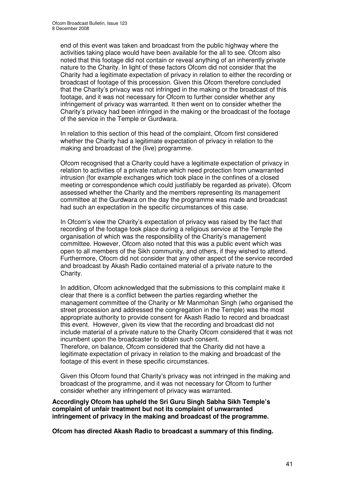end of this event was taken and broadcast from the public highway where the activities taking place would have been available for the all to see. Ofcom also noted that this footage did not contain or reveal anything of an inherently private nature to the Charity. In light of these factors Ofcom did not consider that the Charity had a legitimate expectation of privacy in relation to either the recording or broadcast of footage of this procession. Given this Ofcom therefore concluded that the Charity's privacy was not infringed in the making or the broadcast of this footage, and it was not necessary for Ofcom to further consider whether any infringement of privacy was warranted. It then went on to consider whether the Charity's privacy had been infringed in the making or the broadcast of the footage of the service in the Temple or Gurdwara.

In relation to this section of this head of the complaint, Ofcom first considered whether the Charity had a legitimate expectation of privacy in relation to the making and broadcast of the (live) programme.

Ofcom recognised that a Charity could have a legitimate expectation of privacy in relation to activities of a private nature which need protection from unwarranted intrusion (for example exchanges which took place in the confines of a closed meeting or correspondence which could justifiably be regarded as private). Ofcom assessed whether the Charity and the members representing its management committee at the Gurdwara on the day the programme was made and broadcast had such an expectation in the specific circumstances of this case.

In Ofcom's view the Charity's expectation of privacy was raised by the fact that recording of the footage took place during a religious service at the Temple the organisation of which was the responsibility of the Charity's management committee. However, Ofcom also noted that this was a public event which was open to all members of the Sikh community, and others, if they wished to attend. Furthermore, Ofocm did not consider that any other aspect of the service recorded and broadcast by Akash Radio contained material of a private nature to the Charity.

In addition, Ofcom acknowledged that the submissions to this complaint make it clear that there is a conflict between the parties regarding whether the management committee of the Charity or Mr Manmohan Singh (who organised the street procession and addressed the congregation in the Temple) was the most appropriate authority to provide consent for Akash Radio to record and broadcast this event. However, given its view that the recording and broadcast did not include material of a private nature to the Charity Ofcom considered that it was not incumbent upon the broadcaster to obtain such consent.

Therefore, on balance, Ofcom considered that the Charity did not have a legitimate expectation of privacy in relation to the making and broadcast of the footage of this event in these specific circumstances.

Given this Ofcom found that Charity's privacy was not infringed in the making and broadcast of the programme, and it was not necessary for Ofcom to further consider whether any infringement of privacy was warranted.

**Accordingly Ofcom has upheld the Sri Guru Singh Sabha Sikh Temple's complaint of unfair treatment but not its complaint of unwarranted infringement of privacy in the making and broadcast of the programme.**

**Ofcom has directed Akash Radio to broadcast a summary of this finding.**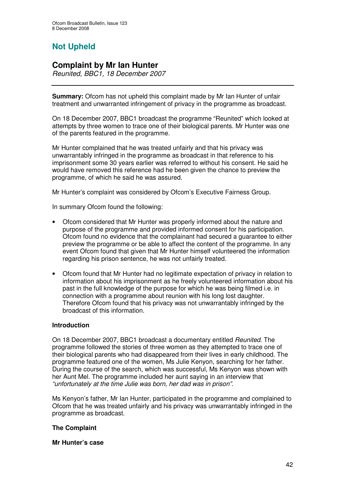# **Not Upheld**

## **Complaint by Mr Ian Hunter**

*Reunited, BBC1, 18 December 2007*

**Summary:** Ofcom has not upheld this complaint made by Mr Ian Hunter of unfair treatment and unwarranted infringement of privacy in the programme as broadcast.

On 18 December 2007, BBC1 broadcast the programme "Reunited" which looked at attempts by three women to trace one of their biological parents. Mr Hunter was one of the parents featured in the programme.

Mr Hunter complained that he was treated unfairly and that his privacy was unwarrantably infringed in the programme as broadcast in that reference to his imprisonment some 30 years earlier was referred to without his consent. He said he would have removed this reference had he been given the chance to preview the programme, of which he said he was assured.

Mr Hunter's complaint was considered by Ofcom's Executive Fairness Group.

In summary Ofcom found the following:

- Ofcom considered that Mr Hunter was properly informed about the nature and purpose of the programme and provided informed consent for his participation. Ofcom found no evidence that the complainant had secured a guarantee to either preview the programme or be able to affect the content of the programme. In any event Ofcom found that given that Mr Hunter himself volunteered the information regarding his prison sentence, he was not unfairly treated.
- Ofcom found that Mr Hunter had no legitimate expectation of privacy in relation to information about his imprisonment as he freely volunteered information about his past in the full knowledge of the purpose for which he was being filmed i.e. in connection with a programme about reunion with his long lost daughter. Therefore Ofcom found that his privacy was not unwarrantably infringed by the broadcast of this information.

#### **Introduction**

On 18 December 2007, BBC1 broadcast a documentary entitled *Reunited*. The programme followed the stories of three women as they attempted to trace one of their biological parents who had disappeared from their lives in early childhood. The programme featured one of the women, Ms Julie Kenyon, searching for her father. During the course of the search, which was successful, Ms Kenyon was shown with her Aunt Mel. The programme included her aunt saying in an interview that *"unfortunately at the time Julie was born, her dad was in prison"*.

Ms Kenyon's father, Mr Ian Hunter, participated in the programme and complained to Ofcom that he was treated unfairly and his privacy was unwarrantably infringed in the programme as broadcast.

#### **The Complaint**

#### **Mr Hunter's case**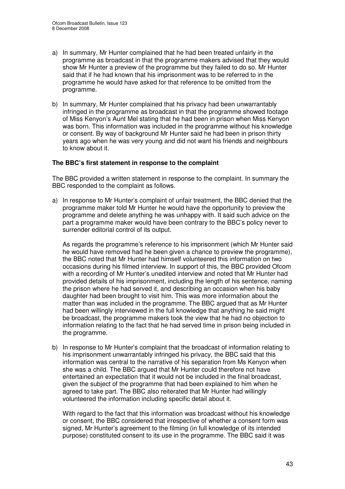- a) In summary, Mr Hunter complained that he had been treated unfairly in the programme as broadcast in that the programme makers advised that they would show Mr Hunter a preview of the programme but they failed to do so. Mr Hunter said that if he had known that his imprisonment was to be referred to in the programme he would have asked for that reference to be omitted from the programme.
- b) In summary, Mr Hunter complained that his privacy had been unwarrantably infringed in the programme as broadcast in that the programme showed footage of Miss Kenyon's Aunt Mel stating that he had been in prison when Miss Kenyon was born. This information was included in the programme without his knowledge or consent. By way of background Mr Hunter said he had been in prison thirty years ago when he was very young and did not want his friends and neighbours to know about it.

#### **The BBC's first statement in response to the complaint**

The BBC provided a written statement in response to the complaint. In summary the BBC responded to the complaint as follows.

a) In response to Mr Hunter's complaint of unfair treatment, the BBC denied that the programme maker told Mr Hunter he would have the opportunity to preview the programme and delete anything he was unhappy with. It said such advice on the part a programme maker would have been contrary to the BBC's policy never to surrender editorial control of its output.

As regards the programme's reference to his imprisonment (which Mr Hunter said he would have removed had he been given a chance to preview the programme), the BBC noted that Mr Hunter had himself volunteered this information on two occasions during his filmed interview. In support of this, the BBC provided Ofcom with a recording of Mr Hunter's unedited interview and noted that Mr Hunter had provided details of his imprisonment, including the length of his sentence, naming the prison where he had served it, and describing an occasion when his baby daughter had been brought to visit him. This was more information about the matter than was included in the programme. The BBC argued that as Mr Hunter had been willingly interviewed in the full knowledge that anything he said might be broadcast, the programme makers took the view that he had no objection to information relating to the fact that he had served time in prison being included in the programme.

b) In response to Mr Hunter's complaint that the broadcast of information relating to his imprisonment unwarrantably infringed his privacy, the BBC said that this information was central to the narrative of his separation from Ms Kenyon when she was a child. The BBC argued that Mr Hunter could therefore not have entertained an expectation that it would not be included in the final broadcast, given the subject of the programme that had been explained to him when he agreed to take part. The BBC also reiterated that Mr Hunter had willingly volunteered the information including specific detail about it.

With regard to the fact that this information was broadcast without his knowledge or consent, the BBC considered that irrespective of whether a consent form was signed, Mr Hunter's agreement to the filming (in full knowledge of its intended purpose) constituted consent to its use in the programme. The BBC said it was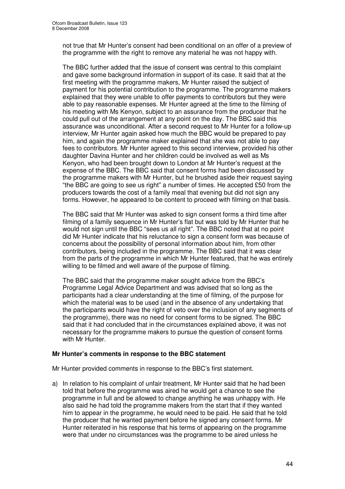not true that Mr Hunter's consent had been conditional on an offer of a preview of the programme with the right to remove any material he was not happy with.

The BBC further added that the issue of consent was central to this complaint and gave some background information in support of its case. It said that at the first meeting with the programme makers, Mr Hunter raised the subject of payment for his potential contribution to the programme. The programme makers explained that they were unable to offer payments to contributors but they were able to pay reasonable expenses. Mr Hunter agreed at the time to the filming of his meeting with Ms Kenyon, subject to an assurance from the producer that he could pull out of the arrangement at any point on the day. The BBC said this assurance was unconditional. After a second request to Mr Hunter for a follow-up interview, Mr Hunter again asked how much the BBC would be prepared to pay him, and again the programme maker explained that she was not able to pay fees to contributors. Mr Hunter agreed to this second interview, provided his other daughter Davina Hunter and her children could be involved as well as Ms Kenyon, who had been brought down to London at Mr Hunter's request at the expense of the BBC. The BBC said that consent forms had been discussed by the programme makers with Mr Hunter, but he brushed aside their request saying "the BBC are going to see us right" a number of times. He accepted £50 from the producers towards the cost of a family meal that evening but did not sign any forms. However, he appeared to be content to proceed with filming on that basis.

The BBC said that Mr Hunter was asked to sign consent forms a third time after filming of a family sequence in Mr Hunter's flat but was told by Mr Hunter that he would not sign until the BBC "sees us all right". The BBC noted that at no point did Mr Hunter indicate that his reluctance to sign a consent form was because of concerns about the possibility of personal information about him, from other contributors, being included in the programme. The BBC said that it was clear from the parts of the programme in which Mr Hunter featured, that he was entirely willing to be filmed and well aware of the purpose of filming.

The BBC said that the programme maker sought advice from the BBC's Programme Legal Advice Department and was advised that so long as the participants had a clear understanding at the time of filming, of the purpose for which the material was to be used (and in the absence of any undertaking that the participants would have the right of veto over the inclusion of any segments of the programme), there was no need for consent forms to be signed. The BBC said that it had concluded that in the circumstances explained above, it was not necessary for the programme makers to pursue the question of consent forms with Mr Hunter.

#### **Mr Hunter's comments in response to the BBC statement**

Mr Hunter provided comments in response to the BBC's first statement.

a) In relation to his complaint of unfair treatment, Mr Hunter said that he had been told that before the programme was aired he would get a chance to see the programme in full and be allowed to change anything he was unhappy with. He also said he had told the programme makers from the start that if they wanted him to appear in the programme, he would need to be paid. He said that he told the producer that he wanted payment before he signed any consent forms. Mr Hunter reiterated in his response that his terms of appearing on the programme were that under no circumstances was the programme to be aired unless he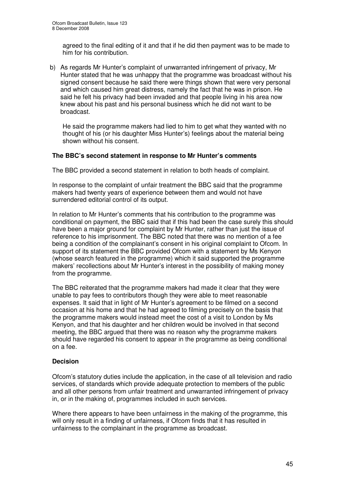agreed to the final editing of it and that if he did then payment was to be made to him for his contribution.

b) As regards Mr Hunter's complaint of unwarranted infringement of privacy, Mr Hunter stated that he was unhappy that the programme was broadcast without his signed consent because he said there were things shown that were very personal and which caused him great distress, namely the fact that he was in prison. He said he felt his privacy had been invaded and that people living in his area now knew about his past and his personal business which he did not want to be broadcast.

He said the programme makers had lied to him to get what they wanted with no thought of his (or his daughter Miss Hunter's) feelings about the material being shown without his consent.

#### **The BBC's second statement in response to Mr Hunter's comments**

The BBC provided a second statement in relation to both heads of complaint.

In response to the complaint of unfair treatment the BBC said that the programme makers had twenty years of experience between them and would not have surrendered editorial control of its output.

In relation to Mr Hunter's comments that his contribution to the programme was conditional on payment, the BBC said that if this had been the case surely this should have been a major ground for complaint by Mr Hunter, rather than just the issue of reference to his imprisonment. The BBC noted that there was no mention of a fee being a condition of the complainant's consent in his original complaint to Ofcom. In support of its statement the BBC provided Ofcom with a statement by Ms Kenyon (whose search featured in the programme) which it said supported the programme makers' recollections about Mr Hunter's interest in the possibility of making money from the programme.

The BBC reiterated that the programme makers had made it clear that they were unable to pay fees to contributors though they were able to meet reasonable expenses. It said that in light of Mr Hunter's agreement to be filmed on a second occasion at his home and that he had agreed to filming precisely on the basis that the programme makers would instead meet the cost of a visit to London by Ms Kenyon, and that his daughter and her children would be involved in that second meeting, the BBC argued that there was no reason why the programme makers should have regarded his consent to appear in the programme as being conditional on a fee.

#### **Decision**

Ofcom's statutory duties include the application, in the case of all television and radio services, of standards which provide adequate protection to members of the public and all other persons from unfair treatment and unwarranted infringement of privacy in, or in the making of, programmes included in such services.

Where there appears to have been unfairness in the making of the programme, this will only result in a finding of unfairness, if Ofcom finds that it has resulted in unfairness to the complainant in the programme as broadcast.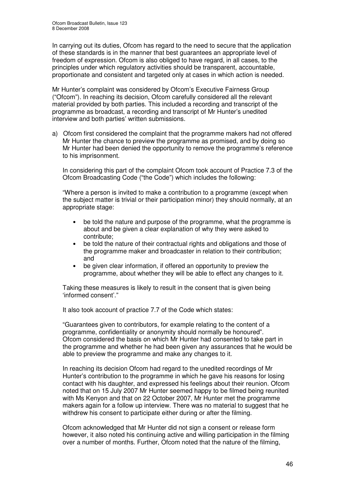In carrying out its duties, Ofcom has regard to the need to secure that the application of these standards is in the manner that best guarantees an appropriate level of freedom of expression. Ofcom is also obliged to have regard, in all cases, to the principles under which regulatory activities should be transparent, accountable, proportionate and consistent and targeted only at cases in which action is needed.

Mr Hunter's complaint was considered by Ofcom's Executive Fairness Group ("Ofcom"). In reaching its decision, Ofcom carefully considered all the relevant material provided by both parties. This included a recording and transcript of the programme as broadcast, a recording and transcript of Mr Hunter's unedited interview and both parties' written submissions.

a) Ofcom first considered the complaint that the programme makers had not offered Mr Hunter the chance to preview the programme as promised, and by doing so Mr Hunter had been denied the opportunity to remove the programme's reference to his imprisonment.

In considering this part of the complaint Ofcom took account of Practice 7.3 of the Ofcom Broadcasting Code ("the Code") which includes the following:

"Where a person is invited to make a contribution to a programme (except when the subject matter is trivial or their participation minor) they should normally, at an appropriate stage:

- be told the nature and purpose of the programme, what the programme is about and be given a clear explanation of why they were asked to contribute;
- be told the nature of their contractual rights and obligations and those of the programme maker and broadcaster in relation to their contribution; and
- be given clear information, if offered an opportunity to preview the programme, about whether they will be able to effect any changes to it.

Taking these measures is likely to result in the consent that is given being 'informed consent'."

It also took account of practice 7.7 of the Code which states:

"Guarantees given to contributors, for example relating to the content of a programme, confidentiality or anonymity should normally be honoured". Ofcom considered the basis on which Mr Hunter had consented to take part in the programme and whether he had been given any assurances that he would be able to preview the programme and make any changes to it.

In reaching its decision Ofcom had regard to the unedited recordings of Mr Hunter's contribution to the programme in which he gave his reasons for losing contact with his daughter, and expressed his feelings about their reunion. Ofcom noted that on 15 July 2007 Mr Hunter seemed happy to be filmed being reunited with Ms Kenyon and that on 22 October 2007, Mr Hunter met the programme makers again for a follow up interview. There was no material to suggest that he withdrew his consent to participate either during or after the filming.

Ofcom acknowledged that Mr Hunter did not sign a consent or release form however, it also noted his continuing active and willing participation in the filming over a number of months. Further, Ofcom noted that the nature of the filming,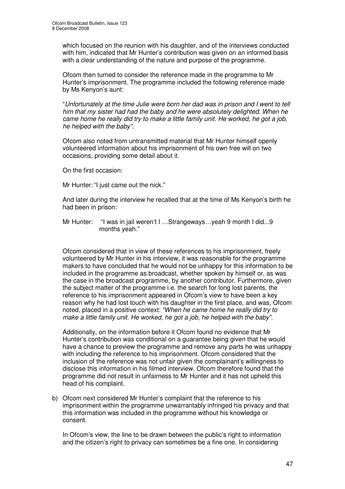which focused on the reunion with his daughter, and of the interviews conducted with him, indicated that Mr Hunter's contribution was given on an informed basis with a clear understanding of the nature and purpose of the programme.

Ofcom then turned to consider the reference made in the programme to Mr Hunter's imprisonment. The programme included the following reference made by Ms Kenyon's aunt:

"*Unfortunately at the time Julie were born her dad was in prison and I went to tell him that my sister had had the baby and he were absolutely delighted. When he came home he really did try to make a little family unit. He worked, he got a job, he helped with the baby".*

Ofcom also noted from untransmitted material that Mr Hunter himself openly volunteered information about his imprisonment of his own free will on two occasions, providing some detail about it.

On the first occasion:

Mr Hunter: "I just came out the nick."

And later during the interview he recalled that at the time of Ms Kenyon's birth he had been in prison:

Mr Hunter: "I was in jail weren't I …Strangeways…yeah 9 month I did...9 months yeah."

Ofcom considered that in view of these references to his imprisonment, freely volunteered by Mr Hunter in his interview, it was reasonable for the programme makers to have concluded that he would not be unhappy for this information to be included in the programme as broadcast, whether spoken by himself or, as was the case in the broadcast programme, by another contributor. Furthermore, given the subject matter of the programme i.e. the search for long lost parents, the reference to his imprisonment appeared in Ofcom's view to have been a key reason why he had lost touch with his daughter in the first place, and was, Ofcom noted, placed in a positive context: *"When he came home he really did try to make a little family unit. He worked, he got a job, he helped with the baby".*

Additionally, on the information before it Ofcom found no evidence that Mr Hunter's contribution was conditional on a guarantee being given that he would have a chance to preview the programme and remove any parts he was unhappy with including the reference to his imprisonment. Ofcom considered that the inclusion of the reference was not unfair given the complainant's willingness to disclose this information in his filmed interview. Ofcom therefore found that the programme did not result in unfairness to Mr Hunter and it has not upheld this head of his complaint.

b) Ofcom next considered Mr Hunter's complaint that the reference to his imprisonment within the programme unwarrantably infringed his privacy and that this information was included in the programme without his knowledge or consent.

In Ofcom's view, the line to be drawn between the public's right to information and the citizen's right to privacy can sometimes be a fine one. In considering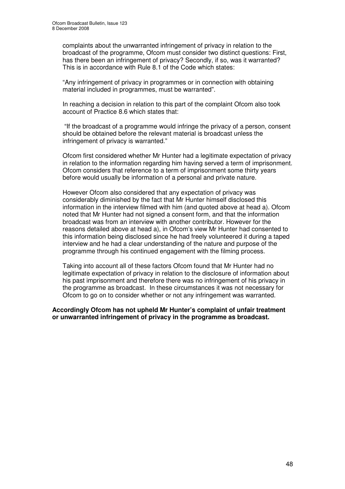complaints about the unwarranted infringement of privacy in relation to the broadcast of the programme, Ofcom must consider two distinct questions: First, has there been an infringement of privacy? Secondly, if so, was it warranted? This is in accordance with Rule 8.1 of the Code which states:

"Any infringement of privacy in programmes or in connection with obtaining material included in programmes, must be warranted".

In reaching a decision in relation to this part of the complaint Ofcom also took account of Practice 8.6 which states that:

"If the broadcast of a programme would infringe the privacy of a person, consent should be obtained before the relevant material is broadcast unless the infringement of privacy is warranted."

Ofcom first considered whether Mr Hunter had a legitimate expectation of privacy in relation to the information regarding him having served a term of imprisonment. Ofcom considers that reference to a term of imprisonment some thirty years before would usually be information of a personal and private nature.

However Ofcom also considered that any expectation of privacy was considerably diminished by the fact that Mr Hunter himself disclosed this information in the interview filmed with him (and quoted above at head a). Ofcom noted that Mr Hunter had not signed a consent form, and that the information broadcast was from an interview with another contributor. However for the reasons detailed above at head a), in Ofcom's view Mr Hunter had consented to this information being disclosed since he had freely volunteered it during a taped interview and he had a clear understanding of the nature and purpose of the programme through his continued engagement with the filming process.

Taking into account all of these factors Ofcom found that Mr Hunter had no legitimate expectation of privacy in relation to the disclosure of information about his past imprisonment and therefore there was no infringement of his privacy in the programme as broadcast. In these circumstances it was not necessary for Ofcom to go on to consider whether or not any infringement was warranted.

**Accordingly Ofcom has not upheld Mr Hunter's complaint of unfair treatment or unwarranted infringement of privacy in the programme as broadcast.**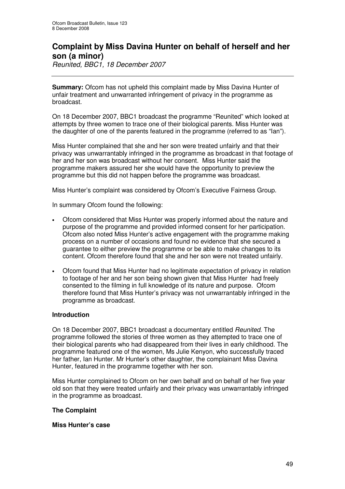# **Complaint by Miss Davina Hunter on behalf of herself and her son (a minor)**

*Reunited, BBC1, 18 December 2007*

**Summary:** Ofcom has not upheld this complaint made by Miss Davina Hunter of unfair treatment and unwarranted infringement of privacy in the programme as broadcast.

On 18 December 2007, BBC1 broadcast the programme "Reunited" which looked at attempts by three women to trace one of their biological parents. Miss Hunter was the daughter of one of the parents featured in the programme (referred to as "Ian").

Miss Hunter complained that she and her son were treated unfairly and that their privacy was unwarrantably infringed in the programme as broadcast in that footage of her and her son was broadcast without her consent. Miss Hunter said the programme makers assured her she would have the opportunity to preview the programme but this did not happen before the programme was broadcast.

Miss Hunter's complaint was considered by Ofcom's Executive Fairness Group.

In summary Ofcom found the following:

- Ofcom considered that Miss Hunter was properly informed about the nature and purpose of the programme and provided informed consent for her participation. Ofcom also noted Miss Hunter's active engagement with the programme making process on a number of occasions and found no evidence that she secured a guarantee to either preview the programme or be able to make changes to its content. Ofcom therefore found that she and her son were not treated unfairly.
- Ofcom found that Miss Hunter had no legitimate expectation of privacy in relation to footage of her and her son being shown given that Miss Hunter had freely consented to the filming in full knowledge of its nature and purpose. Ofcom therefore found that Miss Hunter's privacy was not unwarrantably infringed in the programme as broadcast.

#### **Introduction**

On 18 December 2007, BBC1 broadcast a documentary entitled *Reunited*. The programme followed the stories of three women as they attempted to trace one of their biological parents who had disappeared from their lives in early childhood. The programme featured one of the women, Ms Julie Kenyon, who successfully traced her father, Ian Hunter. Mr Hunter's other daughter, the complainant Miss Davina Hunter, featured in the programme together with her son.

Miss Hunter complained to Ofcom on her own behalf and on behalf of her five year old son that they were treated unfairly and their privacy was unwarrantably infringed in the programme as broadcast.

#### **The Complaint**

#### **Miss Hunter's case**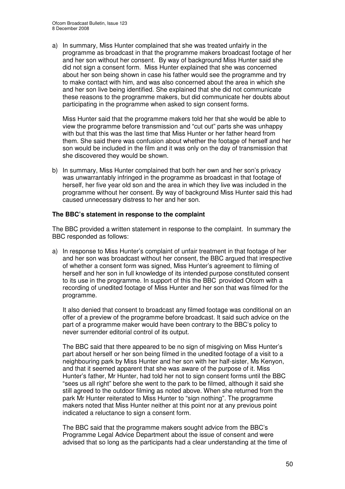a) In summary, Miss Hunter complained that she was treated unfairly in the programme as broadcast in that the programme makers broadcast footage of her and her son without her consent. By way of background Miss Hunter said she did not sign a consent form. Miss Hunter explained that she was concerned about her son being shown in case his father would see the programme and try to make contact with him, and was also concerned about the area in which she and her son live being identified. She explained that she did not communicate these reasons to the programme makers, but did communicate her doubts about participating in the programme when asked to sign consent forms.

Miss Hunter said that the programme makers told her that she would be able to view the programme before transmission and "cut out" parts she was unhappy with but that this was the last time that Miss Hunter or her father heard from them. She said there was confusion about whether the footage of herself and her son would be included in the film and it was only on the day of transmission that she discovered they would be shown.

b) In summary, Miss Hunter complained that both her own and her son's privacy was unwarrantably infringed in the programme as broadcast in that footage of herself, her five year old son and the area in which they live was included in the programme without her consent. By way of background Miss Hunter said this had caused unnecessary distress to her and her son.

#### **The BBC's statement in response to the complaint**

The BBC provided a written statement in response to the complaint. In summary the BBC responded as follows:

a) In response to Miss Hunter's complaint of unfair treatment in that footage of her and her son was broadcast without her consent, the BBC argued that irrespective of whether a consent form was signed, Miss Hunter's agreement to filming of herself and her son in full knowledge of its intended purpose constituted consent to its use in the programme. In support of this the BBC provided Ofcom with a recording of unedited footage of Miss Hunter and her son that was filmed for the programme.

It also denied that consent to broadcast any filmed footage was conditional on an offer of a preview of the programme before broadcast. It said such advice on the part of a programme maker would have been contrary to the BBC's policy to never surrender editorial control of its output.

The BBC said that there appeared to be no sign of misgiving on Miss Hunter's part about herself or her son being filmed in the unedited footage of a visit to a neighbouring park by Miss Hunter and her son with her half-sister, Ms Kenyon, and that it seemed apparent that she was aware of the purpose of it. Miss Hunter's father, Mr Hunter, had told her not to sign consent forms until the BBC "sees us all right" before she went to the park to be filmed, although it said she still agreed to the outdoor filming as noted above. When she returned from the park Mr Hunter reiterated to Miss Hunter to "sign nothing". The programme makers noted that Miss Hunter neither at this point nor at any previous point indicated a reluctance to sign a consent form.

The BBC said that the programme makers sought advice from the BBC's Programme Legal Advice Department about the issue of consent and were advised that so long as the participants had a clear understanding at the time of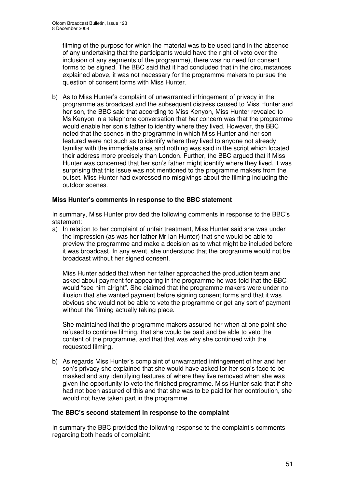filming of the purpose for which the material was to be used (and in the absence of any undertaking that the participants would have the right of veto over the inclusion of any segments of the programme), there was no need for consent forms to be signed. The BBC said that it had concluded that in the circumstances explained above, it was not necessary for the programme makers to pursue the question of consent forms with Miss Hunter.

b) As to Miss Hunter's complaint of unwarranted infringement of privacy in the programme as broadcast and the subsequent distress caused to Miss Hunter and her son, the BBC said that according to Miss Kenyon, Miss Hunter revealed to Ms Kenyon in a telephone conversation that her concern was that the programme would enable her son's father to identify where they lived. However, the BBC noted that the scenes in the programme in which Miss Hunter and her son featured were not such as to identify where they lived to anyone not already familiar with the immediate area and nothing was said in the script which located their address more precisely than London. Further, the BBC argued that if Miss Hunter was concerned that her son's father might identify where they lived, it was surprising that this issue was not mentioned to the programme makers from the outset. Miss Hunter had expressed no misgivings about the filming including the outdoor scenes.

#### **Miss Hunter's comments in response to the BBC statement**

In summary, Miss Hunter provided the following comments in response to the BBC's statement:

a) In relation to her complaint of unfair treatment, Miss Hunter said she was under the impression (as was her father Mr Ian Hunter) that she would be able to preview the programme and make a decision as to what might be included before it was broadcast. In any event, she understood that the programme would not be broadcast without her signed consent.

Miss Hunter added that when her father approached the production team and asked about payment for appearing in the programme he was told that the BBC would "see him alright". She claimed that the programme makers were under no illusion that she wanted payment before signing consent forms and that it was obvious she would not be able to veto the programme or get any sort of payment without the filming actually taking place.

She maintained that the programme makers assured her when at one point she refused to continue filming, that she would be paid and be able to veto the content of the programme, and that that was why she continued with the requested filming.

b) As regards Miss Hunter's complaint of unwarranted infringement of her and her son's privacy she explained that she would have asked for her son's face to be masked and any identifying features of where they live removed when she was given the opportunity to veto the finished programme. Miss Hunter said that if she had not been assured of this and that she was to be paid for her contribution, she would not have taken part in the programme.

#### **The BBC's second statement in response to the complaint**

In summary the BBC provided the following response to the complaint's comments regarding both heads of complaint: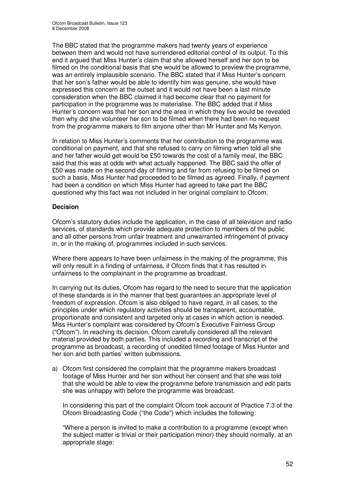The BBC stated that the programme makers had twenty years of experience between them and would not have surrendered editorial control of its output. To this end it argued that Miss Hunter's claim that she allowed herself and her son to be filmed on the conditional basis that she would be allowed to preview the programme, was an entirely implausible scenario. The BBC stated that if Miss Hunter's concern that her son's father would be able to identify him was genuine, she would have expressed this concern at the outset and it would not have been a last minute consideration when the BBC claimed it had become clear that no payment for participation in the programme was to materialise. The BBC added that if Miss Hunter's concern was that her son and the area in which they live would be revealed then why did she volunteer her son to be filmed when there had been no request from the programme makers to film anyone other than Mr Hunter and Ms Kenyon.

In relation to Miss Hunter's comments that her contribution to the programme was conditional on payment, and that she refused to carry on filming when told all she and her father would get would be £50 towards the cost of a family meal, the BBC said that this was at odds with what actually happened. The BBC said the offer of £50 was made on the second day of filming and far from refusing to be filmed on such a basis, Miss Hunter had proceeded to be filmed as agreed. Finally, if payment had been a condition on which Miss Hunter had agreed to take part the BBC questioned why this fact was not included in her original complaint to Ofcom.

### **Decision**

Ofcom's statutory duties include the application, in the case of all television and radio services, of standards which provide adequate protection to members of the public and all other persons from unfair treatment and unwarranted infringement of privacy in, or in the making of, programmes included in such services.

Where there appears to have been unfairness in the making of the programme, this will only result in a finding of unfairness, if Ofcom finds that it has resulted in unfairness to the complainant in the programme as broadcast.

In carrying out its duties, Ofcom has regard to the need to secure that the application of these standards is in the manner that best guarantees an appropriate level of freedom of expression. Ofcom is also obliged to have regard, in all cases, to the principles under which regulatory activities should be transparent, accountable, proportionate and consistent and targeted only at cases in which action is needed. Miss Hunter's complaint was considered by Ofcom's Executive Fairness Group ("Ofcom"). In reaching its decision, Ofcom carefully considered all the relevant material provided by both parties. This included a recording and transcript of the programme as broadcast, a recording of unedited filmed footage of Miss Hunter and her son and both parties' written submissions.

a) Ofcom first considered the complaint that the programme makers broadcast footage of Miss Hunter and her son without her consent and that she was told that she would be able to view the programme before transmission and edit parts she was unhappy with before the programme was broadcast.

In considering this part of the complaint Ofcom took account of Practice 7.3 of the Ofcom Broadcasting Code ("the Code") which includes the following:

"Where a person is invited to make a contribution to a programme (except when the subject matter is trivial or their participation minor) they should normally, at an appropriate stage: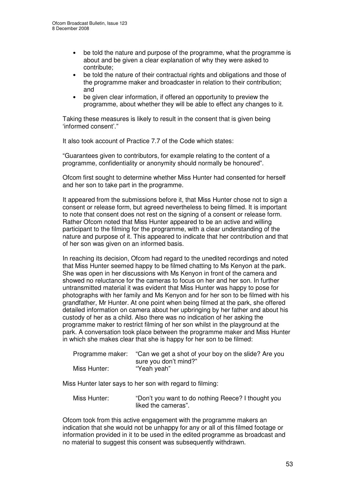- be told the nature and purpose of the programme, what the programme is about and be given a clear explanation of why they were asked to contribute;
- be told the nature of their contractual rights and obligations and those of the programme maker and broadcaster in relation to their contribution; and
- be given clear information, if offered an opportunity to preview the programme, about whether they will be able to effect any changes to it.

Taking these measures is likely to result in the consent that is given being 'informed consent'."

It also took account of Practice 7.7 of the Code which states:

"Guarantees given to contributors, for example relating to the content of a programme, confidentiality or anonymity should normally be honoured".

Ofcom first sought to determine whether Miss Hunter had consented for herself and her son to take part in the programme.

It appeared from the submissions before it, that Miss Hunter chose not to sign a consent or release form, but agreed nevertheless to being filmed. It is important to note that consent does not rest on the signing of a consent or release form. Rather Ofcom noted that Miss Hunter appeared to be an active and willing participant to the filming for the programme, with a clear understanding of the nature and purpose of it. This appeared to indicate that her contribution and that of her son was given on an informed basis.

In reaching its decision, Ofcom had regard to the unedited recordings and noted that Miss Hunter seemed happy to be filmed chatting to Ms Kenyon at the park. She was open in her discussions with Ms Kenyon in front of the camera and showed no reluctance for the cameras to focus on her and her son. In further untransmitted material it was evident that Miss Hunter was happy to pose for photographs with her family and Ms Kenyon and for her son to be filmed with his grandfather, Mr Hunter. At one point when being filmed at the park, she offered detailed information on camera about her upbringing by her father and about his custody of her as a child. Also there was no indication of her asking the programme maker to restrict filming of her son whilst in the playground at the park. A conversation took place between the programme maker and Miss Hunter in which she makes clear that she is happy for her son to be filmed:

| Programme maker: | "Can we get a shot of your boy on the slide? Are you |
|------------------|------------------------------------------------------|
|                  | sure you don't mind?"                                |
| Miss Hunter:     | "Yeah yeah"                                          |

Miss Hunter later says to her son with regard to filming:

Miss Hunter: "Don't you want to do nothing Reece? I thought you liked the cameras".

Ofcom took from this active engagement with the programme makers an indication that she would not be unhappy for any or all of this filmed footage or information provided in it to be used in the edited programme as broadcast and no material to suggest this consent was subsequently withdrawn.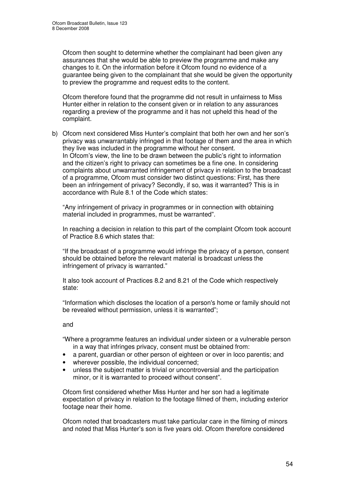Ofcom then sought to determine whether the complainant had been given any assurances that she would be able to preview the programme and make any changes to it. On the information before it Ofcom found no evidence of a guarantee being given to the complainant that she would be given the opportunity to preview the programme and request edits to the content.

Ofcom therefore found that the programme did not result in unfairness to Miss Hunter either in relation to the consent given or in relation to any assurances regarding a preview of the programme and it has not upheld this head of the complaint.

b) Ofcom next considered Miss Hunter's complaint that both her own and her son's privacy was unwarrantably infringed in that footage of them and the area in which they live was included in the programme without her consent. In Ofcom's view, the line to be drawn between the public's right to information and the citizen's right to privacy can sometimes be a fine one. In considering complaints about unwarranted infringement of privacy in relation to the broadcast of a programme, Ofcom must consider two distinct questions: First, has there been an infringement of privacy? Secondly, if so, was it warranted? This is in accordance with Rule 8.1 of the Code which states:

"Any infringement of privacy in programmes or in connection with obtaining material included in programmes, must be warranted".

In reaching a decision in relation to this part of the complaint Ofcom took account of Practice 8.6 which states that:

"If the broadcast of a programme would infringe the privacy of a person, consent should be obtained before the relevant material is broadcast unless the infringement of privacy is warranted."

It also took account of Practices 8.2 and 8.21 of the Code which respectively state:

"Information which discloses the location of a person's home or family should not be revealed without permission, unless it is warranted";

#### and

"Where a programme features an individual under sixteen or a vulnerable person in a way that infringes privacy, consent must be obtained from:

- a parent, guardian or other person of eighteen or over in loco parentis; and
- wherever possible, the individual concerned;
- unless the subject matter is trivial or uncontroversial and the participation minor, or it is warranted to proceed without consent".

Ofcom first considered whether Miss Hunter and her son had a legitimate expectation of privacy in relation to the footage filmed of them, including exterior footage near their home.

Ofcom noted that broadcasters must take particular care in the filming of minors and noted that Miss Hunter's son is five years old. Ofcom therefore considered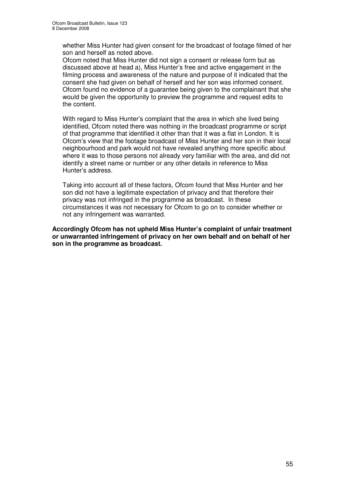whether Miss Hunter had given consent for the broadcast of footage filmed of her son and herself as noted above.

Ofcom noted that Miss Hunter did not sign a consent or release form but as discussed above at head a), Miss Hunter's free and active engagement in the filming process and awareness of the nature and purpose of it indicated that the consent she had given on behalf of herself and her son was informed consent. Ofcom found no evidence of a guarantee being given to the complainant that she would be given the opportunity to preview the programme and request edits to the content.

With regard to Miss Hunter's complaint that the area in which she lived being identified, Ofcom noted there was nothing in the broadcast programme or script of that programme that identified it other than that it was a flat in London. It is Ofcom's view that the footage broadcast of Miss Hunter and her son in their local neighbourhood and park would not have revealed anything more specific about where it was to those persons not already very familiar with the area, and did not identify a street name or number or any other details in reference to Miss Hunter's address.

Taking into account all of these factors, Ofcom found that Miss Hunter and her son did not have a legitimate expectation of privacy and that therefore their privacy was not infringed in the programme as broadcast. In these circumstances it was not necessary for Ofcom to go on to consider whether or not any infringement was warranted.

**Accordingly Ofcom has not upheld Miss Hunter's complaint of unfair treatment or unwarranted infringement of privacy on her own behalf and on behalf of her son in the programme as broadcast.**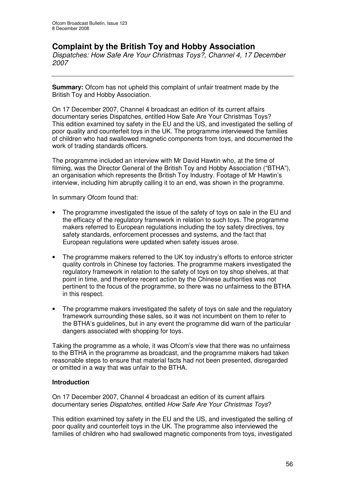# **Complaint by the British Toy and Hobby Association**

*Dispatches: How Safe Are Your Christmas Toys?, Channel 4, 17 December 2007*

**Summary:** Ofcom has not upheld this complaint of unfair treatment made by the British Toy and Hobby Association.

On 17 December 2007, Channel 4 broadcast an edition of its current affairs documentary series Dispatches, entitled How Safe Are Your Christmas Toys? This edition examined toy safety in the EU and the US, and investigated the selling of poor quality and counterfeit toys in the UK. The programme interviewed the families of children who had swallowed magnetic components from toys, and documented the work of trading standards officers.

The programme included an interview with Mr David Hawtin who, at the time of filming, was the Director General of the British Toy and Hobby Association ("BTHA"), an organisation which represents the British Toy Industry. Footage of Mr Hawtin's interview, including him abruptly calling it to an end, was shown in the programme.

In summary Ofcom found that:

- The programme investigated the issue of the safety of toys on sale in the EU and the efficacy of the regulatory framework in relation to such toys. The programme makers referred to European regulations including the toy safety directives, toy safety standards, enforcement processes and systems, and the fact that European regulations were updated when safety issues arose.
- The programme makers referred to the UK toy industry's efforts to enforce stricter quality controls in Chinese toy factories. The programme makers investigated the regulatory framework in relation to the safety of toys on toy shop shelves, at that point in time, and therefore recent action by the Chinese authorities was not pertinent to the focus of the programme, so there was no unfairness to the BTHA in this respect.
- The programme makers investigated the safety of toys on sale and the regulatory framework surrounding these sales, so it was not incumbent on them to refer to the BTHA's guidelines, but in any event the programme did warn of the particular dangers associated with shopping for toys.

Taking the programme as a whole, it was Ofcom's view that there was no unfairness to the BTHA in the programme as broadcast, and the programme makers had taken reasonable steps to ensure that material facts had not been presented, disregarded or omitted in a way that was unfair to the BTHA.

#### **Introduction**

On 17 December 2007, Channel 4 broadcast an edition of its current affairs documentary series *Dispatches*, entitled *How Safe Are Your Christmas Toys*?

This edition examined toy safety in the EU and the US, and investigated the selling of poor quality and counterfeit toys in the UK. The programme also interviewed the families of children who had swallowed magnetic components from toys, investigated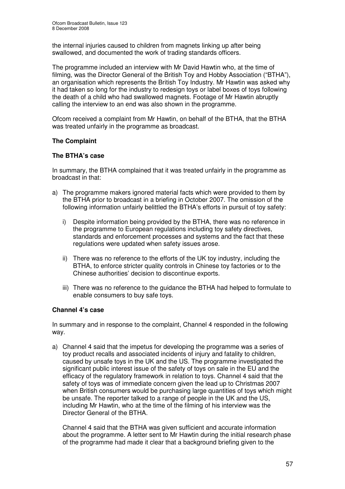the internal injuries caused to children from magnets linking up after being swallowed, and documented the work of trading standards officers.

The programme included an interview with Mr David Hawtin who, at the time of filming, was the Director General of the British Toy and Hobby Association ("BTHA"), an organisation which represents the British Toy Industry. Mr Hawtin was asked why it had taken so long for the industry to redesign toys or label boxes of toys following the death of a child who had swallowed magnets. Footage of Mr Hawtin abruptly calling the interview to an end was also shown in the programme.

Ofcom received a complaint from Mr Hawtin, on behalf of the BTHA, that the BTHA was treated unfairly in the programme as broadcast.

### **The Complaint**

### **The BTHA's case**

In summary, the BTHA complained that it was treated unfairly in the programme as broadcast in that:

- a) The programme makers ignored material facts which were provided to them by the BTHA prior to broadcast in a briefing in October 2007. The omission of the following information unfairly belittled the BTHA's efforts in pursuit of toy safety:
	- i) Despite information being provided by the BTHA, there was no reference in the programme to European regulations including toy safety directives, standards and enforcement processes and systems and the fact that these regulations were updated when safety issues arose.
	- ii) There was no reference to the efforts of the UK toy industry, including the BTHA, to enforce stricter quality controls in Chinese toy factories or to the Chinese authorities' decision to discontinue exports.
	- iii) There was no reference to the guidance the BTHA had helped to formulate to enable consumers to buy safe toys.

#### **Channel 4's case**

In summary and in response to the complaint, Channel 4 responded in the following way.

a) Channel 4 said that the impetus for developing the programme was a series of toy product recalls and associated incidents of injury and fatality to children, caused by unsafe toys in the UK and the US. The programme investigated the significant public interest issue of the safety of toys on sale in the EU and the efficacy of the regulatory framework in relation to toys. Channel 4 said that the safety of toys was of immediate concern given the lead up to Christmas 2007 when British consumers would be purchasing large quantities of toys which might be unsafe. The reporter talked to a range of people in the UK and the US, including Mr Hawtin, who at the time of the filming of his interview was the Director General of the BTHA.

Channel 4 said that the BTHA was given sufficient and accurate information about the programme. A letter sent to Mr Hawtin during the initial research phase of the programme had made it clear that a background briefing given to the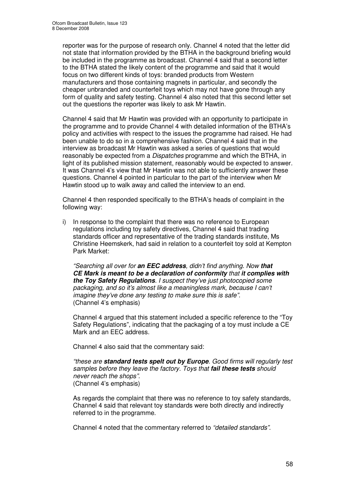reporter was for the purpose of research only. Channel 4 noted that the letter did not state that information provided by the BTHA in the background briefing would be included in the programme as broadcast. Channel 4 said that a second letter to the BTHA stated the likely content of the programme and said that it would focus on two different kinds of toys: branded products from Western manufacturers and those containing magnets in particular, and secondly the cheaper unbranded and counterfeit toys which may not have gone through any form of quality and safety testing. Channel 4 also noted that this second letter set out the questions the reporter was likely to ask Mr Hawtin.

Channel 4 said that Mr Hawtin was provided with an opportunity to participate in the programme and to provide Channel 4 with detailed information of the BTHA's policy and activities with respect to the issues the programme had raised. He had been unable to do so in a comprehensive fashion. Channel 4 said that in the interview as broadcast Mr Hawtin was asked a series of questions that would reasonably be expected from a *Dispatches* programme and which the BTHA, in light of its published mission statement, reasonably would be expected to answer. It was Channel 4's view that Mr Hawtin was not able to sufficiently answer these questions. Channel 4 pointed in particular to the part of the interview when Mr Hawtin stood up to walk away and called the interview to an end.

Channel 4 then responded specifically to the BTHA's heads of complaint in the following way:

i) In response to the complaint that there was no reference to European regulations including toy safety directives, Channel 4 said that trading standards officer and representative of the trading standards institute, Ms Christine Heemskerk, had said in relation to a counterfeit toy sold at Kempton Park Market:

*"Searching all over for an EEC address, didn't find anything. Now that CE Mark is meant to be a declaration of conformity that it complies with the Toy Safety Regulations. I suspect they've just photocopied some packaging, and so it's almost like a meaningless mark, because I can't imagine they've done any testing to make sure this is safe".* (Channel 4's emphasis)

Channel 4 argued that this statement included a specific reference to the "Toy Safety Regulations", indicating that the packaging of a toy must include a CE Mark and an EEC address.

Channel 4 also said that the commentary said:

*"these are standard tests spelt out by Europe. Good firms will regularly test samples before they leave the factory. Toys that fail these tests should never reach the shops".* (Channel 4's emphasis)

As regards the complaint that there was no reference to toy safety standards, Channel 4 said that relevant toy standards were both directly and indirectly referred to in the programme.

Channel 4 noted that the commentary referred to *"detailed standards".*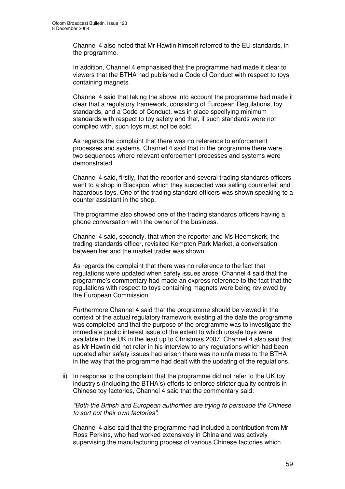Channel 4 also noted that Mr Hawtin himself referred to the EU standards, in the programme.

In addition, Channel 4 emphasised that the programme had made it clear to viewers that the BTHA had published a Code of Conduct with respect to toys containing magnets.

Channel 4 said that taking the above into account the programme had made it clear that a regulatory framework, consisting of European Regulations, toy standards, and a Code of Conduct, was in place specifying minimum standards with respect to toy safety and that, if such standards were not complied with, such toys must not be sold.

As regards the complaint that there was no reference to enforcement processes and systems, Channel 4 said that in the programme there were two sequences where relevant enforcement processes and systems were demonstrated.

Channel 4 said, firstly, that the reporter and several trading standards officers went to a shop in Blackpool which they suspected was selling counterfeit and hazardous toys. One of the trading standard officers was shown speaking to a counter assistant in the shop.

The programme also showed one of the trading standards officers having a phone conversation with the owner of the business.

Channel 4 said, secondly, that when the reporter and Ms Heemskerk, the trading standards officer, revisited Kempton Park Market, a conversation between her and the market trader was shown.

As regards the complaint that there was no reference to the fact that regulations were updated when safety issues arose, Channel 4 said that the programme's commentary had made an express reference to the fact that the regulations with respect to toys containing magnets were being reviewed by the European Commission.

Furthermore Channel 4 said that the programme should be viewed in the context of the actual regulatory framework existing at the date the programme was completed and that the purpose of the programme was to investigate the immediate public interest issue of the extent to which unsafe toys were available in the UK in the lead up to Christmas 2007. Channel 4 also said that as Mr Hawtin did not refer in his interview to any regulations which had been updated after safety issues had arisen there was no unfairness to the BTHA in the way that the programme had dealt with the updating of the regulations.

ii) In response to the complaint that the programme did not refer to the UK toy industry's (including the BTHA's) efforts to enforce stricter quality controls in Chinese toy factories, Channel 4 said that the commentary said:

*"Both the British and European authorities are trying to persuade the Chinese to sort out their own factories".*

Channel 4 also said that the programme had included a contribution from Mr Ross Perkins, who had worked extensively in China and was actively supervising the manufacturing process of various Chinese factories which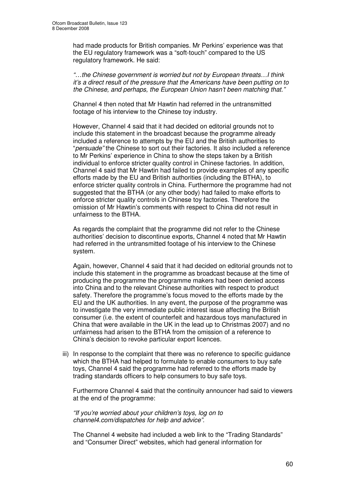had made products for British companies. Mr Perkins' experience was that the EU regulatory framework was a "soft-touch" compared to the US regulatory framework. He said:

*"…the Chinese government is worried but not by European threats…I think it's a direct result of the pressure that the Americans have been putting on to the Chinese, and perhaps, the European Union hasn't been matching that."*

Channel 4 then noted that Mr Hawtin had referred in the untransmitted footage of his interview to the Chinese toy industry.

However, Channel 4 said that it had decided on editorial grounds not to include this statement in the broadcast because the programme already included a reference to attempts by the EU and the British authorities to "*persuade"* the Chinese to sort out their factories. It also included a reference to Mr Perkins' experience in China to show the steps taken by a British individual to enforce stricter quality control in Chinese factories. In addition, Channel 4 said that Mr Hawtin had failed to provide examples of any specific efforts made by the EU and British authorities (including the BTHA), to enforce stricter quality controls in China. Furthermore the programme had not suggested that the BTHA (or any other body) had failed to make efforts to enforce stricter quality controls in Chinese toy factories. Therefore the omission of Mr Hawtin's comments with respect to China did not result in unfairness to the BTHA.

As regards the complaint that the programme did not refer to the Chinese authorities' decision to discontinue exports, Channel 4 noted that Mr Hawtin had referred in the untransmitted footage of his interview to the Chinese system.

Again, however, Channel 4 said that it had decided on editorial grounds not to include this statement in the programme as broadcast because at the time of producing the programme the programme makers had been denied access into China and to the relevant Chinese authorities with respect to product safety. Therefore the programme's focus moved to the efforts made by the EU and the UK authorities. In any event, the purpose of the programme was to investigate the very immediate public interest issue affecting the British consumer (i.e. the extent of counterfeit and hazardous toys manufactured in China that were available in the UK in the lead up to Christmas 2007) and no unfairness had arisen to the BTHA from the omission of a reference to China's decision to revoke particular export licences.

iii) In response to the complaint that there was no reference to specific guidance which the BTHA had helped to formulate to enable consumers to buy safe toys, Channel 4 said the programme had referred to the efforts made by trading standards officers to help consumers to buy safe toys.

Furthermore Channel 4 said that the continuity announcer had said to viewers at the end of the programme:

*"If you're worried about your children's toys, log on to channel4.com/dispatches for help and advice".*

The Channel 4 website had included a web link to the "Trading Standards" and "Consumer Direct" websites, which had general information for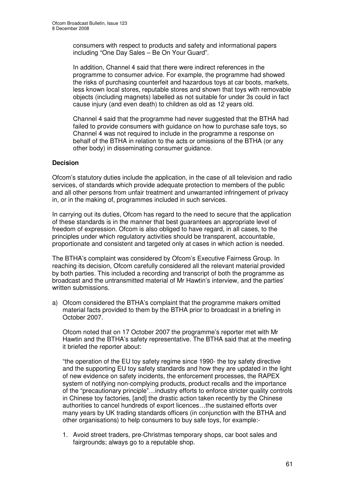consumers with respect to products and safety and informational papers including "One Day Sales – Be On Your Guard".

In addition, Channel 4 said that there were indirect references in the programme to consumer advice. For example, the programme had showed the risks of purchasing counterfeit and hazardous toys at car boots, markets, less known local stores, reputable stores and shown that toys with removable objects (including magnets) labelled as not suitable for under 3s could in fact cause injury (and even death) to children as old as 12 years old.

Channel 4 said that the programme had never suggested that the BTHA had failed to provide consumers with guidance on how to purchase safe toys, so Channel 4 was not required to include in the programme a response on behalf of the BTHA in relation to the acts or omissions of the BTHA (or any other body) in disseminating consumer guidance.

#### **Decision**

Ofcom's statutory duties include the application, in the case of all television and radio services, of standards which provide adequate protection to members of the public and all other persons from unfair treatment and unwarranted infringement of privacy in, or in the making of, programmes included in such services.

In carrying out its duties, Ofcom has regard to the need to secure that the application of these standards is in the manner that best guarantees an appropriate level of freedom of expression. Ofcom is also obliged to have regard, in all cases, to the principles under which regulatory activities should be transparent, accountable, proportionate and consistent and targeted only at cases in which action is needed.

The BTHA's complaint was considered by Ofcom's Executive Fairness Group. In reaching its decision, Ofcom carefully considered all the relevant material provided by both parties. This included a recording and transcript of both the programme as broadcast and the untransmitted material of Mr Hawtin's interview, and the parties' written submissions.

a) Ofcom considered the BTHA's complaint that the programme makers omitted material facts provided to them by the BTHA prior to broadcast in a briefing in October 2007.

Ofcom noted that on 17 October 2007 the programme's reporter met with Mr Hawtin and the BTHA's safety representative. The BTHA said that at the meeting it briefed the reporter about:

"the operation of the EU toy safety regime since 1990- the toy safety directive and the supporting EU toy safety standards and how they are updated in the light of new evidence on safety incidents, the enforcement processes, the RAPEX system of notifying non-complying products, product recalls and the importance of the "precautionary principle"…industry efforts to enforce stricter quality controls in Chinese toy factories, [and] the drastic action taken recently by the Chinese authorities to cancel hundreds of export licences…the sustained efforts over many years by UK trading standards officers (in conjunction with the BTHA and other organisations) to help consumers to buy safe toys, for example:-

1. Avoid street traders, pre-Christmas temporary shops, car boot sales and fairgrounds; always go to a reputable shop.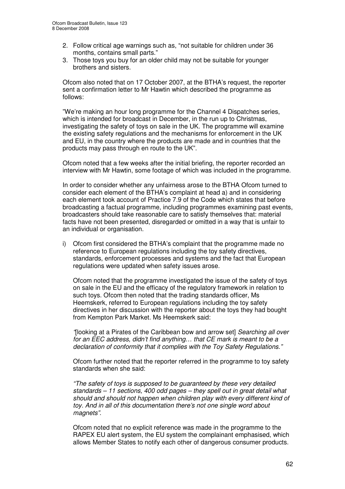- 2. Follow critical age warnings such as, "not suitable for children under 36 months, contains small parts."
- 3. Those toys you buy for an older child may not be suitable for younger brothers and sisters.

Ofcom also noted that on 17 October 2007, at the BTHA's request, the reporter sent a confirmation letter to Mr Hawtin which described the programme as follows:

"We're making an hour long programme for the Channel 4 Dispatches series, which is intended for broadcast in December, in the run up to Christmas, investigating the safety of toys on sale in the UK. The programme will examine the existing safety regulations and the mechanisms for enforcement in the UK and EU, in the country where the products are made and in countries that the products may pass through en route to the UK".

Ofcom noted that a few weeks after the initial briefing, the reporter recorded an interview with Mr Hawtin, some footage of which was included in the programme.

In order to consider whether any unfairness arose to the BTHA Ofcom turned to consider each element of the BTHA's complaint at head a) and in considering each element took account of Practice 7.9 of the Code which states that before broadcasting a factual programme, including programmes examining past events, broadcasters should take reasonable care to satisfy themselves that: material facts have not been presented, disregarded or omitted in a way that is unfair to an individual or organisation.

i) Ofcom first considered the BTHA's complaint that the programme made no reference to European regulations including the toy safety directives, standards, enforcement processes and systems and the fact that European regulations were updated when safety issues arose.

Ofcom noted that the programme investigated the issue of the safety of toys on sale in the EU and the efficacy of the regulatory framework in relation to such toys. Ofcom then noted that the trading standards officer, Ms Heemskerk, referred to European regulations including the toy safety directives in her discussion with the reporter about the toys they had bought from Kempton Park Market. Ms Heemskerk said:

*"*[looking at a Pirates of the Caribbean bow and arrow set] *Searching all over for an EEC address, didn't find anything… that CE mark is meant to be a declaration of conformity that it complies with the Toy Safety Regulations."*

Ofcom further noted that the reporter referred in the programme to toy safety standards when she said:

*"The safety of toys is supposed to be guaranteed by these very detailed standards – 11 sections, 400 odd pages – they spell out in great detail what should and should not happen when children play with every different kind of toy. And in all of this documentation there's not one single word about magnets".*

Ofcom noted that no explicit reference was made in the programme to the RAPEX EU alert system, the EU system the complainant emphasised, which allows Member States to notify each other of dangerous consumer products.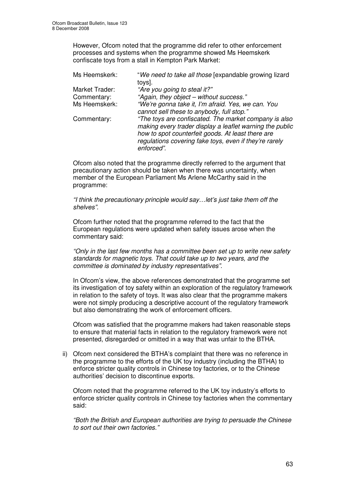However, Ofcom noted that the programme did refer to other enforcement processes and systems when the programme showed Ms Heemskerk confiscate toys from a stall in Kempton Park Market:

| Ms Heemskerk:                 | "We need to take all those [expandable growing lizard<br>toys].                                                                                                                                                                                |
|-------------------------------|------------------------------------------------------------------------------------------------------------------------------------------------------------------------------------------------------------------------------------------------|
| Market Trader:<br>Commentary: | "Are you going to steal it?"<br>"Again, they object - without success."                                                                                                                                                                        |
| Ms Heemskerk:                 | "We're gonna take it, I'm afraid. Yes, we can. You<br>cannot sell these to anybody, full stop."                                                                                                                                                |
| Commentary:                   | "The toys are confiscated. The market company is also<br>making every trader display a leaflet warning the public<br>how to spot counterfeit goods. At least there are<br>regulations covering fake toys, even if they're rarely<br>enforced". |

Ofcom also noted that the programme directly referred to the argument that precautionary action should be taken when there was uncertainty, when member of the European Parliament Ms Arlene McCarthy said in the programme:

*"I think the precautionary principle would say…let's just take them off the shelves".*

Ofcom further noted that the programme referred to the fact that the European regulations were updated when safety issues arose when the commentary said:

*"Only in the last few months has a committee been set up to write new safety standards for magnetic toys. That could take up to two years, and the committee is dominated by industry representatives".*

In Ofcom's view, the above references demonstrated that the programme set its investigation of toy safety within an exploration of the regulatory framework in relation to the safety of toys. It was also clear that the programme makers were not simply producing a descriptive account of the regulatory framework but also demonstrating the work of enforcement officers.

Ofcom was satisfied that the programme makers had taken reasonable steps to ensure that material facts in relation to the regulatory framework were not presented, disregarded or omitted in a way that was unfair to the BTHA.

ii) Ofcom next considered the BTHA's complaint that there was no reference in the programme to the efforts of the UK toy industry (including the BTHA) to enforce stricter quality controls in Chinese toy factories, or to the Chinese authorities' decision to discontinue exports.

Ofcom noted that the programme referred to the UK toy industry's efforts to enforce stricter quality controls in Chinese toy factories when the commentary said:

*"Both the British and European authorities are trying to persuade the Chinese to sort out their own factories."*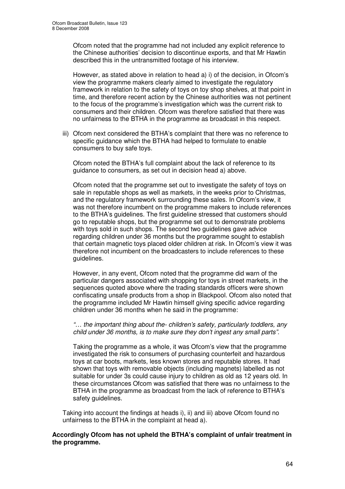Ofcom noted that the programme had not included any explicit reference to the Chinese authorities' decision to discontinue exports, and that Mr Hawtin described this in the untransmitted footage of his interview.

However, as stated above in relation to head a) i) of the decision, in Ofcom's view the programme makers clearly aimed to investigate the regulatory framework in relation to the safety of toys on toy shop shelves, at that point in time, and therefore recent action by the Chinese authorities was not pertinent to the focus of the programme's investigation which was the current risk to consumers and their children. Ofcom was therefore satisfied that there was no unfairness to the BTHA in the programme as broadcast in this respect.

iii) Ofcom next considered the BTHA's complaint that there was no reference to specific guidance which the BTHA had helped to formulate to enable consumers to buy safe toys.

Ofcom noted the BTHA's full complaint about the lack of reference to its guidance to consumers, as set out in decision head a) above.

Ofcom noted that the programme set out to investigate the safety of toys on sale in reputable shops as well as markets, in the weeks prior to Christmas, and the regulatory framework surrounding these sales. In Ofcom's view, it was not therefore incumbent on the programme makers to include references to the BTHA's guidelines. The first guideline stressed that customers should go to reputable shops, but the programme set out to demonstrate problems with toys sold in such shops. The second two guidelines gave advice regarding children under 36 months but the programme sought to establish that certain magnetic toys placed older children at risk. In Ofcom's view it was therefore not incumbent on the broadcasters to include references to these guidelines.

However, in any event, Ofcom noted that the programme did warn of the particular dangers associated with shopping for toys in street markets, in the sequences quoted above where the trading standards officers were shown confiscating unsafe products from a shop in Blackpool. Ofcom also noted that the programme included Mr Hawtin himself giving specific advice regarding children under 36 months when he said in the programme:

*"… the important thing about the- children's safety, particularly toddlers, any child under 36 months, is to make sure they don't ingest any small parts".*

Taking the programme as a whole, it was Ofcom's view that the programme investigated the risk to consumers of purchasing counterfeit and hazardous toys at car boots, markets, less known stores and reputable stores. It had shown that toys with removable objects (including magnets) labelled as not suitable for under 3s could cause injury to children as old as 12 years old. In these circumstances Ofcom was satisfied that there was no unfairness to the BTHA in the programme as broadcast from the lack of reference to BTHA's safety quidelines.

Taking into account the findings at heads i), ii) and iii) above Ofcom found no unfairness to the BTHA in the complaint at head a).

#### **Accordingly Ofcom has not upheld the BTHA's complaint of unfair treatment in the programme.**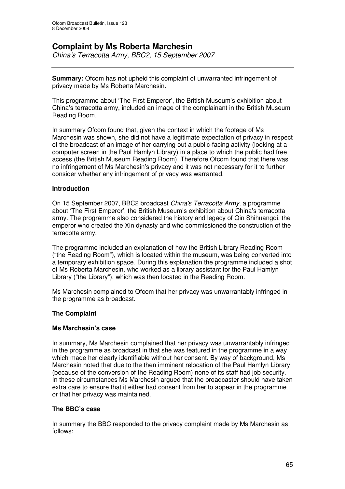## **Complaint by Ms Roberta Marchesin**

*China's Terracotta Army, BBC2, 15 September 2007*

**Summary:** Ofcom has not upheld this complaint of unwarranted infringement of privacy made by Ms Roberta Marchesin.

This programme about 'The First Emperor', the British Museum's exhibition about China's terracotta army, included an image of the complainant in the British Museum Reading Room.

In summary Ofcom found that, given the context in which the footage of Ms Marchesin was shown, she did not have a legitimate expectation of privacy in respect of the broadcast of an image of her carrying out a public-facing activity (looking at a computer screen in the Paul Hamlyn Library) in a place to which the public had free access (the British Museum Reading Room). Therefore Ofcom found that there was no infringement of Ms Marchesin's privacy and it was not necessary for it to further consider whether any infringement of privacy was warranted.

#### **Introduction**

On 15 September 2007, BBC2 broadcast *China's Terracotta Army*, a programme about 'The First Emperor', the British Museum's exhibition about China's terracotta army. The programme also considered the history and legacy of Qin Shihuangdi, the emperor who created the Xin dynasty and who commissioned the construction of the terracotta army.

The programme included an explanation of how the British Library Reading Room ("the Reading Room"), which is located within the museum, was being converted into a temporary exhibition space. During this explanation the programme included a shot of Ms Roberta Marchesin, who worked as a library assistant for the Paul Hamlyn Library ("the Library"), which was then located in the Reading Room.

Ms Marchesin complained to Ofcom that her privacy was unwarrantably infringed in the programme as broadcast.

#### **The Complaint**

#### **Ms Marchesin's case**

In summary, Ms Marchesin complained that her privacy was unwarrantably infringed in the programme as broadcast in that she was featured in the programme in a way which made her clearly identifiable without her consent. By way of background, Ms Marchesin noted that due to the then imminent relocation of the Paul Hamlyn Library (because of the conversion of the Reading Room) none of its staff had job security. In these circumstances Ms Marchesin argued that the broadcaster should have taken extra care to ensure that it either had consent from her to appear in the programme or that her privacy was maintained.

#### **The BBC's case**

In summary the BBC responded to the privacy complaint made by Ms Marchesin as follows: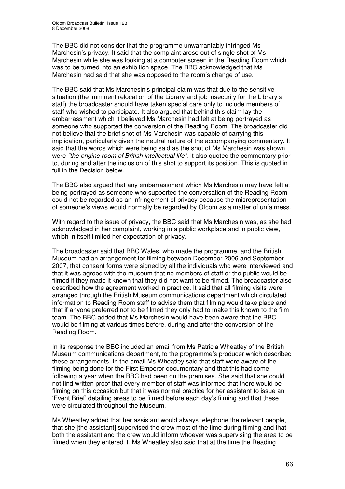The BBC did not consider that the programme unwarrantably infringed Ms Marchesin's privacy. It said that the complaint arose out of single shot of Ms Marchesin while she was looking at a computer screen in the Reading Room which was to be turned into an exhibition space. The BBC acknowledged that Ms Marchesin had said that she was opposed to the room's change of use.

The BBC said that Ms Marchesin's principal claim was that due to the sensitive situation (the imminent relocation of the Library and job insecurity for the Library's staff) the broadcaster should have taken special care only to include members of staff who wished to participate. It also argued that behind this claim lay the embarrassment which it believed Ms Marchesin had felt at being portrayed as someone who supported the conversion of the Reading Room. The broadcaster did not believe that the brief shot of Ms Marchesin was capable of carrying this implication, particularly given the neutral nature of the accompanying commentary. It said that the words which were being said as the shot of Ms Marchesin was shown were *"the engine room of British intellectual life"*. It also quoted the commentary prior to, during and after the inclusion of this shot to support its position. This is quoted in full in the Decision below.

The BBC also argued that any embarrassment which Ms Marchesin may have felt at being portrayed as someone who supported the conversation of the Reading Room could not be regarded as an infringement of privacy because the misrepresentation of someone's views would normally be regarded by Ofcom as a matter of unfairness.

With regard to the issue of privacy, the BBC said that Ms Marchesin was, as she had acknowledged in her complaint, working in a public workplace and in public view, which in itself limited her expectation of privacy.

The broadcaster said that BBC Wales, who made the programme, and the British Museum had an arrangement for filming between December 2006 and September 2007, that consent forms were signed by all the individuals who were interviewed and that it was agreed with the museum that no members of staff or the public would be filmed if they made it known that they did not want to be filmed. The broadcaster also described how the agreement worked in practice. It said that all filming visits were arranged through the British Museum communications department which circulated information to Reading Room staff to advise them that filming would take place and that if anyone preferred not to be filmed they only had to make this known to the film team. The BBC added that Ms Marchesin would have been aware that the BBC would be filming at various times before, during and after the conversion of the Reading Room.

In its response the BBC included an email from Ms Patricia Wheatley of the British Museum communications department, to the programme's producer which described these arrangements. In the email Ms Wheatley said that staff were aware of the filming being done for the First Emperor documentary and that this had come following a year when the BBC had been on the premises. She said that she could not find written proof that every member of staff was informed that there would be filming on this occasion but that it was normal practice for her assistant to issue an 'Event Brief' detailing areas to be filmed before each day's filming and that these were circulated throughout the Museum.

Ms Wheatley added that her assistant would always telephone the relevant people, that she [the assistant] supervised the crew most of the time during filming and that both the assistant and the crew would inform whoever was supervising the area to be filmed when they entered it. Ms Wheatley also said that at the time the Reading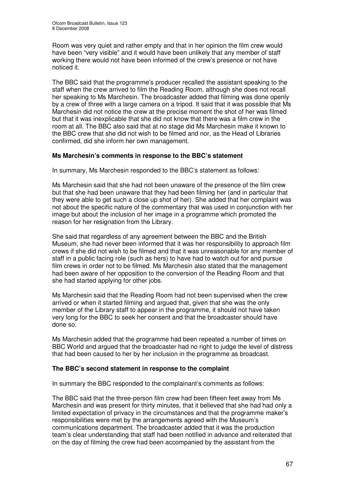Room was very quiet and rather empty and that in her opinion the film crew would have been "very visible" and it would have been unlikely that any member of staff working there would not have been informed of the crew's presence or not have noticed it.

The BBC said that the programme's producer recalled the assistant speaking to the staff when the crew arrived to film the Reading Room, although she does not recall her speaking to Ms Marchesin. The broadcaster added that filming was done openly by a crew of three with a large camera on a tripod. It said that it was possible that Ms Marchesin did not notice the crew at the precise moment the shot of her was filmed but that it was inexplicable that she did not know that there was a film crew in the room at all. The BBC also said that at no stage did Ms Marchesin make it known to the BBC crew that she did not wish to be filmed and nor, as the Head of Libraries confirmed, did she inform her own management.

#### **Ms Marchesin's comments in response to the BBC's statement**

In summary, Ms Marchesin responded to the BBC's statement as follows:

Ms Marchesin said that she had not been unaware of the presence of the film crew but that she had been unaware that they had been filming her (and in particular that they were able to get such a close up shot of her). She added that her complaint was not about the specific nature of the commentary that was used in conjunction with her image but about the inclusion of her image in a programme which promoted the reason for her resignation from the Library.

She said that regardless of any agreement between the BBC and the British Museum, she had never been informed that it was her responsibility to approach film crews if she did not wish to be filmed and that it was unreasonable for any member of staff in a public facing role (such as hers) to have had to watch out for and pursue film crews in order not to be filmed. Ms Marchesin also stated that the management had been aware of her opposition to the conversion of the Reading Room and that she had started applying for other jobs.

Ms Marchesin said that the Reading Room had not been supervised when the crew arrived or when it started filming and argued that, given that she was the only member of the Library staff to appear in the programme, it should not have taken very long for the BBC to seek her consent and that the broadcaster should have done so.

Ms Marchesin added that the programme had been repeated a number of times on BBC World and argued that the broadcaster had no right to judge the level of distress that had been caused to her by her inclusion in the programme as broadcast.

#### **The BBC's second statement in response to the complaint**

In summary the BBC responded to the complainant's comments as follows:

The BBC said that the three-person film crew had been fifteen feet away from Ms Marchesin and was present for thirty minutes, that it believed that she had had only a limited expectation of privacy in the circumstances and that the programme maker's responsibilities were met by the arrangements agreed with the Museum's communications department. The broadcaster added that it was the production team's clear understanding that staff had been notified in advance and reiterated that on the day of filming the crew had been accompanied by the assistant from the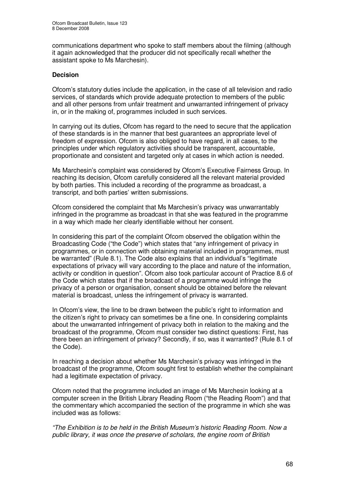communications department who spoke to staff members about the filming (although it again acknowledged that the producer did not specifically recall whether the assistant spoke to Ms Marchesin).

#### **Decision**

Ofcom's statutory duties include the application, in the case of all television and radio services, of standards which provide adequate protection to members of the public and all other persons from unfair treatment and unwarranted infringement of privacy in, or in the making of, programmes included in such services.

In carrying out its duties, Ofcom has regard to the need to secure that the application of these standards is in the manner that best guarantees an appropriate level of freedom of expression. Ofcom is also obliged to have regard, in all cases, to the principles under which regulatory activities should be transparent, accountable, proportionate and consistent and targeted only at cases in which action is needed.

Ms Marchesin's complaint was considered by Ofcom's Executive Fairness Group. In reaching its decision, Ofcom carefully considered all the relevant material provided by both parties. This included a recording of the programme as broadcast, a transcript, and both parties' written submissions.

Ofcom considered the complaint that Ms Marchesin's privacy was unwarrantably infringed in the programme as broadcast in that she was featured in the programme in a way which made her clearly identifiable without her consent.

In considering this part of the complaint Ofcom observed the obligation within the Broadcasting Code ("the Code") which states that "any infringement of privacy in programmes, or in connection with obtaining material included in programmes, must be warranted" (Rule 8.1). The Code also explains that an individual's "legitimate expectations of privacy will vary according to the place and nature of the information, activity or condition in question". Ofcom also took particular account of Practice 8.6 of the Code which states that if the broadcast of a programme would infringe the privacy of a person or organisation, consent should be obtained before the relevant material is broadcast, unless the infringement of privacy is warranted.

In Ofcom's view, the line to be drawn between the public's right to information and the citizen's right to privacy can sometimes be a fine one. In considering complaints about the unwarranted infringement of privacy both in relation to the making and the broadcast of the programme, Ofcom must consider two distinct questions: First, has there been an infringement of privacy? Secondly, if so, was it warranted? (Rule 8.1 of the Code).

In reaching a decision about whether Ms Marchesin's privacy was infringed in the broadcast of the programme, Ofcom sought first to establish whether the complainant had a legitimate expectation of privacy.

Ofcom noted that the programme included an image of Ms Marchesin looking at a computer screen in the British Library Reading Room ("the Reading Room") and that the commentary which accompanied the section of the programme in which she was included was as follows:

*"The Exhibition is to be held in the British Museum's historic Reading Room. Now a public library, it was once the preserve of scholars, the engine room of British*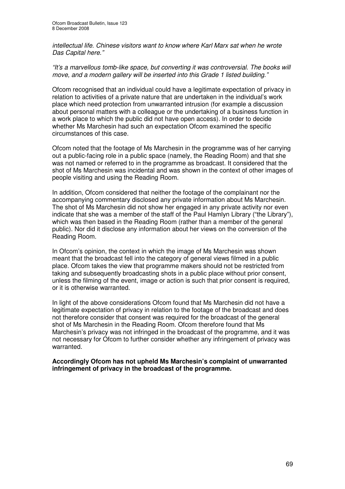*intellectual life. Chinese visitors want to know where Karl Marx sat when he wrote Das Capital here."*

*"It's a marvellous tomb-like space, but converting it was controversial. The books will move, and a modern gallery will be inserted into this Grade 1 listed building."*

Ofcom recognised that an individual could have a legitimate expectation of privacy in relation to activities of a private nature that are undertaken in the individual's work place which need protection from unwarranted intrusion (for example a discussion about personal matters with a colleague or the undertaking of a business function in a work place to which the public did not have open access). In order to decide whether Ms Marchesin had such an expectation Ofcom examined the specific circumstances of this case.

Ofcom noted that the footage of Ms Marchesin in the programme was of her carrying out a public-facing role in a public space (namely, the Reading Room) and that she was not named or referred to in the programme as broadcast. It considered that the shot of Ms Marchesin was incidental and was shown in the context of other images of people visiting and using the Reading Room.

In addition, Ofcom considered that neither the footage of the complainant nor the accompanying commentary disclosed any private information about Ms Marchesin. The shot of Ms Marchesin did not show her engaged in any private activity nor even indicate that she was a member of the staff of the Paul Hamlyn Library ("the Library"), which was then based in the Reading Room (rather than a member of the general public). Nor did it disclose any information about her views on the conversion of the Reading Room.

In Ofcom's opinion, the context in which the image of Ms Marchesin was shown meant that the broadcast fell into the category of general views filmed in a public place. Ofcom takes the view that programme makers should not be restricted from taking and subsequently broadcasting shots in a public place without prior consent, unless the filming of the event, image or action is such that prior consent is required, or it is otherwise warranted.

In light of the above considerations Ofcom found that Ms Marchesin did not have a legitimate expectation of privacy in relation to the footage of the broadcast and does not therefore consider that consent was required for the broadcast of the general shot of Ms Marchesin in the Reading Room. Ofcom therefore found that Ms Marchesin's privacy was not infringed in the broadcast of the programme, and it was not necessary for Ofcom to further consider whether any infringement of privacy was warranted.

**Accordingly Ofcom has not upheld Ms Marchesin's complaint of unwarranted infringement of privacy in the broadcast of the programme.**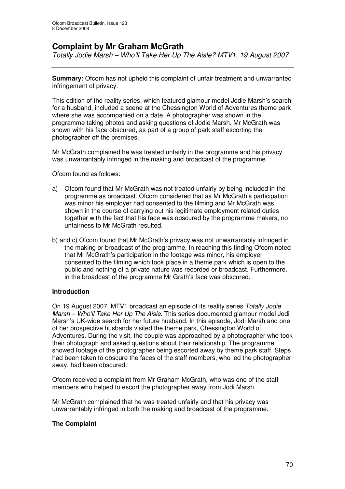# **Complaint by Mr Graham McGrath**

*Totally Jodie Marsh – Who'll Take Her Up The Aisle? MTV1, 19 August 2007*

**Summary:** Ofcom has not upheld this complaint of unfair treatment and unwarranted infringement of privacy.

This edition of the reality series, which featured glamour model Jodie Marsh's search for a husband, included a scene at the Chessington World of Adventures theme park where she was accompanied on a date. A photographer was shown in the programme taking photos and asking questions of Jodie Marsh. Mr McGrath was shown with his face obscured, as part of a group of park staff escorting the photographer off the premises.

Mr McGrath complained he was treated unfairly in the programme and his privacy was unwarrantably infringed in the making and broadcast of the programme.

Ofcom found as follows:

- a) Ofcom found that Mr McGrath was not treated unfairly by being included in the programme as broadcast. Ofcom considered that as Mr McGrath's participation was minor his employer had consented to the filming and Mr McGrath was shown in the course of carrying out his legitimate employment related duties together with the fact that his face was obscured by the programme makers, no unfairness to Mr McGrath resulted.
- b) and c) Ofcom found that Mr McGrath's privacy was not unwarrantably infringed in the making or broadcast of the programme. In reaching this finding Ofcom noted that Mr McGrath's participation in the footage was minor, his employer consented to the filming which took place in a theme park which is open to the public and nothing of a private nature was recorded or broadcast. Furthermore, in the broadcast of the programme Mr Grath's face was obscured.

#### **Introduction**

On 19 August 2007, MTV1 broadcast an episode of its reality series *Totally Jodie Marsh – Who'll Take Her Up The Aisle*. This series documented glamour model Jodi Marsh's UK-wide search for her future husband. In this episode, Jodi Marsh and one of her prospective husbands visited the theme park, Chessington World of Adventures. During the visit, the couple was approached by a photographer who took their photograph and asked questions about their relationship. The programme showed footage of the photographer being escorted away by theme park staff. Steps had been taken to obscure the faces of the staff members, who led the photographer away, had been obscured.

Ofcom received a complaint from Mr Graham McGrath, who was one of the staff members who helped to escort the photographer away from Jodi Marsh.

Mr McGrath complained that he was treated unfairly and that his privacy was unwarrantably infringed in both the making and broadcast of the programme.

#### **The Complaint**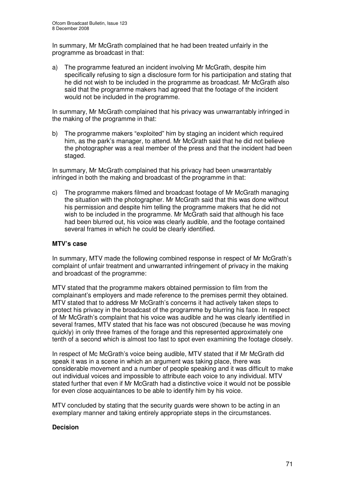In summary, Mr McGrath complained that he had been treated unfairly in the programme as broadcast in that:

a) The programme featured an incident involving Mr McGrath, despite him specifically refusing to sign a disclosure form for his participation and stating that he did not wish to be included in the programme as broadcast. Mr McGrath also said that the programme makers had agreed that the footage of the incident would not be included in the programme.

In summary, Mr McGrath complained that his privacy was unwarrantably infringed in the making of the programme in that:

b) The programme makers "exploited" him by staging an incident which required him, as the park's manager, to attend. Mr McGrath said that he did not believe the photographer was a real member of the press and that the incident had been staged.

In summary, Mr McGrath complained that his privacy had been unwarrantably infringed in both the making and broadcast of the programme in that:

c) The programme makers filmed and broadcast footage of Mr McGrath managing the situation with the photographer. Mr McGrath said that this was done without his permission and despite him telling the programme makers that he did not wish to be included in the programme. Mr McGrath said that although his face had been blurred out, his voice was clearly audible, and the footage contained several frames in which he could be clearly identified.

#### **MTV's case**

In summary, MTV made the following combined response in respect of Mr McGrath's complaint of unfair treatment and unwarranted infringement of privacy in the making and broadcast of the programme:

MTV stated that the programme makers obtained permission to film from the complainant's employers and made reference to the premises permit they obtained. MTV stated that to address Mr McGrath's concerns it had actively taken steps to protect his privacy in the broadcast of the programme by blurring his face. In respect of Mr McGrath's complaint that his voice was audible and he was clearly identified in several frames, MTV stated that his face was not obscured (because he was moving quickly) in only three frames of the forage and this represented approximately one tenth of a second which is almost too fast to spot even examining the footage closely.

In respect of Mc McGrath's voice being audible, MTV stated that if Mr McGrath did speak it was in a scene in which an argument was taking place, there was considerable movement and a number of people speaking and it was difficult to make out individual voices and impossible to attribute each voice to any individual. MTV stated further that even if Mr McGrath had a distinctive voice it would not be possible for even close acquaintances to be able to identify him by his voice.

MTV concluded by stating that the security guards were shown to be acting in an exemplary manner and taking entirely appropriate steps in the circumstances.

#### **Decision**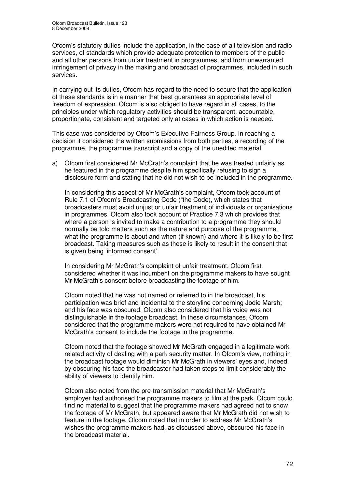Ofcom's statutory duties include the application, in the case of all television and radio services, of standards which provide adequate protection to members of the public and all other persons from unfair treatment in programmes, and from unwarranted infringement of privacy in the making and broadcast of programmes, included in such services.

In carrying out its duties, Ofcom has regard to the need to secure that the application of these standards is in a manner that best guarantees an appropriate level of freedom of expression. Ofcom is also obliged to have regard in all cases, to the principles under which regulatory activities should be transparent, accountable, proportionate, consistent and targeted only at cases in which action is needed.

This case was considered by Ofcom's Executive Fairness Group. In reaching a decision it considered the written submissions from both parties, a recording of the programme, the programme transcript and a copy of the unedited material.

a) Ofcom first considered Mr McGrath's complaint that he was treated unfairly as he featured in the programme despite him specifically refusing to sign a disclosure form and stating that he did not wish to be included in the programme.

In considering this aspect of Mr McGrath's complaint, Ofcom took account of Rule 7.1 of Ofcom's Broadcasting Code ("the Code), which states that broadcasters must avoid unjust or unfair treatment of individuals or organisations in programmes. Ofcom also took account of Practice 7.3 which provides that where a person is invited to make a contribution to a programme they should normally be told matters such as the nature and purpose of the programme, what the programme is about and when (if known) and where it is likely to be first broadcast. Taking measures such as these is likely to result in the consent that is given being 'informed consent'.

In considering Mr McGrath's complaint of unfair treatment, Ofcom first considered whether it was incumbent on the programme makers to have sought Mr McGrath's consent before broadcasting the footage of him.

Ofcom noted that he was not named or referred to in the broadcast, his participation was brief and incidental to the storyline concerning Jodie Marsh; and his face was obscured. Ofcom also considered that his voice was not distinguishable in the footage broadcast. In these circumstances, Ofcom considered that the programme makers were not required to have obtained Mr McGrath's consent to include the footage in the programme.

Ofcom noted that the footage showed Mr McGrath engaged in a legitimate work related activity of dealing with a park security matter. In Ofcom's view, nothing in the broadcast footage would diminish Mr McGrath in viewers' eyes and, indeed, by obscuring his face the broadcaster had taken steps to limit considerably the ability of viewers to identify him.

Ofcom also noted from the pre-transmission material that Mr McGrath's employer had authorised the programme makers to film at the park. Ofcom could find no material to suggest that the programme makers had agreed not to show the footage of Mr McGrath, but appeared aware that Mr McGrath did not wish to feature in the footage. Ofcom noted that in order to address Mr McGrath's wishes the programme makers had, as discussed above, obscured his face in the broadcast material.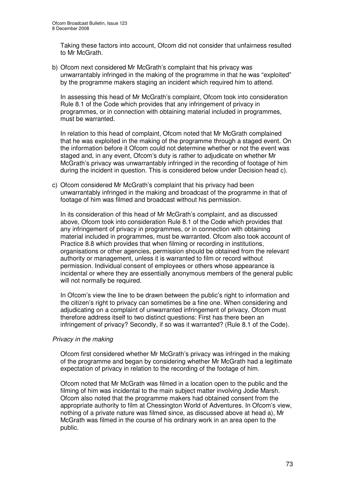Taking these factors into account, Ofcom did not consider that unfairness resulted to Mr McGrath.

b) Ofcom next considered Mr McGrath's complaint that his privacy was unwarrantably infringed in the making of the programme in that he was "exploited" by the programme makers staging an incident which required him to attend.

In assessing this head of Mr McGrath's complaint, Ofcom took into consideration Rule 8.1 of the Code which provides that any infringement of privacy in programmes, or in connection with obtaining material included in programmes, must be warranted.

In relation to this head of complaint, Ofcom noted that Mr McGrath complained that he was exploited in the making of the programme through a staged event. On the information before it Ofcom could not determine whether or not the event was staged and, in any event, Ofcom's duty is rather to adjudicate on whether Mr McGrath's privacy was unwarrantably infringed in the recording of footage of him during the incident in question. This is considered below under Decision head c).

c) Ofcom considered Mr McGrath's complaint that his privacy had been unwarrantably infringed in the making and broadcast of the programme in that of footage of him was filmed and broadcast without his permission.

In its consideration of this head of Mr McGrath's complaint, and as discussed above, Ofcom took into consideration Rule 8.1 of the Code which provides that any infringement of privacy in programmes, or in connection with obtaining material included in programmes, must be warranted. Ofcom also took account of Practice 8.8 which provides that when filming or recording in institutions, organisations or other agencies, permission should be obtained from the relevant authority or management, unless it is warranted to film or record without permission. Individual consent of employees or others whose appearance is incidental or where they are essentially anonymous members of the general public will not normally be required.

In Ofcom's view the line to be drawn between the public's right to information and the citizen's right to privacy can sometimes be a fine one. When considering and adjudicating on a complaint of unwarranted infringement of privacy, Ofcom must therefore address itself to two distinct questions: First has there been an infringement of privacy? Secondly, if so was it warranted? (Rule 8.1 of the Code).

#### *Privacy in the making*

Ofcom first considered whether Mr McGrath's privacy was infringed in the making of the programme and began by considering whether Mr McGrath had a legitimate expectation of privacy in relation to the recording of the footage of him.

Ofcom noted that Mr McGrath was filmed in a location open to the public and the filming of him was incidental to the main subject matter involving Jodie Marsh. Ofcom also noted that the programme makers had obtained consent from the appropriate authority to film at Chessington World of Adventures. In Ofcom's view, nothing of a private nature was filmed since, as discussed above at head a), Mr McGrath was filmed in the course of his ordinary work in an area open to the public.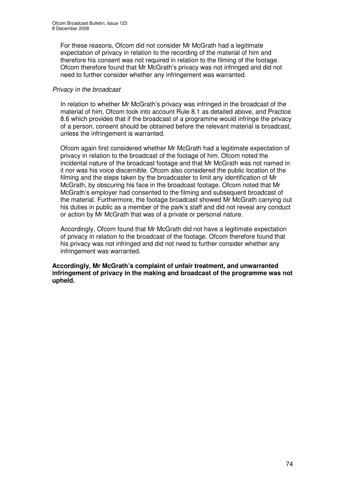For these reasons, Ofcom did not consider Mr McGrath had a legitimate expectation of privacy in relation to the recording of the material of him and therefore his consent was not required in relation to the filming of the footage. Ofcom therefore found that Mr McGrath's privacy was not infringed and did not need to further consider whether any infringement was warranted.

#### *Privacy in the broadcast*

In relation to whether Mr McGrath's privacy was infringed in the broadcast of the material of him, Ofcom took into account Rule 8.1 as detailed above, and Practice 8.6 which provides that if the broadcast of a programme would infringe the privacy of a person, consent should be obtained before the relevant material is broadcast, unless the infringement is warranted.

Ofcom again first considered whether Mr McGrath had a legitimate expectation of privacy in relation to the broadcast of the footage of him. Ofcom noted the incidental nature of the broadcast footage and that Mr McGrath was not named in it nor was his voice discernible. Ofcom also considered the public location of the filming and the steps taken by the broadcaster to limit any identification of Mr McGrath, by obscuring his face in the broadcast footage. Ofcom noted that Mr McGrath's employer had consented to the filming and subsequent broadcast of the material. Furthermore, the footage broadcast showed Mr McGrath carrying out his duties in public as a member of the park's staff and did not reveal any conduct or action by Mr McGrath that was of a private or personal nature.

Accordingly, Ofcom found that Mr McGrath did not have a legitimate expectation of privacy in relation to the broadcast of the footage. Ofcom therefore found that his privacy was not infringed and did not need to further consider whether any infringement was warranted.

**Accordingly, Mr McGrath's complaint of unfair treatment, and unwarranted infringement of privacy in the making and broadcast of the programme was not upheld.**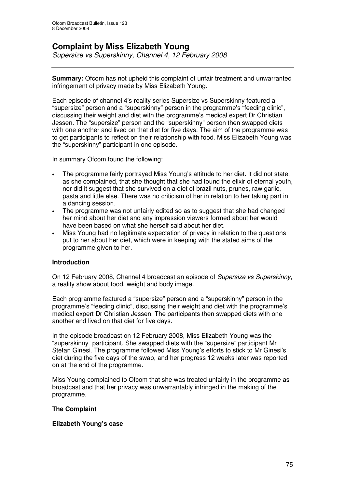## **Complaint by Miss Elizabeth Young**

*Supersize vs Superskinny, Channel 4, 12 February 2008*

**Summary:** Ofcom has not upheld this complaint of unfair treatment and unwarranted infringement of privacy made by Miss Elizabeth Young.

Each episode of channel 4's reality series Supersize vs Superskinny featured a "supersize" person and a "superskinny" person in the programme's "feeding clinic", discussing their weight and diet with the programme's medical expert Dr Christian Jessen. The "supersize" person and the "superskinny" person then swapped diets with one another and lived on that diet for five days. The aim of the programme was to get participants to reflect on their relationship with food. Miss Elizabeth Young was the "superskinny" participant in one episode.

In summary Ofcom found the following:

- The programme fairly portrayed Miss Young's attitude to her diet. It did not state, as she complained, that she thought that she had found the elixir of eternal youth, nor did it suggest that she survived on a diet of brazil nuts, prunes, raw garlic, pasta and little else. There was no criticism of her in relation to her taking part in a dancing session.
- The programme was not unfairly edited so as to suggest that she had changed her mind about her diet and any impression viewers formed about her would have been based on what she herself said about her diet.
- Miss Young had no legitimate expectation of privacy in relation to the questions put to her about her diet, which were in keeping with the stated aims of the programme given to her.

#### **Introduction**

On 12 February 2008, Channel 4 broadcast an episode of *Supersize vs Superskinny,* a reality show about food, weight and body image.

Each programme featured a "supersize" person and a "superskinny" person in the programme's "feeding clinic", discussing their weight and diet with the programme's medical expert Dr Christian Jessen. The participants then swapped diets with one another and lived on that diet for five days.

In the episode broadcast on 12 February 2008, Miss Elizabeth Young was the "superskinny" participant. She swapped diets with the "supersize" participant Mr Stefan Ginesi. The programme followed Miss Young's efforts to stick to Mr Ginesi's diet during the five days of the swap, and her progress 12 weeks later was reported on at the end of the programme.

Miss Young complained to Ofcom that she was treated unfairly in the programme as broadcast and that her privacy was unwarrantably infringed in the making of the programme.

#### **The Complaint**

#### **Elizabeth Young's case**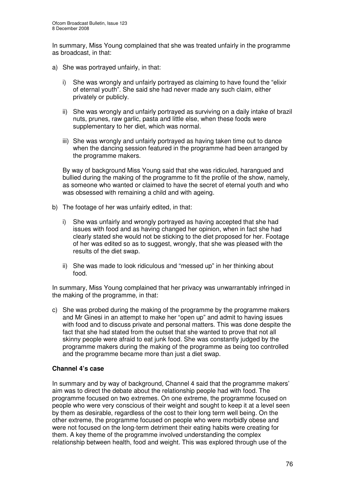In summary, Miss Young complained that she was treated unfairly in the programme as broadcast, in that:

- a) She was portrayed unfairly, in that:
	- i) She was wrongly and unfairly portrayed as claiming to have found the "elixir of eternal youth". She said she had never made any such claim, either privately or publicly.
	- ii) She was wrongly and unfairly portrayed as surviving on a daily intake of brazil nuts, prunes, raw garlic, pasta and little else, when these foods were supplementary to her diet, which was normal.
	- iii) She was wrongly and unfairly portrayed as having taken time out to dance when the dancing session featured in the programme had been arranged by the programme makers.

By way of background Miss Young said that she was ridiculed, harangued and bullied during the making of the programme to fit the profile of the show, namely, as someone who wanted or claimed to have the secret of eternal youth and who was obsessed with remaining a child and with ageing.

- b) The footage of her was unfairly edited, in that:
	- i) She was unfairly and wrongly portrayed as having accepted that she had issues with food and as having changed her opinion, when in fact she had clearly stated she would not be sticking to the diet proposed for her. Footage of her was edited so as to suggest, wrongly, that she was pleased with the results of the diet swap.
	- ii) She was made to look ridiculous and "messed up" in her thinking about food.

In summary, Miss Young complained that her privacy was unwarrantably infringed in the making of the programme, in that:

c) She was probed during the making of the programme by the programme makers and Mr Ginesi in an attempt to make her "open up" and admit to having issues with food and to discuss private and personal matters. This was done despite the fact that she had stated from the outset that she wanted to prove that not all skinny people were afraid to eat junk food. She was constantly judged by the programme makers during the making of the programme as being too controlled and the programme became more than just a diet swap.

#### **Channel 4's case**

In summary and by way of background, Channel 4 said that the programme makers' aim was to direct the debate about the relationship people had with food. The programme focused on two extremes. On one extreme, the programme focused on people who were very conscious of their weight and sought to keep it at a level seen by them as desirable, regardless of the cost to their long term well being. On the other extreme, the programme focused on people who were morbidly obese and were not focused on the long-term detriment their eating habits were creating for them. A key theme of the programme involved understanding the complex relationship between health, food and weight. This was explored through use of the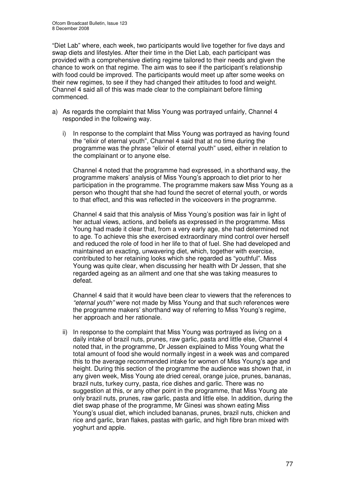"Diet Lab" where, each week, two participants would live together for five days and swap diets and lifestyles. After their time in the Diet Lab, each participant was provided with a comprehensive dieting regime tailored to their needs and given the chance to work on that regime. The aim was to see if the participant's relationship with food could be improved. The participants would meet up after some weeks on their new regimes, to see if they had changed their attitudes to food and weight. Channel 4 said all of this was made clear to the complainant before filming commenced.

- a) As regards the complaint that Miss Young was portrayed unfairly, Channel 4 responded in the following way.
	- i) In response to the complaint that Miss Young was portrayed as having found the "elixir of eternal youth", Channel 4 said that at no time during the programme was the phrase "elixir of eternal youth" used, either in relation to the complainant or to anyone else.

Channel 4 noted that the programme had expressed, in a shorthand way, the programme makers' analysis of Miss Young's approach to diet prior to her participation in the programme. The programme makers saw Miss Young as a person who thought that she had found the secret of eternal youth, or words to that effect, and this was reflected in the voiceovers in the programme.

Channel 4 said that this analysis of Miss Young's position was fair in light of her actual views, actions, and beliefs as expressed in the programme. Miss Young had made it clear that, from a very early age, she had determined not to age. To achieve this she exercised extraordinary mind control over herself and reduced the role of food in her life to that of fuel. She had developed and maintained an exacting, unwavering diet, which, together with exercise, contributed to her retaining looks which she regarded as "youthful". Miss Young was quite clear, when discussing her health with Dr Jessen, that she regarded ageing as an ailment and one that she was taking measures to defeat.

Channel 4 said that it would have been clear to viewers that the references to *"eternal youth"* were not made by Miss Young and that such references were the programme makers' shorthand way of referring to Miss Young's regime, her approach and her rationale.

ii) In response to the complaint that Miss Young was portrayed as living on a daily intake of brazil nuts, prunes, raw garlic, pasta and little else, Channel 4 noted that, in the programme, Dr Jessen explained to Miss Young what the total amount of food she would normally ingest in a week was and compared this to the average recommended intake for women of Miss Young's age and height. During this section of the programme the audience was shown that, in any given week, Miss Young ate dried cereal, orange juice, prunes, bananas, brazil nuts, turkey curry, pasta, rice dishes and garlic. There was no suggestion at this, or any other point in the programme, that Miss Young ate only brazil nuts, prunes, raw garlic, pasta and little else. In addition, during the diet swap phase of the programme, Mr Ginesi was shown eating Miss Young's usual diet, which included bananas, prunes, brazil nuts, chicken and rice and garlic, bran flakes, pastas with garlic, and high fibre bran mixed with yoghurt and apple.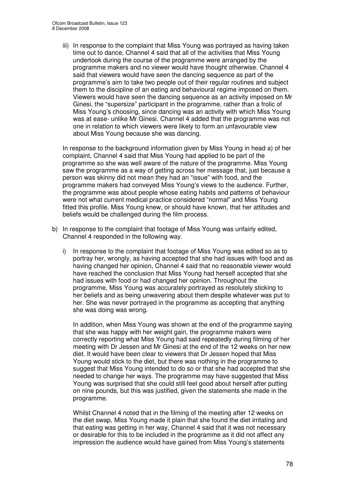iii) In response to the complaint that Miss Young was portrayed as having taken time out to dance, Channel 4 said that all of the activities that Miss Young undertook during the course of the programme were arranged by the programme makers and no viewer would have thought otherwise. Channel 4 said that viewers would have seen the dancing sequence as part of the programme's aim to take two people out of their regular routines and subject them to the discipline of an eating and behavioural regime imposed on them. Viewers would have seen the dancing sequence as an activity imposed on Mr Ginesi, the "supersize" participant in the programme, rather than a frolic of Miss Young's choosing, since dancing was an activity with which Miss Young was at ease- unlike Mr Ginesi. Channel 4 added that the programme was not one in relation to which viewers were likely to form an unfavourable view about Miss Young because she was dancing.

In response to the background information given by Miss Young in head a) of her complaint, Channel 4 said that Miss Young had applied to be part of the programme so she was well aware of the nature of the programme. Miss Young saw the programme as a way of getting across her message that, just because a person was skinny did not mean they had an "issue" with food, and the programme makers had conveyed Miss Young's views to the audience. Further, the programme was about people whose eating habits and patterns of behaviour were not what current medical practice considered "normal" and Miss Young fitted this profile. Miss Young knew, or should have known, that her attitudes and beliefs would be challenged during the film process.

- b) In response to the complaint that footage of Miss Young was unfairly edited, Channel 4 responded in the following way.
	- i) In response to the complaint that footage of Miss Young was edited so as to portray her, wrongly, as having accepted that she had issues with food and as having changed her opinion, Channel 4 said that no reasonable viewer would have reached the conclusion that Miss Young had herself accepted that she had issues with food or had changed her opinion. Throughout the programme, Miss Young was accurately portrayed as resolutely sticking to her beliefs and as being unwavering about them despite whatever was put to her. She was never portrayed in the programme as accepting that anything she was doing was wrong.

In addition, when Miss Young was shown at the end of the programme saying that she was happy with her weight gain, the programme makers were correctly reporting what Miss Young had said repeatedly during filming of her meeting with Dr Jessen and Mr Ginesi at the end of the 12 weeks on her new diet. It would have been clear to viewers that Dr Jessen hoped that Miss Young would stick to the diet, but there was nothing in the programme to suggest that Miss Young intended to do so or that she had accepted that she needed to change her ways. The programme may have suggested that Miss Young was surprised that she could still feel good about herself after putting on nine pounds, but this was justified, given the statements she made in the programme.

Whilst Channel 4 noted that in the filming of the meeting after 12 weeks on the diet swap, Miss Young made it plain that she found the diet irritating and that eating was getting in her way, Channel 4 said that it was not necessary or desirable for this to be included in the programme as it did not affect any impression the audience would have gained from Miss Young's statements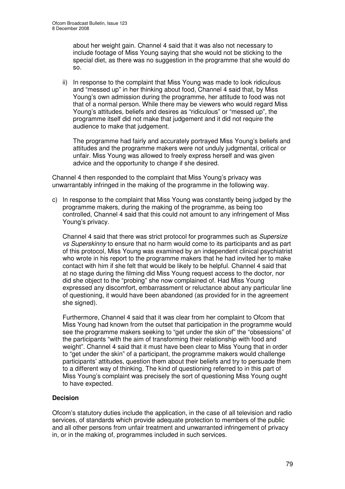about her weight gain. Channel 4 said that it was also not necessary to include footage of Miss Young saying that she would not be sticking to the special diet, as there was no suggestion in the programme that she would do so.

ii) In response to the complaint that Miss Young was made to look ridiculous and "messed up" in her thinking about food, Channel 4 said that, by Miss Young's own admission during the programme, her attitude to food was not that of a normal person. While there may be viewers who would regard Miss Young's attitudes, beliefs and desires as "ridiculous" or "messed up", the programme itself did not make that judgement and it did not require the audience to make that judgement.

The programme had fairly and accurately portrayed Miss Young's beliefs and attitudes and the programme makers were not unduly judgmental, critical or unfair. Miss Young was allowed to freely express herself and was given advice and the opportunity to change if she desired.

Channel 4 then responded to the complaint that Miss Young's privacy was unwarrantably infringed in the making of the programme in the following way.

c) In response to the complaint that Miss Young was constantly being judged by the programme makers, during the making of the programme, as being too controlled, Channel 4 said that this could not amount to any infringement of Miss Young's privacy.

Channel 4 said that there was strict protocol for programmes such as *Supersize vs Superskinny* to ensure that no harm would come to its participants and as part of this protocol, Miss Young was examined by an independent clinical psychiatrist who wrote in his report to the programme makers that he had invited her to make contact with him if she felt that would be likely to be helpful. Channel 4 said that at no stage during the filming did Miss Young request access to the doctor, nor did she object to the "probing" she now complained of. Had Miss Young expressed any discomfort, embarrassment or reluctance about any particular line of questioning, it would have been abandoned (as provided for in the agreement she signed).

Furthermore, Channel 4 said that it was clear from her complaint to Ofcom that Miss Young had known from the outset that participation in the programme would see the programme makers seeking to "get under the skin of" the "obsessions" of the participants "with the aim of transforming their relationship with food and weight". Channel 4 said that it must have been clear to Miss Young that in order to "get under the skin" of a participant, the programme makers would challenge participants' attitudes, question them about their beliefs and try to persuade them to a different way of thinking. The kind of questioning referred to in this part of Miss Young's complaint was precisely the sort of questioning Miss Young ought to have expected.

#### **Decision**

Ofcom's statutory duties include the application, in the case of all television and radio services, of standards which provide adequate protection to members of the public and all other persons from unfair treatment and unwarranted infringement of privacy in, or in the making of, programmes included in such services.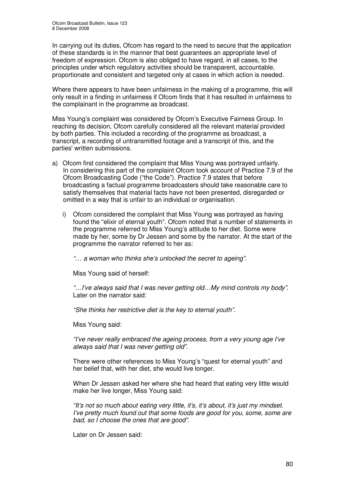In carrying out its duties, Ofcom has regard to the need to secure that the application of these standards is in the manner that best guarantees an appropriate level of freedom of expression. Ofcom is also obliged to have regard, in all cases, to the principles under which regulatory activities should be transparent, accountable, proportionate and consistent and targeted only at cases in which action is needed.

Where there appears to have been unfairness in the making of a programme, this will only result in a finding in unfairness if Ofcom finds that it has resulted in unfairness to the complainant in the programme as broadcast.

Miss Young's complaint was considered by Ofcom's Executive Fairness Group. In reaching its decision, Ofcom carefully considered all the relevant material provided by both parties. This included a recording of the programme as broadcast, a transcript, a recording of untransmitted footage and a transcript of this, and the parties'written submissions.

- a) Ofcom first considered the complaint that Miss Young was portrayed unfairly. In considering this part of the complaint Ofcom took account of Practice 7.9 of the Ofcom Broadcasting Code ("the Code"). Practice 7.9 states that before broadcasting a factual programme broadcasters should take reasonable care to satisfy themselves that material facts have not been presented, disregarded or omitted in a way that is unfair to an individual or organisation.
	- i) Ofcom considered the complaint that Miss Young was portrayed as having found the "elixir of eternal youth". Ofcom noted that a number of statements in the programme referred to Miss Young's attitude to her diet. Some were made by her, some by Dr Jessen and some by the narrator. At the start of the programme the narrator referred to her as:

*"… a woman who thinks she's unlocked the secret to ageing".*

Miss Young said of herself:

*"…I've always said that I was never getting old…My mind controls my body".* Later on the narrator said:

*"She thinks her restrictive diet is the key to eternal youth".*

Miss Young said:

*"I've never really embraced the ageing process, from a very young age I've always said that I was never getting old".*

There were other references to Miss Young's "quest for eternal youth" and her belief that, with her diet, she would live longer.

When Dr Jessen asked her where she had heard that eating very little would make her live longer, Miss Young said:

*"It's not so much about eating very little, it's, it's about, it's just my mindset. I've pretty much found out that some foods are good for you, some, some are bad, so I choose the ones that are good".*

Later on Dr Jessen said: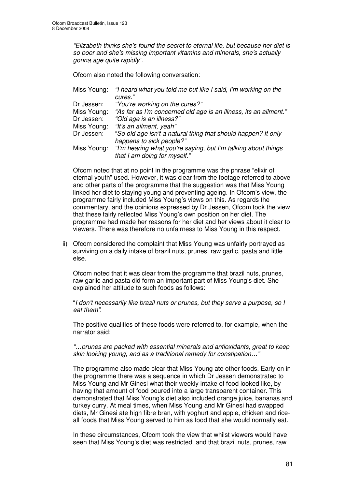*"Elizabeth thinks she's found the secret to eternal life, but because her diet is so poor and she's missing important vitamins and minerals, she's actually gonna age quite rapidly".*

Ofcom also noted the following conversation:

| Miss Young: | "I heard what you told me but like I said, I'm working on the    |
|-------------|------------------------------------------------------------------|
|             | cures."                                                          |
| Dr Jessen:  | "You're working on the cures?"                                   |
| Miss Young: | "As far as I'm concerned old age is an illness, its an ailment." |
| Dr Jessen:  | "Old age is an illness?"                                         |
| Miss Young: | "It's an ailment, yeah"                                          |
| Dr Jessen:  | "So old age isn't a natural thing that should happen? It only    |
|             | happens to sick people?"                                         |
| Miss Young: | "I'm hearing what you're saying, but I'm talking about things    |
|             | that I am doing for myself."                                     |

Ofcom noted that at no point in the programme was the phrase "elixir of eternal youth" used. However, it was clear from the footage referred to above and other parts of the programme that the suggestion was that Miss Young linked her diet to staying young and preventing ageing. In Ofcom's view, the programme fairly included Miss Young's views on this. As regards the commentary, and the opinions expressed by Dr Jessen, Ofcom took the view that these fairly reflected Miss Young's own position on her diet. The programme had made her reasons for her diet and her views about it clear to viewers. There was therefore no unfairness to Miss Young in this respect.

ii) Ofcom considered the complaint that Miss Young was unfairly portrayed as surviving on a daily intake of brazil nuts, prunes, raw garlic, pasta and little else.

Ofcom noted that it was clear from the programme that brazil nuts, prunes, raw garlic and pasta did form an important part of Miss Young's diet. She explained her attitude to such foods as follows:

"*I don't necessarily like brazil nuts or prunes, but they serve a purpose, so I eat them".*

The positive qualities of these foods were referred to, for example, when the narrator said:

*"…prunes are packed with essential minerals and antioxidants, great to keep skin looking young, and as a traditional remedy for constipation…"*

The programme also made clear that Miss Young ate other foods. Early on in the programme there was a sequence in which Dr Jessen demonstrated to Miss Young and Mr Ginesi what their weekly intake of food looked like, by having that amount of food poured into a large transparent container. This demonstrated that Miss Young's diet also included orange juice, bananas and turkey curry. At meal times, when Miss Young and Mr Ginesi had swapped diets, Mr Ginesi ate high fibre bran, with yoghurt and apple, chicken and riceall foods that Miss Young served to him as food that she would normally eat.

In these circumstances, Ofcom took the view that whilst viewers would have seen that Miss Young's diet was restricted, and that brazil nuts, prunes, raw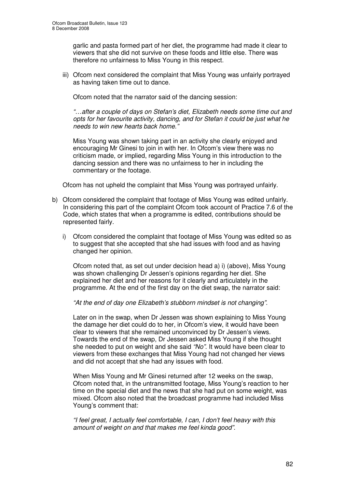garlic and pasta formed part of her diet, the programme had made it clear to viewers that she did not survive on these foods and little else. There was therefore no unfairness to Miss Young in this respect.

iii) Ofcom next considered the complaint that Miss Young was unfairly portrayed as having taken time out to dance.

Ofcom noted that the narrator said of the dancing session:

*"…after a couple of days on Stefan's diet, Elizabeth needs some time out and opts for her favourite activity, dancing, and for Stefan it could be just what he needs to win new hearts back home."*

Miss Young was shown taking part in an activity she clearly enjoyed and encouraging Mr Ginesi to join in with her. In Ofcom's view there was no criticism made, or implied, regarding Miss Young in this introduction to the dancing session and there was no unfairness to her in including the commentary or the footage.

Ofcom has not upheld the complaint that Miss Young was portrayed unfairly.

- b) Ofcom considered the complaint that footage of Miss Young was edited unfairly. In considering this part of the complaint Ofcom took account of Practice 7.6 of the Code, which states that when a programme is edited, contributions should be represented fairly.
	- i) Ofcom considered the complaint that footage of Miss Young was edited so as to suggest that she accepted that she had issues with food and as having changed her opinion.

Ofcom noted that, as set out under decision head a) i) (above), Miss Young was shown challenging Dr Jessen's opinions regarding her diet. She explained her diet and her reasons for it clearly and articulately in the programme. At the end of the first day on the diet swap, the narrator said:

*"At the end of day one Elizabeth's stubborn mindset is not changing"*.

Later on in the swap, when Dr Jessen was shown explaining to Miss Young the damage her diet could do to her, in Ofcom's view, it would have been clear to viewers that she remained unconvinced by Dr Jessen's views. Towards the end of the swap, Dr Jessen asked Miss Young if she thought she needed to put on weight and she said *"No"*. It would have been clear to viewers from these exchanges that Miss Young had not changed her views and did not accept that she had any issues with food.

When Miss Young and Mr Ginesi returned after 12 weeks on the swap, Ofcom noted that, in the untransmitted footage, Miss Young's reaction to her time on the special diet and the news that she had put on some weight, was mixed. Ofcom also noted that the broadcast programme had included Miss Young's comment that:

*"I feel great, I actually feel comfortable, I can, I don't feel heavy with this amount of weight on and that makes me feel kinda good".*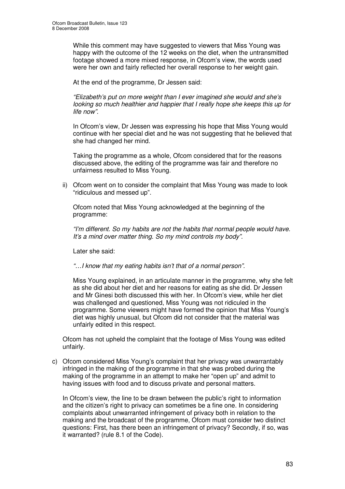While this comment may have suggested to viewers that Miss Young was happy with the outcome of the 12 weeks on the diet, when the untransmitted footage showed a more mixed response, in Ofcom's view, the words used were her own and fairly reflected her overall response to her weight gain.

At the end of the programme, Dr Jessen said:

*"Elizabeth's put on more weight than I ever imagined she would and she's looking so much healthier and happier that I really hope she keeps this up for life now".*

In Ofcom's view, Dr Jessen was expressing his hope that Miss Young would continue with her special diet and he was not suggesting that he believed that she had changed her mind.

Taking the programme as a whole, Ofcom considered that for the reasons discussed above, the editing of the programme was fair and therefore no unfairness resulted to Miss Young.

ii) Ofcom went on to consider the complaint that Miss Young was made to look "ridiculous and messed up".

Ofcom noted that Miss Young acknowledged at the beginning of the programme:

*"I'm different. So my habits are not the habits that normal people would have. It's a mind over matter thing. So my mind controls my body".*

Later she said:

*"…I know that my eating habits isn't that of a normal person".*

Miss Young explained, in an articulate manner in the programme, why she felt as she did about her diet and her reasons for eating as she did. Dr Jessen and Mr Ginesi both discussed this with her. In Ofcom's view, while her diet was challenged and questioned, Miss Young was not ridiculed in the programme. Some viewers might have formed the opinion that Miss Young's diet was highly unusual, but Ofcom did not consider that the material was unfairly edited in this respect.

Ofcom has not upheld the complaint that the footage of Miss Young was edited unfairly.

c) Ofcom considered Miss Young's complaint that her privacy was unwarrantably infringed in the making of the programme in that she was probed during the making of the programme in an attempt to make her "open up" and admit to having issues with food and to discuss private and personal matters.

In Ofcom's view, the line to be drawn between the public's right to information and the citizen's right to privacy can sometimes be a fine one. In considering complaints about unwarranted infringement of privacy both in relation to the making and the broadcast of the programme, Ofcom must consider two distinct questions: First, has there been an infringement of privacy? Secondly, if so, was it warranted? (rule 8.1 of the Code).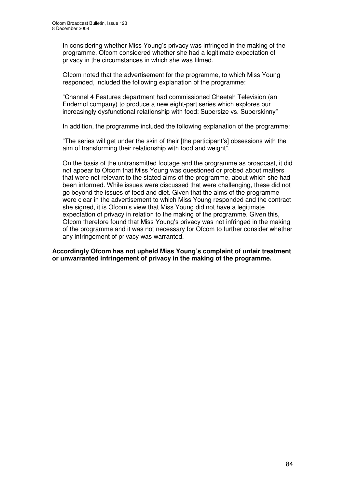In considering whether Miss Young's privacy was infringed in the making of the programme, Ofcom considered whether she had a legitimate expectation of privacy in the circumstances in which she was filmed.

Ofcom noted that the advertisement for the programme, to which Miss Young responded, included the following explanation of the programme:

"Channel 4 Features department had commissioned Cheetah Television (an Endemol company) to produce a new eight-part series which explores our increasingly dysfunctional relationship with food: Supersize vs. Superskinny"

In addition, the programme included the following explanation of the programme:

"The series will get under the skin of their [the participant's] obsessions with the aim of transforming their relationship with food and weight".

On the basis of the untransmitted footage and the programme as broadcast, it did not appear to Ofcom that Miss Young was questioned or probed about matters that were not relevant to the stated aims of the programme, about which she had been informed. While issues were discussed that were challenging, these did not go beyond the issues of food and diet. Given that the aims of the programme were clear in the advertisement to which Miss Young responded and the contract she signed, it is Ofcom's view that Miss Young did not have a legitimate expectation of privacy in relation to the making of the programme. Given this, Ofcom therefore found that Miss Young's privacy was not infringed in the making of the programme and it was not necessary for Ofcom to further consider whether any infringement of privacy was warranted.

**Accordingly Ofcom has not upheld Miss Young's complaint of unfair treatment or unwarranted infringement of privacy in the making of the programme.**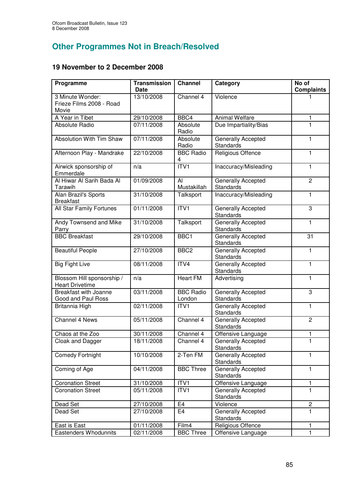# **Other Programmes Not in Breach/Resolved**

### **19 November to 2 December 2008**

| Programme                                             | <b>Transmission</b><br><b>Date</b> | <b>Channel</b>             | Category                               | No of<br><b>Complaints</b> |
|-------------------------------------------------------|------------------------------------|----------------------------|----------------------------------------|----------------------------|
| 3 Minute Wonder:<br>Frieze Films 2008 - Road<br>Movie | 13/10/2008                         | Channel 4                  | Violence                               |                            |
| A Year in Tibet                                       | 29/10/2008                         | BBC4                       | <b>Animal Welfare</b>                  | 1                          |
| Absolute Radio                                        | 07/11/2008                         | Absolute<br>Radio          | Due Impartiality/Bias                  | 1                          |
| Absolution With Tim Shaw                              | 07/11/2008                         | Absolute<br>Radio          | Generally Accepted<br><b>Standards</b> | 1                          |
| Afternoon Play - Mandrake                             | 22/10/2008                         | <b>BBC Radio</b><br>4      | Religious Offence                      | $\mathbf{1}$               |
| Airwick sponsorship of<br>Emmerdale                   | n/a                                | ITVI                       | Inaccuracy/Misleading                  | 1                          |
| Al Hiwar Al Sarih Bada Al<br>Tarawih                  | 01/09/2008                         | Al<br>Mustakillah          | Generally Accepted<br>Standards        | $\overline{2}$             |
| Alan Brazil's Sports<br><b>Breakfast</b>              | 31/10/2008                         | Talksport                  | Inaccuracy/Misleading                  | 1                          |
| All Star Family Fortunes                              | 01/11/2008                         | ITVI                       | Generally Accepted<br>Standards        | 3                          |
| Andy Townsend and Mike<br>Parry                       | 31/10/2008                         | Talksport                  | Generally Accepted<br><b>Standards</b> | 1                          |
| <b>BBC Breakfast</b>                                  | 29/10/2008                         | BBC1                       | Generally Accepted<br><b>Standards</b> | 31                         |
| <b>Beautiful People</b>                               | 27/10/2008                         | BBC <sub>2</sub>           | Generally Accepted<br>Standards        | 1                          |
| <b>Big Fight Live</b>                                 | 08/11/2008                         | ITV4                       | Generally Accepted<br>Standards        | 1                          |
| Blossom Hill sponsorship /<br><b>Heart Drivetime</b>  | n/a                                | <b>Heart FM</b>            | Advertising                            | 1                          |
| <b>Breakfast with Joanne</b><br>Good and Paul Ross    | 03/11/2008                         | <b>BBC Radio</b><br>London | Generally Accepted<br>Standards        | 3                          |
| Britannia High                                        | 02/11/2008                         | ITV <sub>1</sub>           | Generally Accepted<br>Standards        | 1                          |
| Channel 4 News                                        | 05/11/2008                         | Channel 4                  | Generally Accepted<br>Standards        | $\overline{2}$             |
| Chaos at the Zoo                                      | 30/11/2008                         | Channel 4                  | Offensive Language                     | 1                          |
| Cloak and Dagger                                      | 18/11/2008                         | Channel 4                  | Generally Accepted<br>Standards        | 1                          |
| Comedy Fortnight                                      | 10/10/2008                         | 2-Ten FM                   | <b>Generally Accepted</b><br>Standards | $\mathbf{1}$               |
| Coming of Age                                         | 04/11/2008                         | <b>BBC Three</b>           | <b>Generally Accepted</b><br>Standards | $\mathbf{1}$               |
| <b>Coronation Street</b>                              | 31/10/2008                         | ITV1                       | Offensive Language                     | $\mathbf{1}$               |
| Coronation Street                                     | 05/11/2008                         | ITV1                       | <b>Generally Accepted</b><br>Standards | $\mathbf{1}$               |
| Dead Set                                              | 27/10/2008                         | E <sub>4</sub>             | Violence                               | $\overline{c}$             |
| Dead Set                                              | 27/10/2008                         | E <sub>4</sub>             | Generally Accepted<br>Standards        | $\mathbf{1}$               |
| East is East                                          | 01/11/2008                         | Film4                      | Religious Offence                      | $\mathbf{1}$               |
| Eastenders Whodunnits                                 | 02/11/2008                         | <b>BBC Three</b>           | Offensive Language                     | $\mathbf{1}$               |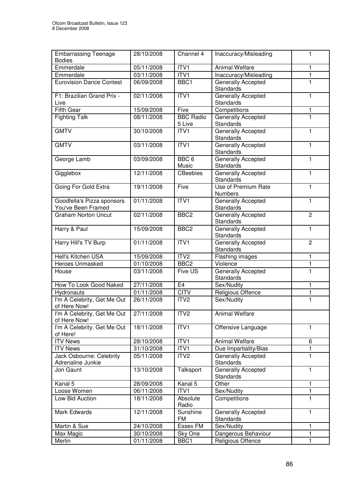| <b>Embarrassing Teenage</b><br><b>Bodies</b>     | 28/10/2008              | Channel 4                  | Inaccuracy/Misleading                         | $\mathbf{1}$   |
|--------------------------------------------------|-------------------------|----------------------------|-----------------------------------------------|----------------|
| Emmerdale                                        | 05/11/2008              | ITVI                       | <b>Animal Welfare</b>                         | 1              |
| Emmerdale                                        | 03/11/2008              | ITVI                       | Inaccuracy/Misleading                         | $\mathbf{1}$   |
| <b>Eurovision Dance Contest</b>                  | 06/09/2008              | BBC1                       | <b>Generally Accepted</b><br>Standards        | 1              |
| F1: Brazilian Grand Prix -<br>Live               | 02/11/2008              | ITV1                       | Generally Accepted<br><b>Standards</b>        | $\mathbf{1}$   |
| <b>Fifth Gear</b>                                | 15/09/2008              | Five                       | Competitions                                  | 1              |
| <b>Fighting Talk</b>                             | 08/11/2008              | <b>BBC Radio</b><br>5 Live | <b>Generally Accepted</b><br><b>Standards</b> | 1              |
| <b>GMTV</b>                                      | 30/10/2008              | ITVI                       | <b>Generally Accepted</b><br>Standards        | 1              |
| <b>GMTV</b>                                      | 03/11/2008              | ITVI                       | Generally Accepted<br><b>Standards</b>        | 1              |
| George Lamb                                      | 03/09/2008              | BBC <sub>6</sub><br>Music  | <b>Generally Accepted</b><br><b>Standards</b> | 1              |
| Gigglebox                                        | 12/11/2008              | CBeebies                   | Generally Accepted<br><b>Standards</b>        | $\mathbf{1}$   |
| Going For Gold Extra                             | 19/11/2008              | Five                       | Use of Premium Rate<br><b>Numbers</b>         | $\mathbf{1}$   |
| Goodfella's Pizza sponsors<br>You've Been Framed | 01/11/2008              | ITVI                       | Generally Accepted<br>Standards               | $\mathbf{1}$   |
| <b>Graham Norton Uncut</b>                       | 02/11/2008              | BBC <sub>2</sub>           | Generally Accepted<br>Standards               | $\overline{2}$ |
| Harry & Paul                                     | 15/09/2008              | BBC <sub>2</sub>           | Generally Accepted<br><b>Standards</b>        | 1              |
| Harry Hill's TV Burp                             | 01/11/2008              | ITVI                       | Generally Accepted<br>Standards               | $\overline{2}$ |
| <b>Hell's Kitchen USA</b>                        | 15/09/2008              | ITV2                       | Flashing images                               | $\mathbf{1}$   |
| Heroes Unmasked                                  | $\overline{01}/10/2008$ | BBC <sub>2</sub>           | Violence                                      | $\mathbf{1}$   |
| <b>House</b>                                     | 03/11/2008              | Five US                    | Generally Accepted<br>Standards               | $\mathbf{1}$   |
| How To Look Good Naked                           | 27/11/2008              | E4                         | Sex/Nudity                                    | 1              |
| Hydronauts                                       | 01/11/2008              | <b>CITV</b>                | Religious Offence                             | $\mathbf{1}$   |
| I'm A Celebrity, Get Me Out<br>of Here Now!      | 26/11/2008              | ITV <sub>2</sub>           | Sex/Nudity                                    | 1              |
| I'm A Celebrity, Get Me Out<br>of Here Now!      | 27/11/2008              | ITV <sub>2</sub>           | <b>Animal Welfare</b>                         |                |
| I'm A Celebrity, Get Me Out<br>of Here!          | 18/11/2008              | ITV1                       | Offensive Language                            | $\mathbf{1}$   |
| <b>ITV News</b>                                  | 28/10/2008              | ITV1                       | <b>Animal Welfare</b>                         | 6              |
| <b>ITV News</b>                                  | 31/10/2008              | ITV1                       | Due Impartiality/Bias                         | 1              |
| Jack Osbourne: Celebrity<br>Adrenaline Junkie    | 05/11/2008              | ITV <sub>2</sub>           | <b>Generally Accepted</b><br>Standards        | 1              |
| Jon Gaunt                                        | 13/10/2008              | Talksport                  | <b>Generally Accepted</b><br><b>Standards</b> | 1              |
| Kanal 5                                          | 28/09/2008              | Kanal 5                    | Other                                         | 1              |
| Loose Women                                      | 06/11/2008              | ITV1                       | Sex/Nudity                                    | 1              |
| Low Bid Auction                                  | 18/11/2008              | Absolute<br>Radio          | Competitions                                  | $\mathbf{1}$   |
| Mark Edwards                                     | 12/11/2008              | Sunshine<br><b>FM</b>      | Generally Accepted<br><b>Standards</b>        | $\mathbf{1}$   |
| Martin & Sue                                     | 24/10/2008              | <b>Essex FM</b>            | Sex/Nudity                                    | 1              |
| Max Magic                                        | 30/10/2008              | Sky One                    | Dangerous Behaviour                           | 1              |
| Merlin                                           | 01/11/2008              | BBC1                       | Religious Offence                             | 1              |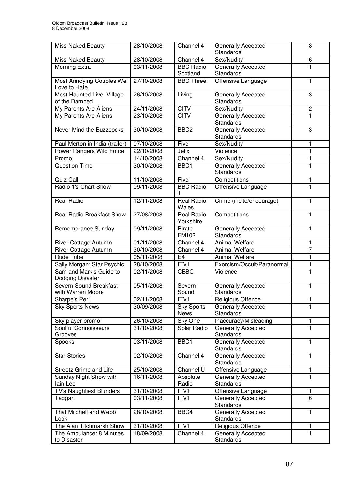| <b>Miss Naked Beauty</b>                    | 28/10/2008 | Channel 4                        | Generally Accepted<br>Standards               | 8                       |
|---------------------------------------------|------------|----------------------------------|-----------------------------------------------|-------------------------|
| <b>Miss Naked Beauty</b>                    | 28/10/2008 | Channel 4                        | Sex/Nudity                                    | 6                       |
| Morning Extra                               | 03/11/2008 | <b>BBC Radio</b><br>Scotland     | Generally Accepted<br>Standards               | 1                       |
| Most Annoying Couples We<br>Love to Hate    | 27/10/2008 | <b>BBC Three</b>                 | Offensive Language                            | 1                       |
| Most Haunted Live: Village<br>of the Damned | 26/10/2008 | Living                           | Generally Accepted<br>Standards               | 3                       |
| My Parents Are Aliens                       | 24/11/2008 | <b>CITV</b>                      | Sex/Nudity                                    | $\overline{\mathbf{c}}$ |
| My Parents Are Aliens                       | 23/10/2008 | <b>CITV</b>                      | Generally Accepted<br>Standards               | 1                       |
| Never Mind the Buzzcocks                    | 30/10/2008 | BBC <sub>2</sub>                 | Generally Accepted<br>Standards               | 3                       |
| Paul Merton in India (trailer)              | 07/10/2008 | Five                             | Sex/Nudity                                    | 1                       |
| Power Rangers Wild Force                    | 22/10/2008 | Jetix                            | Violence                                      | $\mathbf{1}$            |
| Promo                                       | 14/10/2008 | Channel 4                        | Sex/Nudity                                    | $\mathbf{1}$            |
| <b>Question Time</b>                        | 30/10/2008 | BBC1                             | Generally Accepted<br>Standards               | $\mathbf{1}$            |
| Quiz Call                                   | 11/10/2008 | Five                             | Competitions                                  | 1                       |
| Radio 1's Chart Show                        | 09/11/2008 | <b>BBC Radio</b><br>1            | Offensive Language                            | $\mathbf{1}$            |
| <b>Real Radio</b>                           | 12/11/2008 | <b>Real Radio</b><br>Wales       | Crime (incite/encourage)                      | $\mathbf{1}$            |
| <b>Real Radio Breakfast Show</b>            | 27/08/2008 | <b>Real Radio</b><br>Yorkshire   | Competitions                                  | $\mathbf{1}$            |
| Remembrance Sunday                          | 09/11/2008 | Pirate<br><b>FM102</b>           | Generally Accepted<br>Standards               | $\mathbf{1}$            |
| River Cottage Autumn                        | 01/11/2008 | Channel 4                        | <b>Animal Welfare</b>                         | $\mathbf{1}$            |
| River Cottage Autumn                        | 30/10/2008 | Channel 4                        | <b>Animal Welfare</b>                         | $\overline{7}$          |
| Rude Tube                                   | 05/11/2008 | E <sub>4</sub>                   | <b>Animal Welfare</b>                         | 1                       |
| Sally Morgan: Star Psychic                  | 28/10/2008 | ITV1                             | Exorcism/Occult/Paranormal                    | $\overline{\mathbf{1}}$ |
| Sam and Mark's Guide to<br>Dodging Disaster | 02/11/2008 | CBBC                             | Violence                                      | $\mathbf{1}$            |
| Severn Sound Breakfast<br>with Warren Moore | 05/11/2008 | Severn<br>Sound                  | Generally Accepted<br>Standards               | 1                       |
| Sharpe's Peril                              | 02/11/2008 | ITV1                             | <b>Religious Offence</b>                      | 1                       |
| <b>Sky Sports News</b>                      | 30/09/2008 | <b>Sky Sports</b><br><b>News</b> | Generally Accepted<br>Standards               | 1                       |
| Sky player promo                            | 26/10/2008 | Sky One                          | Inaccuracy/Misleading                         | 1                       |
| Soulful Connoisseurs<br>Grooves             | 31/10/2008 | Solar Radio                      | <b>Generally Accepted</b><br>Standards        | 1                       |
| Spooks                                      | 03/11/2008 | BBC1                             | Generally Accepted<br>Standards               | 1                       |
| <b>Star Stories</b>                         | 02/10/2008 | Channel 4                        | Generally Accepted<br>Standards               | 1                       |
| Streetz Grime and Life                      | 25/10/2008 | Channel U                        | Offensive Language                            | 1                       |
| Sunday Night Show with<br>lain Lee          | 16/11/2008 | Absolute<br>Radio                | <b>Generally Accepted</b><br><b>Standards</b> | $\mathbf{1}$            |
| TV's Naughtiest Blunders                    | 31/10/2008 | ITV1                             | Offensive Language                            | $\mathbf{1}$            |
| Taggart                                     | 03/11/2008 | $\overline{IT}VI$                | <b>Generally Accepted</b><br>Standards        | 6                       |
| That Mitchell and Webb<br>Look              | 28/10/2008 | BBC4                             | Generally Accepted<br>Standards               | $\mathbf{1}$            |
| The Alan Titchmarsh Show                    | 31/10/2008 | ITV1                             | Religious Offence                             | 1                       |
| The Ambulance: 8 Minutes<br>to Disaster     | 18/09/2008 | Channel 4                        | Generally Accepted<br>Standards               | $\mathbf{1}$            |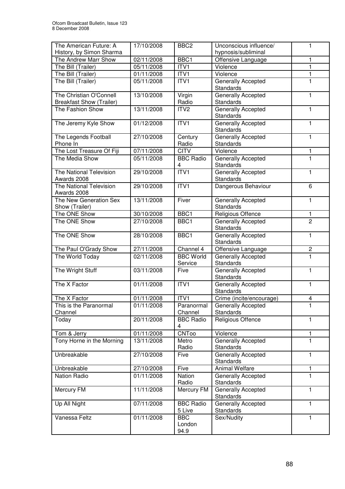| The American Future: A                                     | 17/10/2008 | BBC <sub>2</sub>             | Unconscious influence/                        | 1                       |
|------------------------------------------------------------|------------|------------------------------|-----------------------------------------------|-------------------------|
| History, by Simon Sharma                                   |            |                              | hypnosis/subliminal                           |                         |
| The Andrew Marr Show                                       | 02/11/2008 | BBC1                         | Offensive Language                            | 1                       |
| The Bill (Trailer)                                         | 05/11/2008 | ITV1                         | Violence                                      | 1                       |
| The Bill (Trailer)                                         | 01/11/2008 | ITV1                         | Violence                                      | $\mathbf{1}$            |
| The Bill (Trailer)                                         | 05/11/2008 | ITVI                         | <b>Generally Accepted</b><br>Standards        | $\mathbf{1}$            |
| The Christian O'Connell<br><b>Breakfast Show (Trailer)</b> | 13/10/2008 | Virgin<br>Radio              | Generally Accepted<br>Standards               | 1                       |
| The Fashion Show                                           | 13/11/2008 | ITV <sub>2</sub>             | Generally Accepted<br>Standards               | 1                       |
| The Jeremy Kyle Show                                       | 01/12/2008 | ITVI                         | Generally Accepted<br>Standards               | 1                       |
| The Legends Football<br>Phone In                           | 27/10/2008 | Century<br>Radio             | Generally Accepted<br><b>Standards</b>        | $\mathbf{1}$            |
| The Lost Treasure Of Fiji                                  | 07/11/2008 | <b>CITV</b>                  | Violence                                      | 1                       |
| The Media Show                                             | 05/11/2008 | <b>BBC Radio</b><br>4        | Generally Accepted<br>Standards               | 1                       |
| The National Television<br>Awards 2008                     | 29/10/2008 | ITV <sub>1</sub>             | Generally Accepted<br>Standards               | $\mathbf{1}$            |
| The National Television<br>Awards 2008                     | 29/10/2008 | ITVI                         | Dangerous Behaviour                           | 6                       |
| The New Generation Sex<br>Show (Trailer)                   | 13/11/2008 | Fiver                        | Generally Accepted<br>Standards               | $\mathbf{1}$            |
| The ONE Show                                               | 30/10/2008 | BBC1                         | Religious Offence                             | 1                       |
| The ONE Show                                               | 27/10/2008 | BBC1                         | <b>Generally Accepted</b><br>Standards        | $\overline{2}$          |
| The ONE Show                                               | 28/10/2008 | BBC1                         | Generally Accepted<br>Standards               | $\mathbf{1}$            |
| The Paul O'Grady Show                                      | 27/11/2008 | Channel 4                    | Offensive Language                            | $\overline{c}$          |
| The World Today                                            | 02/11/2008 | <b>BBC World</b><br>Service  | Generally Accepted<br>Standards               | $\mathbf{1}$            |
| The Wright Stuff                                           | 03/11/2008 | Five                         | <b>Generally Accepted</b><br><b>Standards</b> | $\mathbf{1}$            |
| The X Factor                                               | 01/11/2008 | ITV1                         | Generally Accepted<br>Standards               | $\mathbf{1}$            |
| The X Factor                                               | 01/11/2008 | ITV1                         | Crime (incite/encourage)                      | $\overline{\mathbf{4}}$ |
| This is the Paranormal<br>Channel                          | 01/11/2008 | Paranormal<br>Channel        | <b>Generally Accepted</b><br>Standards        | 1                       |
| Today                                                      | 20/11/2008 | <b>BBC Radio</b><br>4        | Religious Offence                             | 1                       |
| Tom & Jerry                                                | 01/11/2008 | <b>CNToo</b>                 | Violence                                      | 1                       |
| Tony Horne in the Morning                                  | 13/11/2008 | Metro<br>Radio               | Generally Accepted<br>Standards               | $\mathbf{1}$            |
| Unbreakable                                                | 27/10/2008 | Five                         | Generally Accepted<br>Standards               | $\mathbf{1}$            |
| Unbreakable                                                | 27/10/2008 | Five                         | Animal Welfare                                | $\mathbf{1}$            |
| <b>Nation Radio</b>                                        | 01/11/2008 | Nation<br>Radio              | Generally Accepted<br>Standards               | 1                       |
| Mercury FM                                                 | 11/11/2008 | Mercury FM                   | Generally Accepted<br>Standards               | $\mathbf{1}$            |
| Up All Night                                               | 07/11/2008 | <b>BBC</b> Radio<br>5 Live   | Generally Accepted<br>Standards               | $\mathbf{1}$            |
| Vanessa Feltz                                              | 01/11/2008 | <b>BBC</b><br>London<br>94.9 | Sex/Nudity                                    | $\mathbf{1}$            |